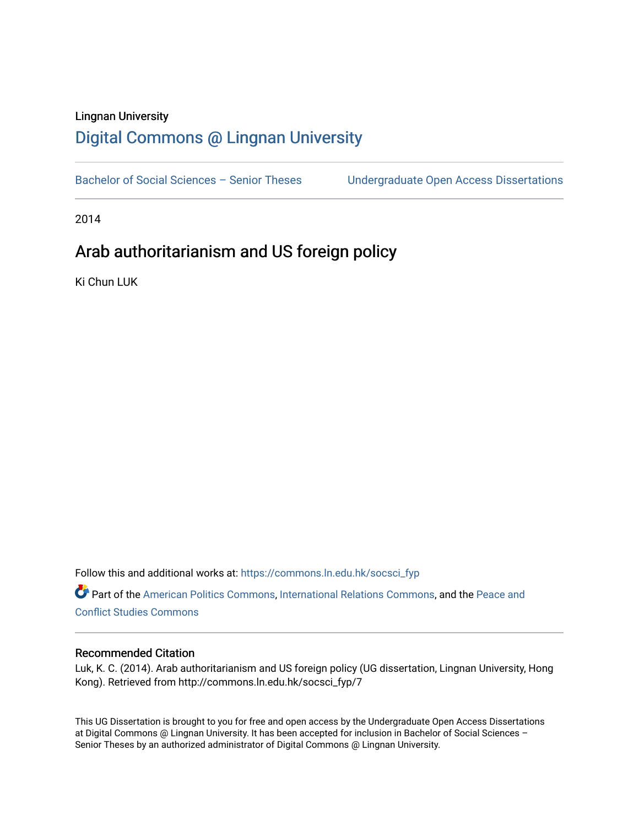## Lingnan University [Digital Commons @ Lingnan University](https://commons.ln.edu.hk/)

Bachelor of Social Sciences - Senior Theses Undergraduate Open Access Dissertations

2014

## Arab authoritarianism and US foreign policy

Ki Chun LUK

Follow this and additional works at: [https://commons.ln.edu.hk/socsci\\_fyp](https://commons.ln.edu.hk/socsci_fyp?utm_source=commons.ln.edu.hk%2Fsocsci_fyp%2F7&utm_medium=PDF&utm_campaign=PDFCoverPages)

Part of the [American Politics Commons,](http://network.bepress.com/hgg/discipline/387?utm_source=commons.ln.edu.hk%2Fsocsci_fyp%2F7&utm_medium=PDF&utm_campaign=PDFCoverPages) [International Relations Commons,](http://network.bepress.com/hgg/discipline/389?utm_source=commons.ln.edu.hk%2Fsocsci_fyp%2F7&utm_medium=PDF&utm_campaign=PDFCoverPages) and the [Peace and](http://network.bepress.com/hgg/discipline/397?utm_source=commons.ln.edu.hk%2Fsocsci_fyp%2F7&utm_medium=PDF&utm_campaign=PDFCoverPages) [Conflict Studies Commons](http://network.bepress.com/hgg/discipline/397?utm_source=commons.ln.edu.hk%2Fsocsci_fyp%2F7&utm_medium=PDF&utm_campaign=PDFCoverPages) 

#### Recommended Citation

Luk, K. C. (2014). Arab authoritarianism and US foreign policy (UG dissertation, Lingnan University, Hong Kong). Retrieved from http://commons.ln.edu.hk/socsci\_fyp/7

This UG Dissertation is brought to you for free and open access by the Undergraduate Open Access Dissertations at Digital Commons @ Lingnan University. It has been accepted for inclusion in Bachelor of Social Sciences – Senior Theses by an authorized administrator of Digital Commons @ Lingnan University.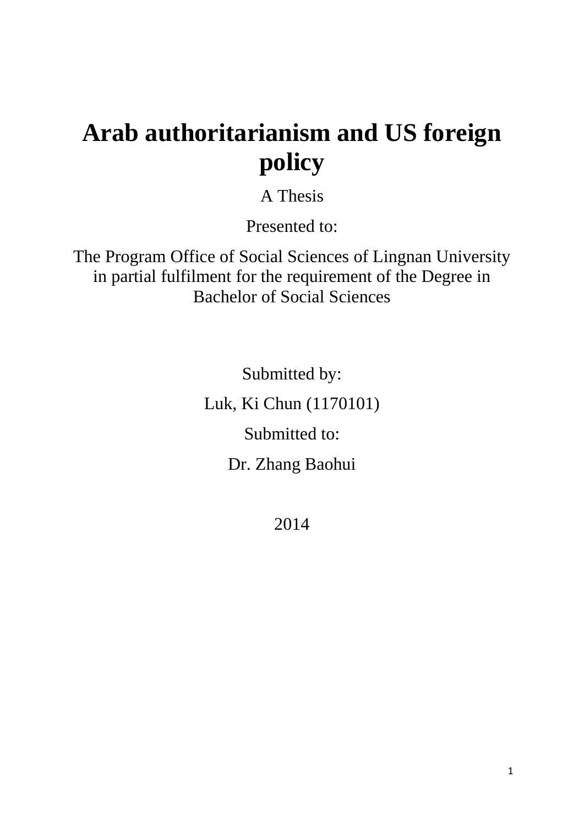# **Arab authoritarianism and US foreign policy**

A Thesis

Presented to:

The Program Office of Social Sciences of Lingnan University in partial fulfilment for the requirement of the Degree in Bachelor of Social Sciences

> Submitted by: Luk, Ki Chun (1170101) Submitted to: Dr. Zhang Baohui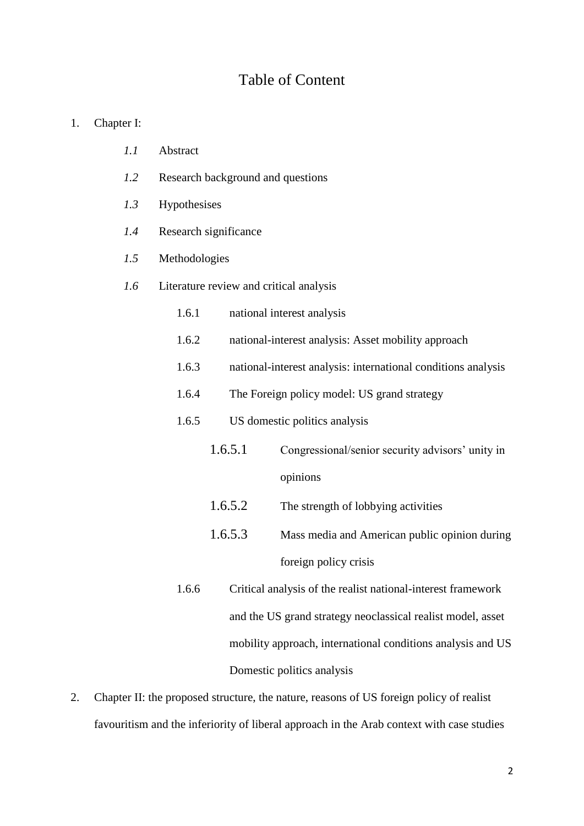### Table of Content

- 1. Chapter I:
	- *1.1* Abstract
	- *1.2* Research background and questions
	- *1.3* Hypothesises
	- *1.4* Research significance
	- *1.5* Methodologies
	- *1.6* Literature review and critical analysis
		- 1.6.1 national interest analysis
		- 1.6.2 national-interest analysis: Asset mobility approach
		- 1.6.3 national-interest analysis: international conditions analysis
		- 1.6.4 The Foreign policy model: US grand strategy

#### 1.6.5 US domestic politics analysis

- 1.6.5.1 Congressional/senior security advisors' unity in opinions
- 1.6.5.2 The strength of lobbying activities
- 1.6.5.3 Mass media and American public opinion during foreign policy crisis
- 1.6.6 Critical analysis of the realist national-interest framework and the US grand strategy neoclassical realist model, asset mobility approach, international conditions analysis and US Domestic politics analysis
- 2. Chapter II: the proposed structure, the nature, reasons of US foreign policy of realist favouritism and the inferiority of liberal approach in the Arab context with case studies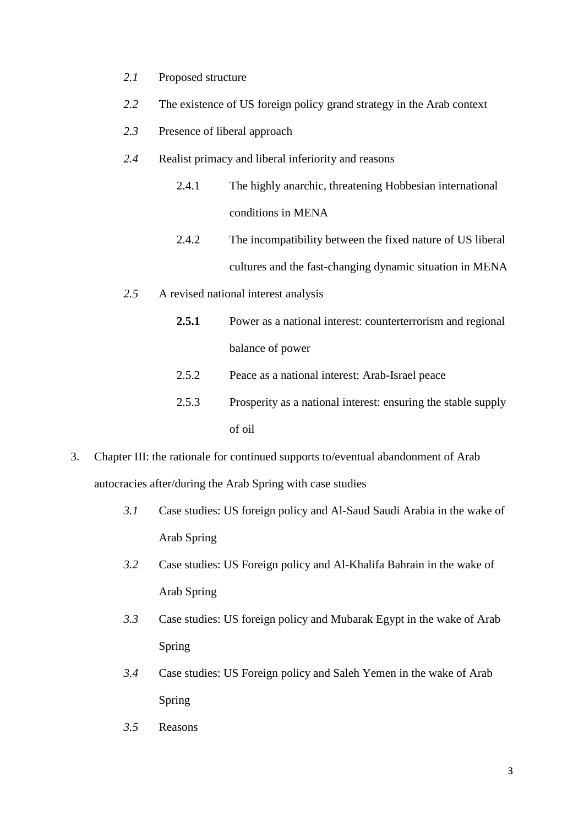- *2.1* Proposed structure
- *2.2* The existence of US foreign policy grand strategy in the Arab context
- *2.3* Presence of liberal approach
- *2.4* Realist primacy and liberal inferiority and reasons
	- 2.4.1 The highly anarchic, threatening Hobbesian international conditions in MENA
	- 2.4.2 The incompatibility between the fixed nature of US liberal cultures and the fast-changing dynamic situation in MENA
- *2.5* A revised national interest analysis
	- **2.5.1** Power as a national interest: counterterrorism and regional balance of power
	- 2.5.2 Peace as a national interest: Arab-Israel peace
	- 2.5.3 Prosperity as a national interest: ensuring the stable supply of oil
- 3. Chapter III: the rationale for continued supports to/eventual abandonment of Arab autocracies after/during the Arab Spring with case studies
	- *3.1* Case studies: US foreign policy and Al-Saud Saudi Arabia in the wake of Arab Spring
	- *3.2* Case studies: US Foreign policy and Al-Khalifa Bahrain in the wake of Arab Spring
	- *3.3* Case studies: US foreign policy and Mubarak Egypt in the wake of Arab Spring
	- *3.4* Case studies: US Foreign policy and Saleh Yemen in the wake of Arab Spring
	- *3.5* Reasons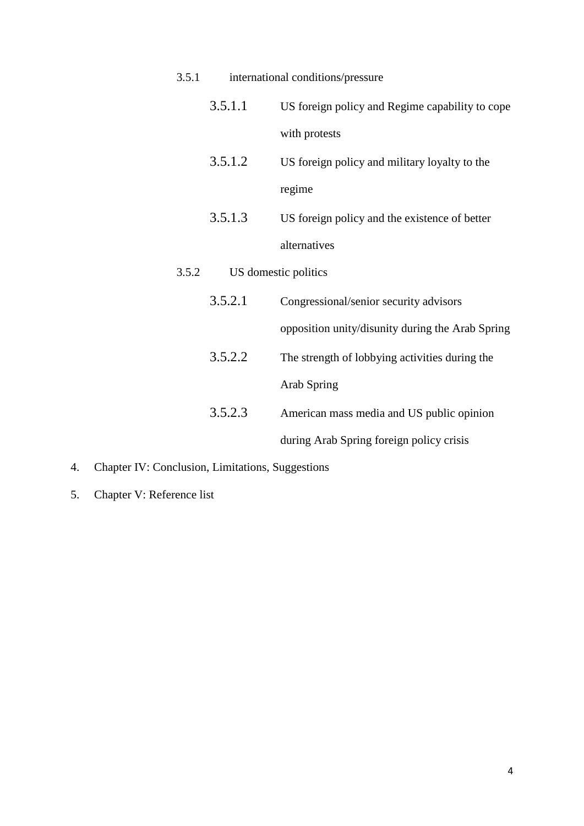| 3.5.1 |         | international conditions/pressure                |
|-------|---------|--------------------------------------------------|
|       | 3.5.1.1 | US foreign policy and Regime capability to cope  |
|       |         | with protests                                    |
|       | 3.5.1.2 | US foreign policy and military loyalty to the    |
|       |         | regime                                           |
|       | 3.5.1.3 | US foreign policy and the existence of better    |
|       |         | alternatives                                     |
|       |         |                                                  |
| 3.5.2 |         | US domestic politics                             |
|       | 3.5.2.1 | Congressional/senior security advisors           |
|       |         | opposition unity/disunity during the Arab Spring |
|       | 3.5.2.2 | The strength of lobbying activities during the   |
|       |         | <b>Arab Spring</b>                               |
|       | 3.5.2.3 | American mass media and US public opinion        |

- 4. Chapter IV: Conclusion, Limitations, Suggestions
- 5. Chapter V: Reference list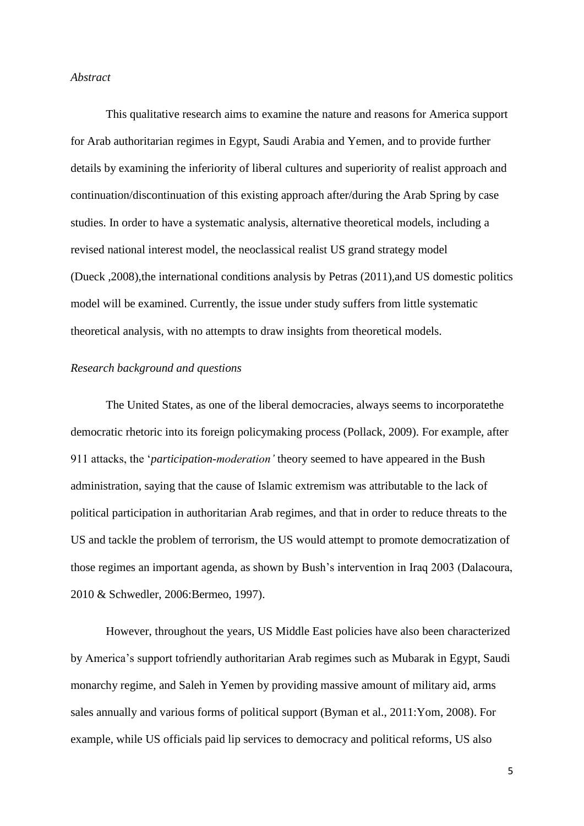#### *Abstract*

This qualitative research aims to examine the nature and reasons for America support for Arab authoritarian regimes in Egypt, Saudi Arabia and Yemen, and to provide further details by examining the inferiority of liberal cultures and superiority of realist approach and continuation/discontinuation of this existing approach after/during the Arab Spring by case studies. In order to have a systematic analysis, alternative theoretical models, including a revised national interest model, the neoclassical realist US grand strategy model (Dueck ,2008),the international conditions analysis by Petras (2011),and US domestic politics model will be examined. Currently, the issue under study suffers from little systematic theoretical analysis, with no attempts to draw insights from theoretical models.

#### *Research background and questions*

The United States, as one of the liberal democracies, always seems to incorporatethe democratic rhetoric into its foreign policymaking process (Pollack, 2009). For example, after 911 attacks, the '*participation-moderation'* theory seemed to have appeared in the Bush administration, saying that the cause of Islamic extremism was attributable to the lack of political participation in authoritarian Arab regimes, and that in order to reduce threats to the US and tackle the problem of terrorism, the US would attempt to promote democratization of those regimes an important agenda, as shown by Bush's intervention in Iraq 2003 (Dalacoura, 2010 & Schwedler, 2006:Bermeo, 1997).

However, throughout the years, US Middle East policies have also been characterized by America's support tofriendly authoritarian Arab regimes such as Mubarak in Egypt, Saudi monarchy regime, and Saleh in Yemen by providing massive amount of military aid, arms sales annually and various forms of political support (Byman et al., 2011:Yom, 2008). For example, while US officials paid lip services to democracy and political reforms, US also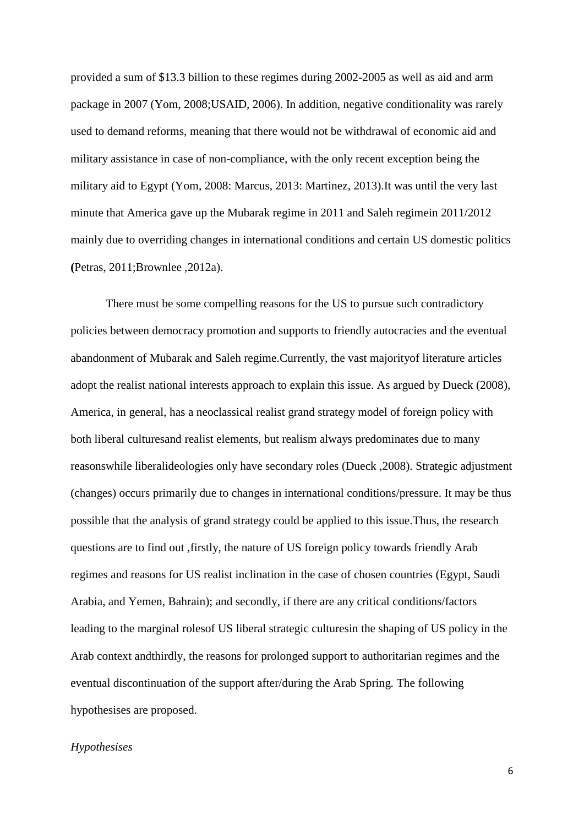provided a sum of \$13.3 billion to these regimes during 2002-2005 as well as aid and arm package in 2007 (Yom, 2008;USAID, 2006). In addition, negative conditionality was rarely used to demand reforms, meaning that there would not be withdrawal of economic aid and military assistance in case of non-compliance, with the only recent exception being the military aid to Egypt (Yom, 2008: Marcus, 2013: Martinez, 2013).It was until the very last minute that America gave up the Mubarak regime in 2011 and Saleh regimein 2011/2012 mainly due to overriding changes in international conditions and certain US domestic politics **(**Petras, 2011;Brownlee ,2012a).

There must be some compelling reasons for the US to pursue such contradictory policies between democracy promotion and supports to friendly autocracies and the eventual abandonment of Mubarak and Saleh regime.Currently, the vast majorityof literature articles adopt the realist national interests approach to explain this issue. As argued by Dueck (2008), America, in general, has a neoclassical realist grand strategy model of foreign policy with both liberal culturesand realist elements, but realism always predominates due to many reasonswhile liberalideologies only have secondary roles (Dueck ,2008). Strategic adjustment (changes) occurs primarily due to changes in international conditions/pressure. It may be thus possible that the analysis of grand strategy could be applied to this issue.Thus, the research questions are to find out ,firstly, the nature of US foreign policy towards friendly Arab regimes and reasons for US realist inclination in the case of chosen countries (Egypt, Saudi Arabia, and Yemen, Bahrain); and secondly, if there are any critical conditions/factors leading to the marginal rolesof US liberal strategic culturesin the shaping of US policy in the Arab context andthirdly, the reasons for prolonged support to authoritarian regimes and the eventual discontinuation of the support after/during the Arab Spring*.* The following hypothesises are proposed.

#### *Hypothesises*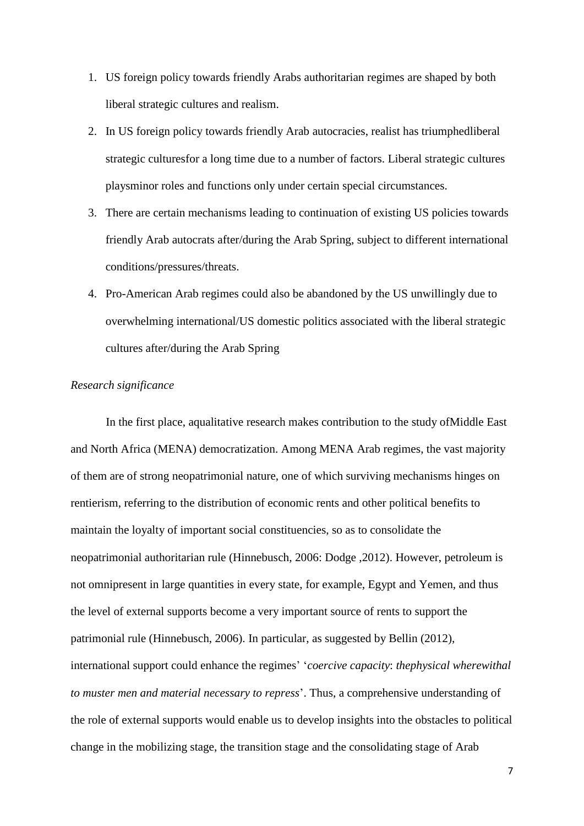- 1. US foreign policy towards friendly Arabs authoritarian regimes are shaped by both liberal strategic cultures and realism.
- 2. In US foreign policy towards friendly Arab autocracies, realist has triumphedliberal strategic culturesfor a long time due to a number of factors. Liberal strategic cultures playsminor roles and functions only under certain special circumstances.
- 3. There are certain mechanisms leading to continuation of existing US policies towards friendly Arab autocrats after/during the Arab Spring, subject to different international conditions/pressures/threats.
- 4. Pro-American Arab regimes could also be abandoned by the US unwillingly due to overwhelming international/US domestic politics associated with the liberal strategic cultures after/during the Arab Spring

#### *Research significance*

In the first place, aqualitative research makes contribution to the study ofMiddle East and North Africa (MENA) democratization. Among MENA Arab regimes, the vast majority of them are of strong neopatrimonial nature, one of which surviving mechanisms hinges on rentierism, referring to the distribution of economic rents and other political benefits to maintain the loyalty of important social constituencies, so as to consolidate the neopatrimonial authoritarian rule (Hinnebusch, 2006: Dodge ,2012). However, petroleum is not omnipresent in large quantities in every state, for example, Egypt and Yemen, and thus the level of external supports become a very important source of rents to support the patrimonial rule (Hinnebusch, 2006). In particular, as suggested by Bellin (2012), international support could enhance the regimes' '*coercive capacity*: *thephysical wherewithal to muster men and material necessary to repress*'. Thus, a comprehensive understanding of the role of external supports would enable us to develop insights into the obstacles to political change in the mobilizing stage, the transition stage and the consolidating stage of Arab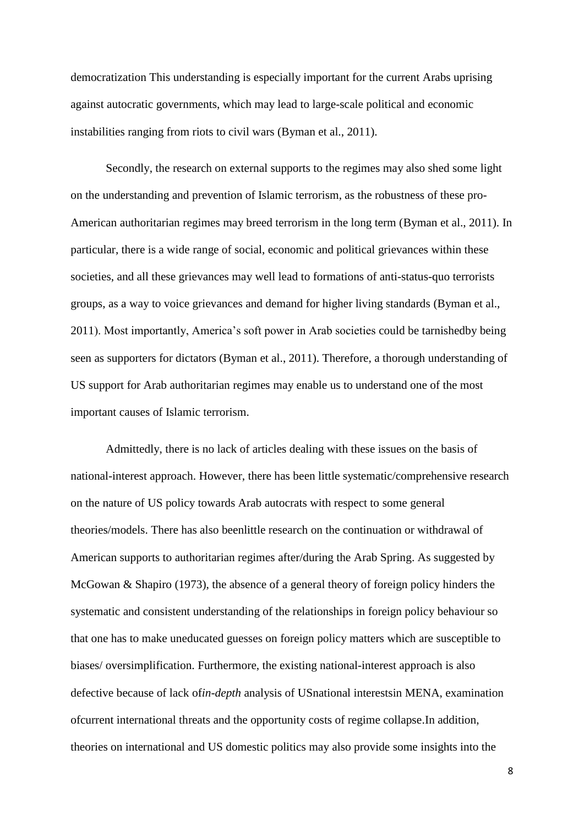democratization This understanding is especially important for the current Arabs uprising against autocratic governments, which may lead to large-scale political and economic instabilities ranging from riots to civil wars (Byman et al., 2011).

Secondly, the research on external supports to the regimes may also shed some light on the understanding and prevention of Islamic terrorism, as the robustness of these pro-American authoritarian regimes may breed terrorism in the long term (Byman et al., 2011). In particular, there is a wide range of social, economic and political grievances within these societies, and all these grievances may well lead to formations of anti-status-quo terrorists groups, as a way to voice grievances and demand for higher living standards (Byman et al., 2011). Most importantly, America's soft power in Arab societies could be tarnishedby being seen as supporters for dictators (Byman et al., 2011). Therefore, a thorough understanding of US support for Arab authoritarian regimes may enable us to understand one of the most important causes of Islamic terrorism.

Admittedly, there is no lack of articles dealing with these issues on the basis of national-interest approach. However, there has been little systematic/comprehensive research on the nature of US policy towards Arab autocrats with respect to some general theories/models. There has also beenlittle research on the continuation or withdrawal of American supports to authoritarian regimes after/during the Arab Spring. As suggested by McGowan & Shapiro (1973), the absence of a general theory of foreign policy hinders the systematic and consistent understanding of the relationships in foreign policy behaviour so that one has to make uneducated guesses on foreign policy matters which are susceptible to biases/ oversimplification. Furthermore, the existing national-interest approach is also defective because of lack of*in-depth* analysis of USnational interestsin MENA, examination ofcurrent international threats and the opportunity costs of regime collapse.In addition, theories on international and US domestic politics may also provide some insights into the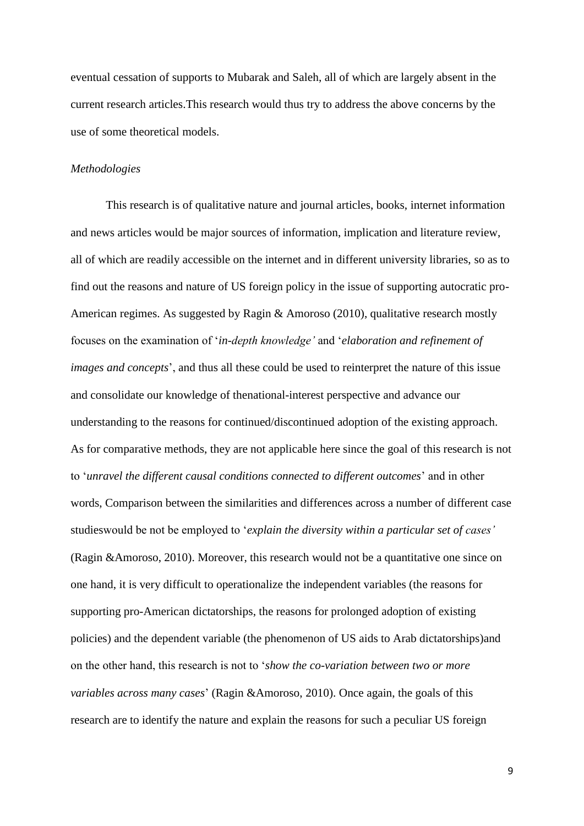eventual cessation of supports to Mubarak and Saleh, all of which are largely absent in the current research articles.This research would thus try to address the above concerns by the use of some theoretical models.

#### *Methodologies*

This research is of qualitative nature and journal articles, books, internet information and news articles would be major sources of information, implication and literature review, all of which are readily accessible on the internet and in different university libraries, so as to find out the reasons and nature of US foreign policy in the issue of supporting autocratic pro-American regimes. As suggested by Ragin & Amoroso (2010), qualitative research mostly focuses on the examination of '*in-depth knowledge'* and '*elaboration and refinement of images and concepts*', and thus all these could be used to reinterpret the nature of this issue and consolidate our knowledge of thenational-interest perspective and advance our understanding to the reasons for continued/discontinued adoption of the existing approach. As for comparative methods, they are not applicable here since the goal of this research is not to '*unravel the different causal conditions connected to different outcomes*' and in other words, Comparison between the similarities and differences across a number of different case studieswould be not be employed to '*explain the diversity within a particular set of cases'* (Ragin &Amoroso, 2010). Moreover, this research would not be a quantitative one since on one hand, it is very difficult to operationalize the independent variables (the reasons for supporting pro-American dictatorships, the reasons for prolonged adoption of existing policies) and the dependent variable (the phenomenon of US aids to Arab dictatorships)and on the other hand, this research is not to '*show the co-variation between two or more variables across many cases*' (Ragin &Amoroso, 2010). Once again, the goals of this research are to identify the nature and explain the reasons for such a peculiar US foreign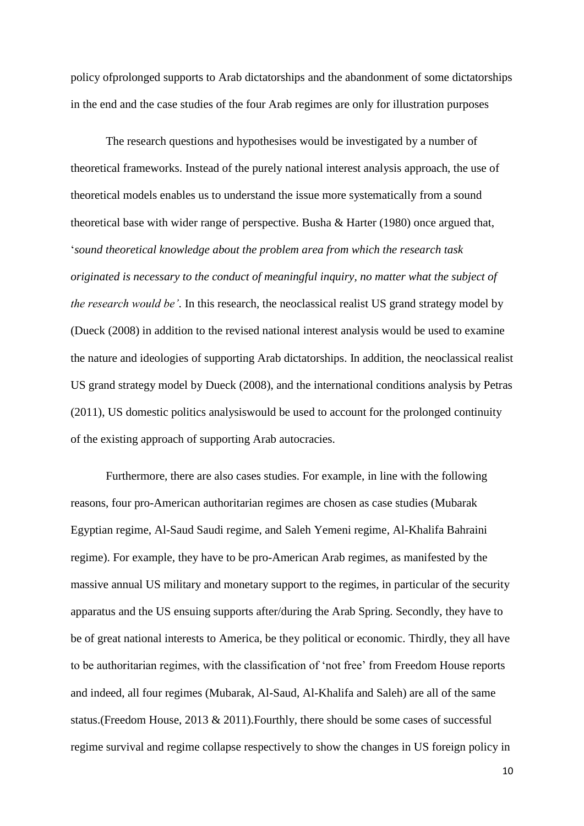policy ofprolonged supports to Arab dictatorships and the abandonment of some dictatorships in the end and the case studies of the four Arab regimes are only for illustration purposes

The research questions and hypothesises would be investigated by a number of theoretical frameworks. Instead of the purely national interest analysis approach, the use of theoretical models enables us to understand the issue more systematically from a sound theoretical base with wider range of perspective. Busha & Harter (1980) once argued that, '*sound theoretical knowledge about the problem area from which the research task originated is necessary to the conduct of meaningful inquiry, no matter what the subject of the research would be'*. In this research, the neoclassical realist US grand strategy model by (Dueck (2008) in addition to the revised national interest analysis would be used to examine the nature and ideologies of supporting Arab dictatorships. In addition, the neoclassical realist US grand strategy model by Dueck (2008), and the international conditions analysis by Petras (2011), US domestic politics analysiswould be used to account for the prolonged continuity of the existing approach of supporting Arab autocracies.

Furthermore, there are also cases studies. For example, in line with the following reasons, four pro-American authoritarian regimes are chosen as case studies (Mubarak Egyptian regime, Al-Saud Saudi regime, and Saleh Yemeni regime, Al-Khalifa Bahraini regime). For example, they have to be pro-American Arab regimes, as manifested by the massive annual US military and monetary support to the regimes, in particular of the security apparatus and the US ensuing supports after/during the Arab Spring. Secondly, they have to be of great national interests to America, be they political or economic. Thirdly, they all have to be authoritarian regimes, with the classification of 'not free' from Freedom House reports and indeed, all four regimes (Mubarak, Al-Saud, Al-Khalifa and Saleh) are all of the same status.(Freedom House, 2013 & 2011).Fourthly, there should be some cases of successful regime survival and regime collapse respectively to show the changes in US foreign policy in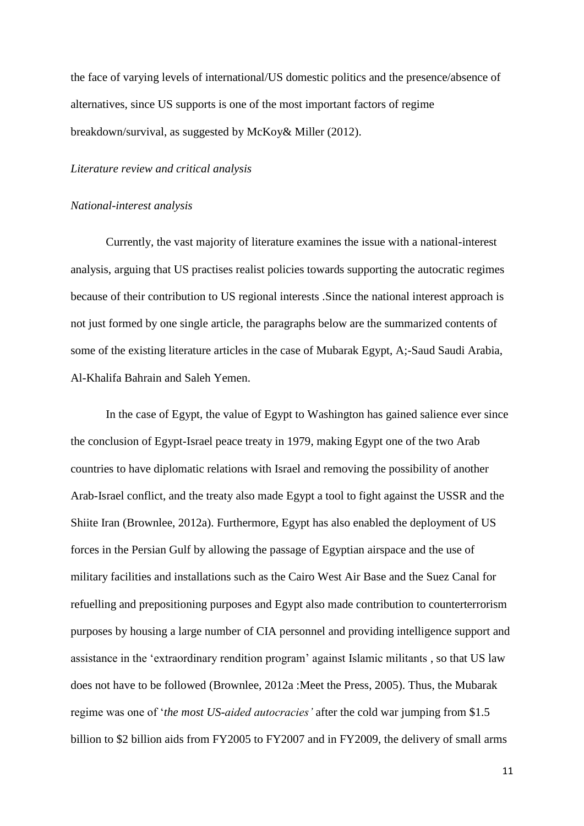the face of varying levels of international/US domestic politics and the presence/absence of alternatives, since US supports is one of the most important factors of regime breakdown/survival, as suggested by McKoy& Miller (2012).

#### *Literature review and critical analysis*

#### *National-interest analysis*

Currently, the vast majority of literature examines the issue with a national-interest analysis, arguing that US practises realist policies towards supporting the autocratic regimes because of their contribution to US regional interests .Since the national interest approach is not just formed by one single article, the paragraphs below are the summarized contents of some of the existing literature articles in the case of Mubarak Egypt, A;-Saud Saudi Arabia, Al-Khalifa Bahrain and Saleh Yemen.

In the case of Egypt, the value of Egypt to Washington has gained salience ever since the conclusion of Egypt-Israel peace treaty in 1979, making Egypt one of the two Arab countries to have diplomatic relations with Israel and removing the possibility of another Arab-Israel conflict, and the treaty also made Egypt a tool to fight against the USSR and the Shiite Iran (Brownlee, 2012a). Furthermore, Egypt has also enabled the deployment of US forces in the Persian Gulf by allowing the passage of Egyptian airspace and the use of military facilities and installations such as the Cairo West Air Base and the Suez Canal for refuelling and prepositioning purposes and Egypt also made contribution to counterterrorism purposes by housing a large number of CIA personnel and providing intelligence support and assistance in the 'extraordinary rendition program' against Islamic militants , so that US law does not have to be followed (Brownlee, 2012a :Meet the Press, 2005). Thus, the Mubarak regime was one of '*the most US-aided autocracies'* after the cold war jumping from \$1.5 billion to \$2 billion aids from FY2005 to FY2007 and in FY2009, the delivery of small arms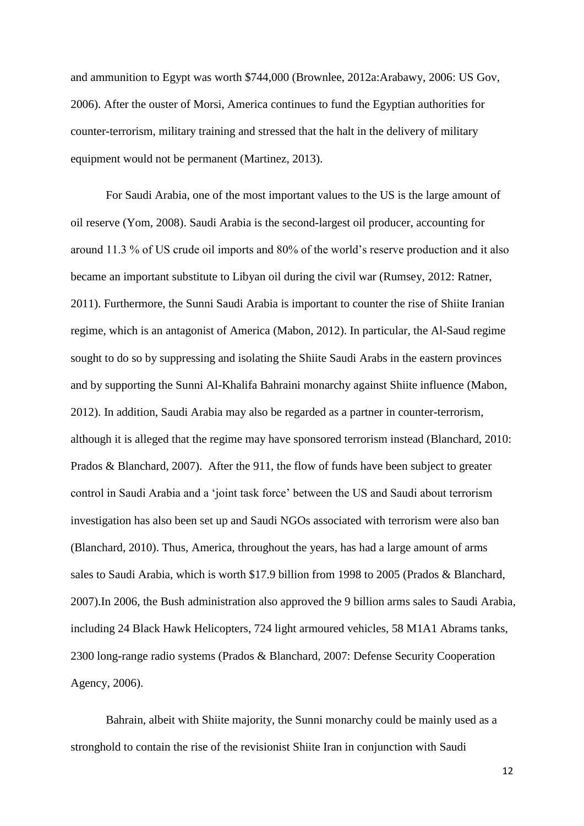and ammunition to Egypt was worth \$744,000 (Brownlee, 2012a:Arabawy, 2006: US Gov, 2006). After the ouster of Morsi, America continues to fund the Egyptian authorities for counter-terrorism, military training and stressed that the halt in the delivery of military equipment would not be permanent (Martinez, 2013).

For Saudi Arabia, one of the most important values to the US is the large amount of oil reserve (Yom, 2008). Saudi Arabia is the second-largest oil producer, accounting for around 11.3 % of US crude oil imports and 80% of the world's reserve production and it also became an important substitute to Libyan oil during the civil war (Rumsey, 2012: Ratner, 2011). Furthermore, the Sunni Saudi Arabia is important to counter the rise of Shiite Iranian regime, which is an antagonist of America (Mabon, 2012). In particular, the Al-Saud regime sought to do so by suppressing and isolating the Shiite Saudi Arabs in the eastern provinces and by supporting the Sunni Al-Khalifa Bahraini monarchy against Shiite influence (Mabon, 2012). In addition, Saudi Arabia may also be regarded as a partner in counter-terrorism, although it is alleged that the regime may have sponsored terrorism instead (Blanchard, 2010: Prados & Blanchard, 2007). After the 911, the flow of funds have been subject to greater control in Saudi Arabia and a 'joint task force' between the US and Saudi about terrorism investigation has also been set up and Saudi NGOs associated with terrorism were also ban (Blanchard, 2010). Thus, America, throughout the years, has had a large amount of arms sales to Saudi Arabia, which is worth \$17.9 billion from 1998 to 2005 (Prados & Blanchard, 2007).In 2006, the Bush administration also approved the 9 billion arms sales to Saudi Arabia, including 24 Black Hawk Helicopters, 724 light armoured vehicles, 58 M1A1 Abrams tanks, 2300 long-range radio systems (Prados & Blanchard, 2007: Defense Security Cooperation Agency, 2006).

Bahrain, albeit with Shiite majority, the Sunni monarchy could be mainly used as a stronghold to contain the rise of the revisionist Shiite Iran in conjunction with Saudi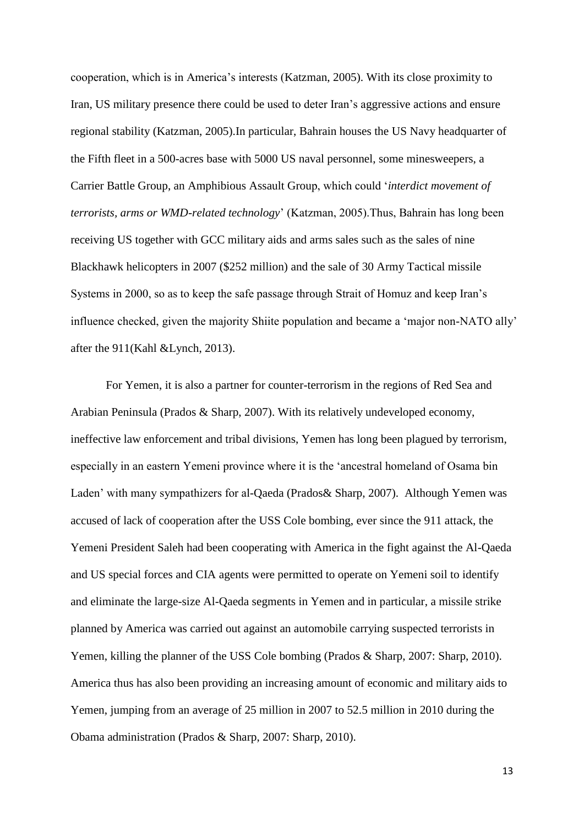cooperation, which is in America's interests (Katzman, 2005). With its close proximity to Iran, US military presence there could be used to deter Iran's aggressive actions and ensure regional stability (Katzman, 2005).In particular, Bahrain houses the US Navy headquarter of the Fifth fleet in a 500-acres base with 5000 US naval personnel, some minesweepers, a Carrier Battle Group, an Amphibious Assault Group, which could '*interdict movement of terrorists, arms or WMD-related technology*' (Katzman, 2005).Thus, Bahrain has long been receiving US together with GCC military aids and arms sales such as the sales of nine Blackhawk helicopters in 2007 (\$252 million) and the sale of 30 Army Tactical missile Systems in 2000, so as to keep the safe passage through Strait of Homuz and keep Iran's influence checked, given the majority Shiite population and became a 'major non-NATO ally' after the 911(Kahl &Lynch, 2013).

For Yemen, it is also a partner for counter-terrorism in the regions of Red Sea and Arabian Peninsula (Prados & Sharp, 2007). With its relatively undeveloped economy, ineffective law enforcement and tribal divisions, Yemen has long been plagued by terrorism, especially in an eastern Yemeni province where it is the 'ancestral homeland of Osama bin Laden' with many sympathizers for al-Qaeda (Prados& Sharp, 2007). Although Yemen was accused of lack of cooperation after the USS Cole bombing, ever since the 911 attack, the Yemeni President Saleh had been cooperating with America in the fight against the Al-Qaeda and US special forces and CIA agents were permitted to operate on Yemeni soil to identify and eliminate the large-size Al-Qaeda segments in Yemen and in particular, a missile strike planned by America was carried out against an automobile carrying suspected terrorists in Yemen, killing the planner of the USS Cole bombing (Prados & Sharp, 2007: Sharp, 2010). America thus has also been providing an increasing amount of economic and military aids to Yemen, jumping from an average of 25 million in 2007 to 52.5 million in 2010 during the Obama administration (Prados & Sharp, 2007: Sharp, 2010).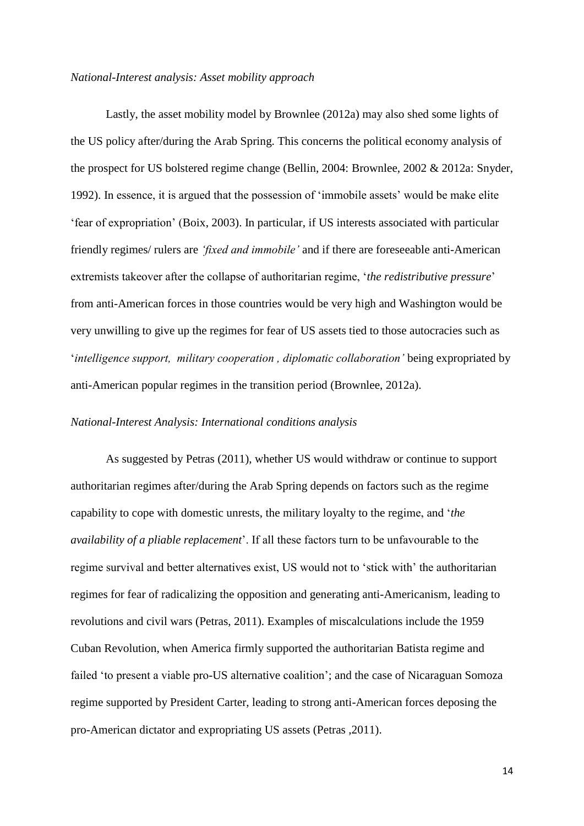#### *National-Interest analysis: Asset mobility approach*

Lastly, the asset mobility model by Brownlee (2012a) may also shed some lights of the US policy after/during the Arab Spring. This concerns the political economy analysis of the prospect for US bolstered regime change (Bellin, 2004: Brownlee, 2002 & 2012a: Snyder, 1992). In essence, it is argued that the possession of 'immobile assets' would be make elite 'fear of expropriation' (Boix, 2003). In particular, if US interests associated with particular friendly regimes/ rulers are *'fixed and immobile'* and if there are foreseeable anti-American extremists takeover after the collapse of authoritarian regime, '*the redistributive pressure*' from anti-American forces in those countries would be very high and Washington would be very unwilling to give up the regimes for fear of US assets tied to those autocracies such as '*intelligence support, military cooperation , diplomatic collaboration'* being expropriated by anti-American popular regimes in the transition period (Brownlee, 2012a).

#### *National-Interest Analysis: International conditions analysis*

As suggested by Petras (2011), whether US would withdraw or continue to support authoritarian regimes after/during the Arab Spring depends on factors such as the regime capability to cope with domestic unrests, the military loyalty to the regime, and '*the availability of a pliable replacement*'. If all these factors turn to be unfavourable to the regime survival and better alternatives exist, US would not to 'stick with' the authoritarian regimes for fear of radicalizing the opposition and generating anti-Americanism, leading to revolutions and civil wars (Petras, 2011). Examples of miscalculations include the 1959 Cuban Revolution, when America firmly supported the authoritarian Batista regime and failed 'to present a viable pro-US alternative coalition'; and the case of Nicaraguan Somoza regime supported by President Carter, leading to strong anti-American forces deposing the pro-American dictator and expropriating US assets (Petras ,2011).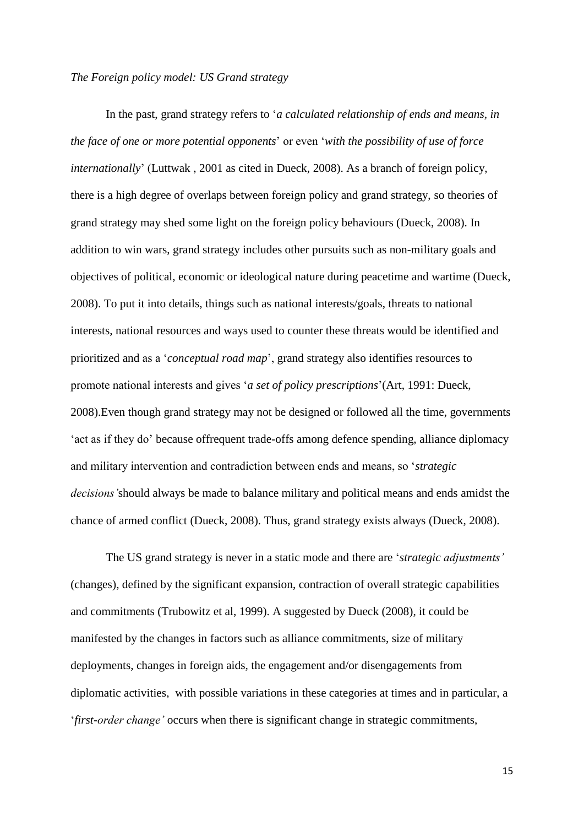#### *The Foreign policy model: US Grand strategy*

In the past, grand strategy refers to '*a calculated relationship of ends and means, in the face of one or more potential opponents*' or even '*with the possibility of use of force internationally*' (Luttwak , 2001 as cited in Dueck, 2008). As a branch of foreign policy, there is a high degree of overlaps between foreign policy and grand strategy, so theories of grand strategy may shed some light on the foreign policy behaviours (Dueck, 2008). In addition to win wars, grand strategy includes other pursuits such as non-military goals and objectives of political, economic or ideological nature during peacetime and wartime (Dueck, 2008). To put it into details, things such as national interests/goals, threats to national interests, national resources and ways used to counter these threats would be identified and prioritized and as a '*conceptual road map*', grand strategy also identifies resources to promote national interests and gives '*a set of policy prescriptions*'(Art, 1991: Dueck, 2008).Even though grand strategy may not be designed or followed all the time, governments 'act as if they do' because offrequent trade-offs among defence spending, alliance diplomacy and military intervention and contradiction between ends and means, so '*strategic decisions'*should always be made to balance military and political means and ends amidst the chance of armed conflict (Dueck, 2008). Thus, grand strategy exists always (Dueck, 2008).

The US grand strategy is never in a static mode and there are '*strategic adjustments'* (changes), defined by the significant expansion, contraction of overall strategic capabilities and commitments (Trubowitz et al, 1999). A suggested by Dueck (2008), it could be manifested by the changes in factors such as alliance commitments, size of military deployments, changes in foreign aids, the engagement and/or disengagements from diplomatic activities, with possible variations in these categories at times and in particular, a '*first-order change'* occurs when there is significant change in strategic commitments,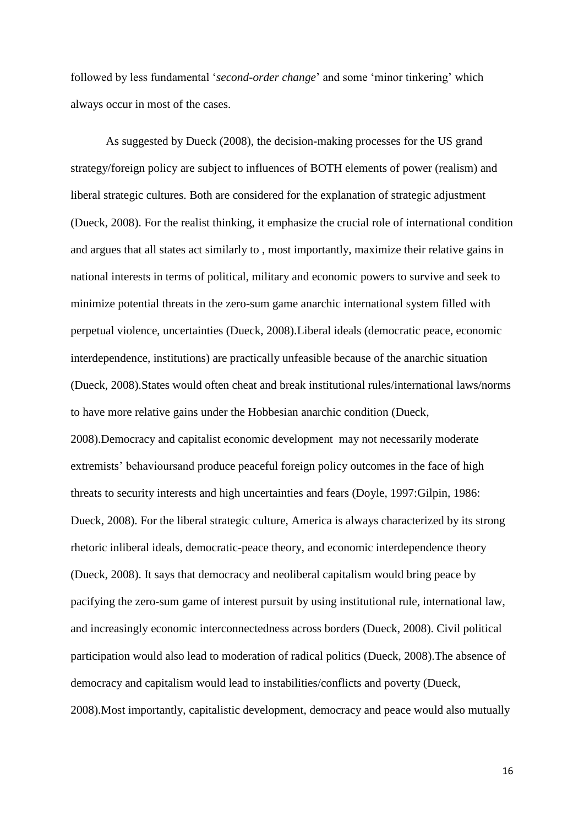followed by less fundamental '*second-order change*' and some 'minor tinkering' which always occur in most of the cases.

As suggested by Dueck (2008), the decision-making processes for the US grand strategy/foreign policy are subject to influences of BOTH elements of power (realism) and liberal strategic cultures. Both are considered for the explanation of strategic adjustment (Dueck, 2008). For the realist thinking, it emphasize the crucial role of international condition and argues that all states act similarly to , most importantly, maximize their relative gains in national interests in terms of political, military and economic powers to survive and seek to minimize potential threats in the zero-sum game anarchic international system filled with perpetual violence, uncertainties (Dueck, 2008).Liberal ideals (democratic peace, economic interdependence, institutions) are practically unfeasible because of the anarchic situation (Dueck, 2008).States would often cheat and break institutional rules/international laws/norms to have more relative gains under the Hobbesian anarchic condition (Dueck, 2008).Democracy and capitalist economic development may not necessarily moderate extremists' behavioursand produce peaceful foreign policy outcomes in the face of high threats to security interests and high uncertainties and fears (Doyle, 1997:Gilpin, 1986: Dueck, 2008). For the liberal strategic culture, America is always characterized by its strong rhetoric inliberal ideals, democratic-peace theory, and economic interdependence theory (Dueck, 2008). It says that democracy and neoliberal capitalism would bring peace by pacifying the zero-sum game of interest pursuit by using institutional rule, international law, and increasingly economic interconnectedness across borders (Dueck, 2008). Civil political participation would also lead to moderation of radical politics (Dueck, 2008).The absence of democracy and capitalism would lead to instabilities/conflicts and poverty (Dueck, 2008).Most importantly, capitalistic development, democracy and peace would also mutually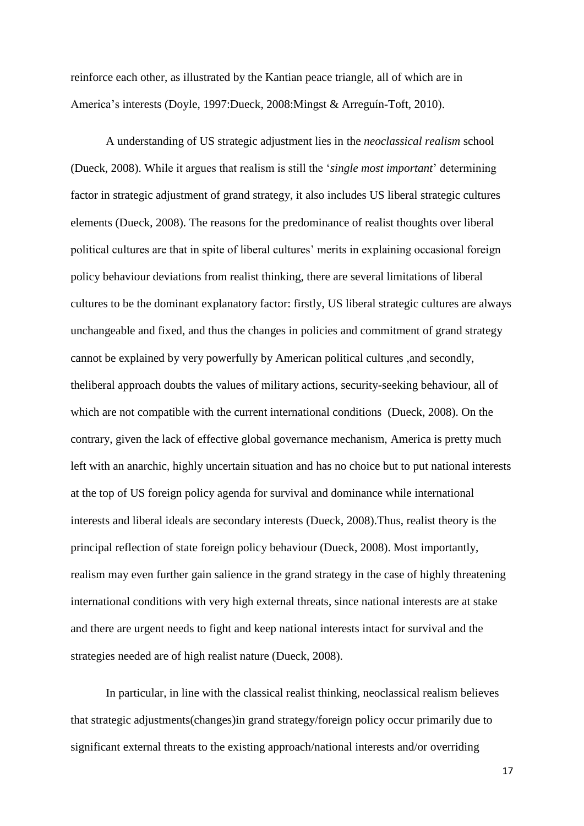reinforce each other, as illustrated by the Kantian peace triangle, all of which are in America's interests (Doyle, 1997:Dueck, 2008:Mingst & Arreguín-Toft, 2010).

A understanding of US strategic adjustment lies in the *neoclassical realism* school (Dueck, 2008). While it argues that realism is still the '*single most important*' determining factor in strategic adjustment of grand strategy, it also includes US liberal strategic cultures elements (Dueck, 2008). The reasons for the predominance of realist thoughts over liberal political cultures are that in spite of liberal cultures' merits in explaining occasional foreign policy behaviour deviations from realist thinking, there are several limitations of liberal cultures to be the dominant explanatory factor: firstly, US liberal strategic cultures are always unchangeable and fixed, and thus the changes in policies and commitment of grand strategy cannot be explained by very powerfully by American political cultures ,and secondly, theliberal approach doubts the values of military actions, security-seeking behaviour, all of which are not compatible with the current international conditions (Dueck, 2008). On the contrary, given the lack of effective global governance mechanism, America is pretty much left with an anarchic, highly uncertain situation and has no choice but to put national interests at the top of US foreign policy agenda for survival and dominance while international interests and liberal ideals are secondary interests (Dueck, 2008).Thus, realist theory is the principal reflection of state foreign policy behaviour (Dueck, 2008). Most importantly, realism may even further gain salience in the grand strategy in the case of highly threatening international conditions with very high external threats, since national interests are at stake and there are urgent needs to fight and keep national interests intact for survival and the strategies needed are of high realist nature (Dueck, 2008).

In particular, in line with the classical realist thinking, neoclassical realism believes that strategic adjustments(changes)in grand strategy/foreign policy occur primarily due to significant external threats to the existing approach/national interests and/or overriding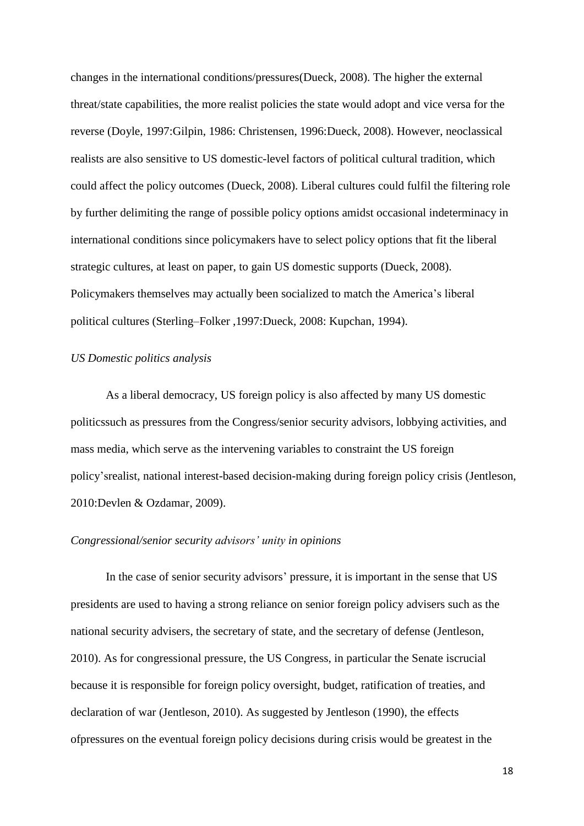changes in the international conditions/pressures(Dueck, 2008). The higher the external threat/state capabilities, the more realist policies the state would adopt and vice versa for the reverse (Doyle, 1997:Gilpin, 1986: Christensen, 1996:Dueck, 2008). However, neoclassical realists are also sensitive to US domestic-level factors of political cultural tradition, which could affect the policy outcomes (Dueck, 2008). Liberal cultures could fulfil the filtering role by further delimiting the range of possible policy options amidst occasional indeterminacy in international conditions since policymakers have to select policy options that fit the liberal strategic cultures, at least on paper, to gain US domestic supports (Dueck, 2008). Policymakers themselves may actually been socialized to match the America's liberal political cultures (Sterling–Folker ,1997:Dueck, 2008: Kupchan, 1994).

#### *US Domestic politics analysis*

As a liberal democracy, US foreign policy is also affected by many US domestic politicssuch as pressures from the Congress/senior security advisors, lobbying activities, and mass media, which serve as the intervening variables to constraint the US foreign policy'srealist, national interest-based decision-making during foreign policy crisis (Jentleson, 2010:Devlen & Ozdamar, 2009).

#### *Congressional/senior security advisors' unity in opinions*

In the case of senior security advisors' pressure, it is important in the sense that US presidents are used to having a strong reliance on senior foreign policy advisers such as the national security advisers, the secretary of state, and the secretary of defense (Jentleson, 2010). As for congressional pressure, the US Congress, in particular the Senate iscrucial because it is responsible for foreign policy oversight, budget, ratification of treaties, and declaration of war (Jentleson, 2010). As suggested by Jentleson (1990), the effects ofpressures on the eventual foreign policy decisions during crisis would be greatest in the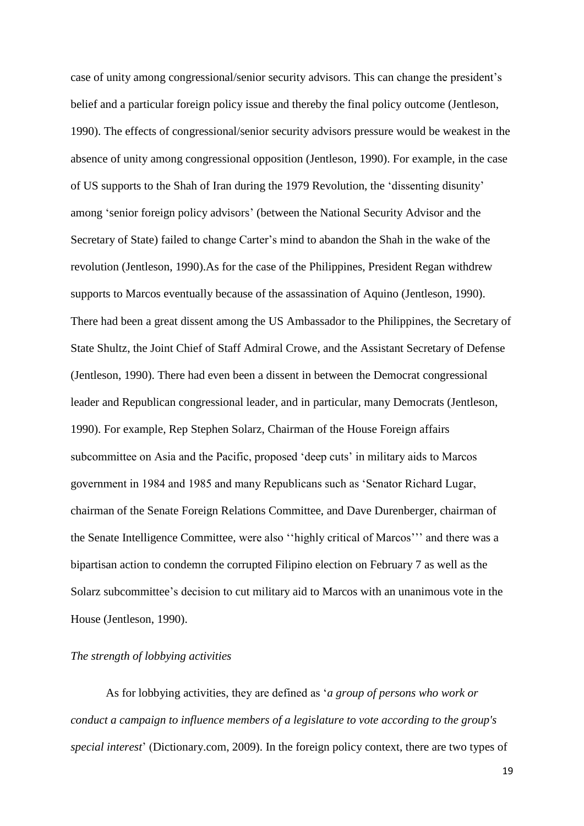case of unity among congressional/senior security advisors. This can change the president's belief and a particular foreign policy issue and thereby the final policy outcome (Jentleson, 1990). The effects of congressional/senior security advisors pressure would be weakest in the absence of unity among congressional opposition (Jentleson, 1990). For example, in the case of US supports to the Shah of Iran during the 1979 Revolution, the 'dissenting disunity' among 'senior foreign policy advisors' (between the National Security Advisor and the Secretary of State) failed to change Carter's mind to abandon the Shah in the wake of the revolution (Jentleson, 1990).As for the case of the Philippines, President Regan withdrew supports to Marcos eventually because of the assassination of Aquino (Jentleson, 1990). There had been a great dissent among the US Ambassador to the Philippines, the Secretary of State Shultz, the Joint Chief of Staff Admiral Crowe, and the Assistant Secretary of Defense (Jentleson, 1990). There had even been a dissent in between the Democrat congressional leader and Republican congressional leader, and in particular, many Democrats (Jentleson, 1990). For example, Rep Stephen Solarz, Chairman of the House Foreign affairs subcommittee on Asia and the Pacific, proposed 'deep cuts' in military aids to Marcos government in 1984 and 1985 and many Republicans such as 'Senator Richard Lugar, chairman of the Senate Foreign Relations Committee, and Dave Durenberger, chairman of the Senate Intelligence Committee, were also ''highly critical of Marcos''' and there was a bipartisan action to condemn the corrupted Filipino election on February 7 as well as the Solarz subcommittee's decision to cut military aid to Marcos with an unanimous vote in the House (Jentleson, 1990).

#### *The strength of lobbying activities*

As for lobbying activities, they are defined as '*a group of persons who work or conduct a campaign to influence members of a legislature to vote according to the group's special interest*' (Dictionary.com, 2009). In the foreign policy context, there are two types of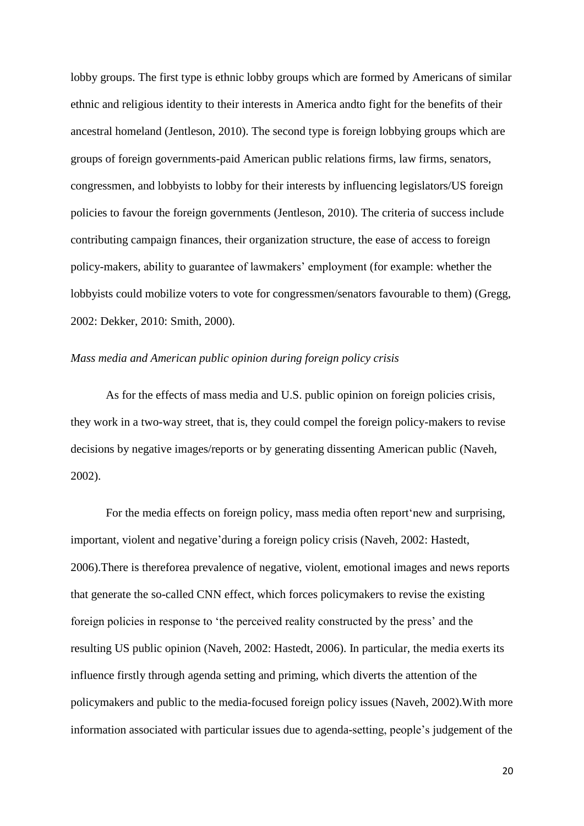lobby groups. The first type is ethnic lobby groups which are formed by Americans of similar ethnic and religious identity to their interests in America andto fight for the benefits of their ancestral homeland (Jentleson, 2010). The second type is foreign lobbying groups which are groups of foreign governments-paid American public relations firms, law firms, senators, congressmen, and lobbyists to lobby for their interests by influencing legislators/US foreign policies to favour the foreign governments (Jentleson, 2010). The criteria of success include contributing campaign finances, their organization structure, the ease of access to foreign policy-makers, ability to guarantee of lawmakers' employment (for example: whether the lobbyists could mobilize voters to vote for congressmen/senators favourable to them) (Gregg, 2002: Dekker, 2010: Smith, 2000).

#### *Mass media and American public opinion during foreign policy crisis*

As for the effects of mass media and U.S. public opinion on foreign policies crisis, they work in a two-way street, that is, they could compel the foreign policy-makers to revise decisions by negative images/reports or by generating dissenting American public (Naveh, 2002).

For the media effects on foreign policy, mass media often report'new and surprising, important, violent and negative'during a foreign policy crisis (Naveh, 2002: Hastedt, 2006).There is thereforea prevalence of negative, violent, emotional images and news reports that generate the so-called CNN effect, which forces policymakers to revise the existing foreign policies in response to 'the perceived reality constructed by the press' and the resulting US public opinion (Naveh, 2002: Hastedt, 2006). In particular, the media exerts its influence firstly through agenda setting and priming, which diverts the attention of the policymakers and public to the media-focused foreign policy issues (Naveh, 2002).With more information associated with particular issues due to agenda-setting, people's judgement of the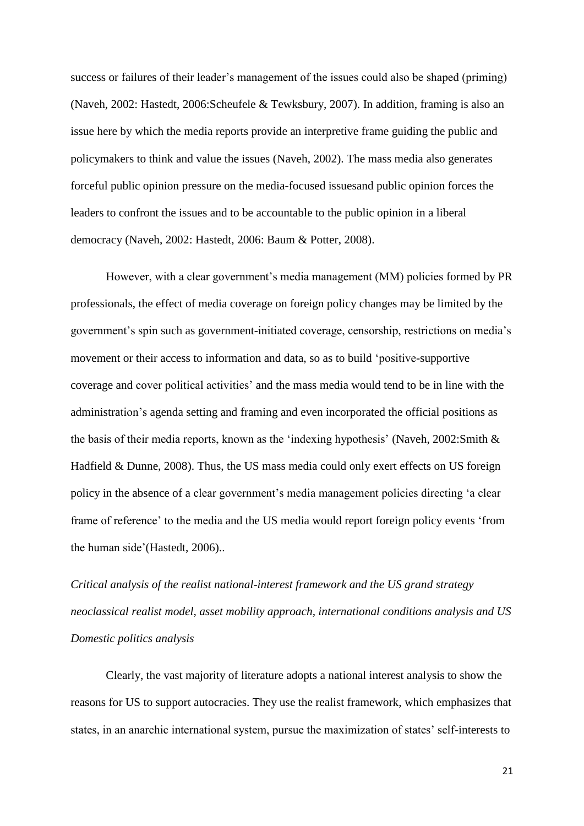success or failures of their leader's management of the issues could also be shaped (priming) (Naveh, 2002: Hastedt, 2006:Scheufele & Tewksbury, 2007). In addition, framing is also an issue here by which the media reports provide an interpretive frame guiding the public and policymakers to think and value the issues (Naveh, 2002). The mass media also generates forceful public opinion pressure on the media-focused issuesand public opinion forces the leaders to confront the issues and to be accountable to the public opinion in a liberal democracy (Naveh, 2002: Hastedt, 2006: Baum & Potter, 2008).

However, with a clear government's media management (MM) policies formed by PR professionals, the effect of media coverage on foreign policy changes may be limited by the government's spin such as government-initiated coverage, censorship, restrictions on media's movement or their access to information and data, so as to build 'positive-supportive coverage and cover political activities' and the mass media would tend to be in line with the administration's agenda setting and framing and even incorporated the official positions as the basis of their media reports, known as the 'indexing hypothesis' (Naveh, 2002:Smith & Hadfield & Dunne, 2008). Thus, the US mass media could only exert effects on US foreign policy in the absence of a clear government's media management policies directing 'a clear frame of reference' to the media and the US media would report foreign policy events 'from the human side'(Hastedt, 2006)..

*Critical analysis of the realist national-interest framework and the US grand strategy neoclassical realist model, asset mobility approach, international conditions analysis and US Domestic politics analysis* 

Clearly, the vast majority of literature adopts a national interest analysis to show the reasons for US to support autocracies. They use the realist framework, which emphasizes that states, in an anarchic international system, pursue the maximization of states' self-interests to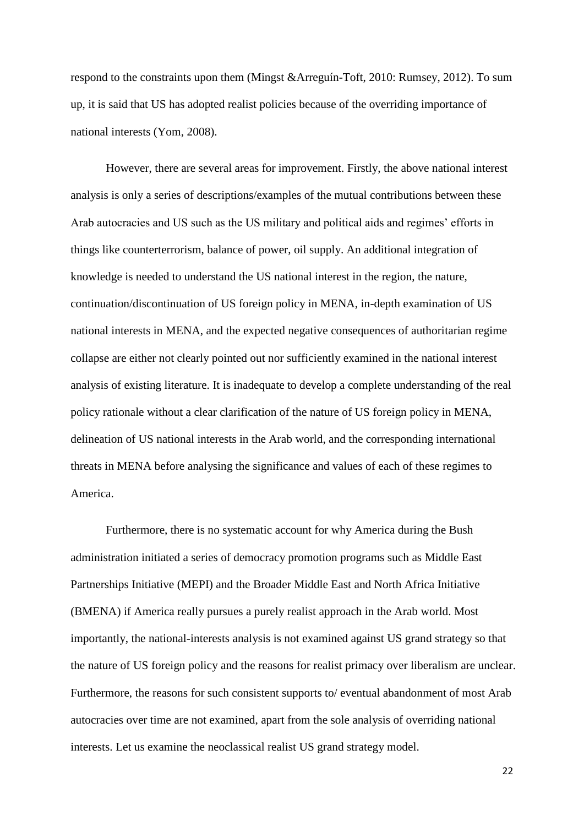respond to the constraints upon them (Mingst &Arreguín-Toft, 2010: Rumsey, 2012). To sum up, it is said that US has adopted realist policies because of the overriding importance of national interests (Yom, 2008).

However, there are several areas for improvement. Firstly, the above national interest analysis is only a series of descriptions/examples of the mutual contributions between these Arab autocracies and US such as the US military and political aids and regimes' efforts in things like counterterrorism, balance of power, oil supply. An additional integration of knowledge is needed to understand the US national interest in the region, the nature, continuation/discontinuation of US foreign policy in MENA, in-depth examination of US national interests in MENA, and the expected negative consequences of authoritarian regime collapse are either not clearly pointed out nor sufficiently examined in the national interest analysis of existing literature. It is inadequate to develop a complete understanding of the real policy rationale without a clear clarification of the nature of US foreign policy in MENA, delineation of US national interests in the Arab world, and the corresponding international threats in MENA before analysing the significance and values of each of these regimes to America.

Furthermore, there is no systematic account for why America during the Bush administration initiated a series of democracy promotion programs such as Middle East Partnerships Initiative (MEPI) and the Broader Middle East and North Africa Initiative (BMENA) if America really pursues a purely realist approach in the Arab world. Most importantly, the national-interests analysis is not examined against US grand strategy so that the nature of US foreign policy and the reasons for realist primacy over liberalism are unclear. Furthermore, the reasons for such consistent supports to/ eventual abandonment of most Arab autocracies over time are not examined, apart from the sole analysis of overriding national interests. Let us examine the neoclassical realist US grand strategy model.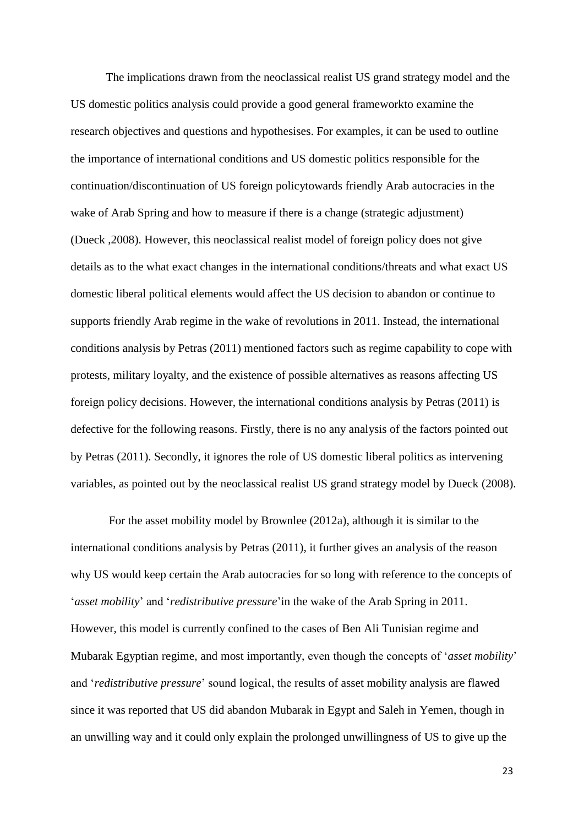The implications drawn from the neoclassical realist US grand strategy model and the US domestic politics analysis could provide a good general frameworkto examine the research objectives and questions and hypothesises. For examples, it can be used to outline the importance of international conditions and US domestic politics responsible for the continuation/discontinuation of US foreign policytowards friendly Arab autocracies in the wake of Arab Spring and how to measure if there is a change (strategic adjustment) (Dueck ,2008). However, this neoclassical realist model of foreign policy does not give details as to the what exact changes in the international conditions/threats and what exact US domestic liberal political elements would affect the US decision to abandon or continue to supports friendly Arab regime in the wake of revolutions in 2011. Instead, the international conditions analysis by Petras (2011) mentioned factors such as regime capability to cope with protests, military loyalty, and the existence of possible alternatives as reasons affecting US foreign policy decisions. However, the international conditions analysis by Petras (2011) is defective for the following reasons. Firstly, there is no any analysis of the factors pointed out by Petras (2011). Secondly, it ignores the role of US domestic liberal politics as intervening variables, as pointed out by the neoclassical realist US grand strategy model by Dueck (2008).

For the asset mobility model by Brownlee (2012a), although it is similar to the international conditions analysis by Petras (2011), it further gives an analysis of the reason why US would keep certain the Arab autocracies for so long with reference to the concepts of '*asset mobility*' and '*redistributive pressure*'in the wake of the Arab Spring in 2011. However, this model is currently confined to the cases of Ben Ali Tunisian regime and Mubarak Egyptian regime, and most importantly, even though the concepts of '*asset mobility*' and '*redistributive pressure*' sound logical, the results of asset mobility analysis are flawed since it was reported that US did abandon Mubarak in Egypt and Saleh in Yemen, though in an unwilling way and it could only explain the prolonged unwillingness of US to give up the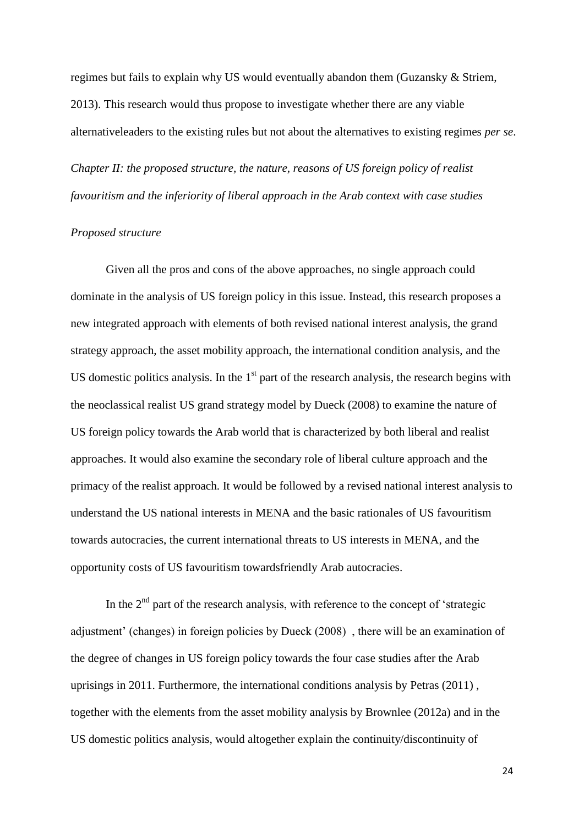regimes but fails to explain why US would eventually abandon them (Guzansky & Striem, 2013). This research would thus propose to investigate whether there are any viable alternativeleaders to the existing rules but not about the alternatives to existing regimes *per se*.

*Chapter II: the proposed structure, the nature, reasons of US foreign policy of realist favouritism and the inferiority of liberal approach in the Arab context with case studies*

#### *Proposed structure*

Given all the pros and cons of the above approaches, no single approach could dominate in the analysis of US foreign policy in this issue. Instead, this research proposes a new integrated approach with elements of both revised national interest analysis, the grand strategy approach, the asset mobility approach, the international condition analysis, and the US domestic politics analysis. In the  $1<sup>st</sup>$  part of the research analysis, the research begins with the neoclassical realist US grand strategy model by Dueck (2008) to examine the nature of US foreign policy towards the Arab world that is characterized by both liberal and realist approaches. It would also examine the secondary role of liberal culture approach and the primacy of the realist approach. It would be followed by a revised national interest analysis to understand the US national interests in MENA and the basic rationales of US favouritism towards autocracies, the current international threats to US interests in MENA, and the opportunity costs of US favouritism towardsfriendly Arab autocracies.

In the  $2<sup>nd</sup>$  part of the research analysis, with reference to the concept of 'strategic adjustment' (changes) in foreign policies by Dueck (2008) , there will be an examination of the degree of changes in US foreign policy towards the four case studies after the Arab uprisings in 2011. Furthermore, the international conditions analysis by Petras (2011) , together with the elements from the asset mobility analysis by Brownlee (2012a) and in the US domestic politics analysis, would altogether explain the continuity/discontinuity of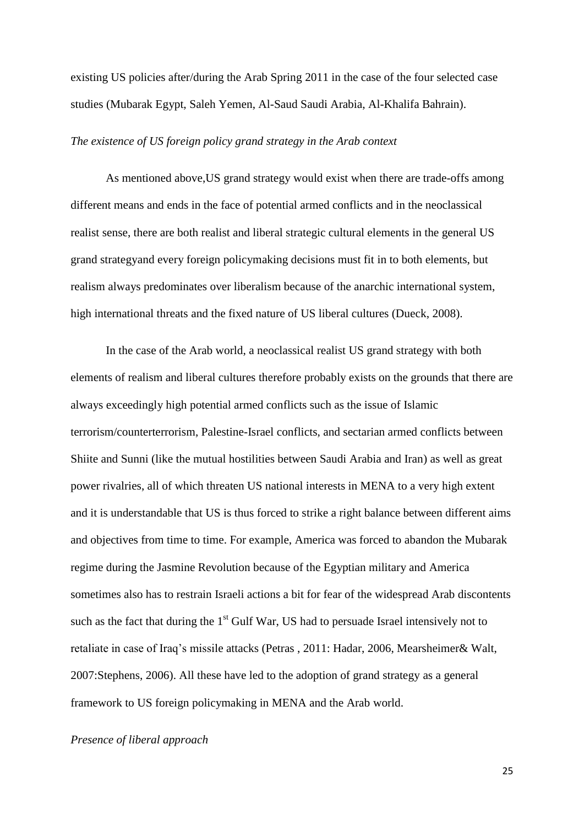existing US policies after/during the Arab Spring 2011 in the case of the four selected case studies (Mubarak Egypt, Saleh Yemen, Al-Saud Saudi Arabia, Al-Khalifa Bahrain).

#### *The existence of US foreign policy grand strategy in the Arab context*

As mentioned above,US grand strategy would exist when there are trade-offs among different means and ends in the face of potential armed conflicts and in the neoclassical realist sense, there are both realist and liberal strategic cultural elements in the general US grand strategyand every foreign policymaking decisions must fit in to both elements, but realism always predominates over liberalism because of the anarchic international system, high international threats and the fixed nature of US liberal cultures (Dueck, 2008).

In the case of the Arab world, a neoclassical realist US grand strategy with both elements of realism and liberal cultures therefore probably exists on the grounds that there are always exceedingly high potential armed conflicts such as the issue of Islamic terrorism/counterterrorism, Palestine-Israel conflicts, and sectarian armed conflicts between Shiite and Sunni (like the mutual hostilities between Saudi Arabia and Iran) as well as great power rivalries, all of which threaten US national interests in MENA to a very high extent and it is understandable that US is thus forced to strike a right balance between different aims and objectives from time to time. For example, America was forced to abandon the Mubarak regime during the Jasmine Revolution because of the Egyptian military and America sometimes also has to restrain Israeli actions a bit for fear of the widespread Arab discontents such as the fact that during the  $1<sup>st</sup>$  Gulf War, US had to persuade Israel intensively not to retaliate in case of Iraq's missile attacks (Petras , 2011: Hadar, 2006, Mearsheimer& Walt, 2007:Stephens, 2006). All these have led to the adoption of grand strategy as a general framework to US foreign policymaking in MENA and the Arab world.

#### *Presence of liberal approach*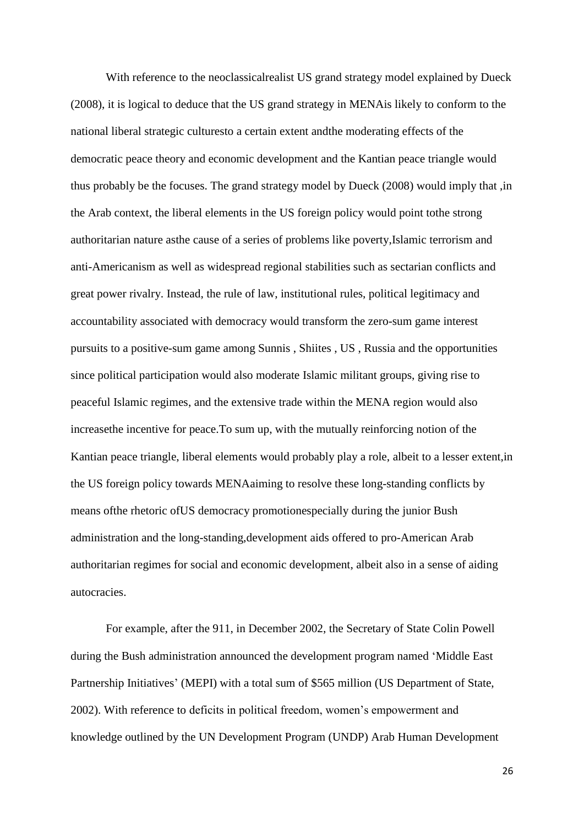With reference to the neoclassical realist US grand strategy model explained by Dueck (2008), it is logical to deduce that the US grand strategy in MENAis likely to conform to the national liberal strategic culturesto a certain extent andthe moderating effects of the democratic peace theory and economic development and the Kantian peace triangle would thus probably be the focuses. The grand strategy model by Dueck (2008) would imply that ,in the Arab context, the liberal elements in the US foreign policy would point tothe strong authoritarian nature asthe cause of a series of problems like poverty,Islamic terrorism and anti-Americanism as well as widespread regional stabilities such as sectarian conflicts and great power rivalry. Instead, the rule of law, institutional rules, political legitimacy and accountability associated with democracy would transform the zero-sum game interest pursuits to a positive-sum game among Sunnis , Shiites , US , Russia and the opportunities since political participation would also moderate Islamic militant groups, giving rise to peaceful Islamic regimes, and the extensive trade within the MENA region would also increasethe incentive for peace.To sum up, with the mutually reinforcing notion of the Kantian peace triangle, liberal elements would probably play a role, albeit to a lesser extent,in the US foreign policy towards MENAaiming to resolve these long-standing conflicts by means ofthe rhetoric ofUS democracy promotionespecially during the junior Bush administration and the long-standing,development aids offered to pro-American Arab authoritarian regimes for social and economic development, albeit also in a sense of aiding autocracies.

For example, after the 911, in December 2002, the Secretary of State Colin Powell during the Bush administration announced the development program named 'Middle East Partnership Initiatives' (MEPI) with a total sum of \$565 million (US Department of State, 2002). With reference to deficits in political freedom, women's empowerment and knowledge outlined by the UN Development Program (UNDP) Arab Human Development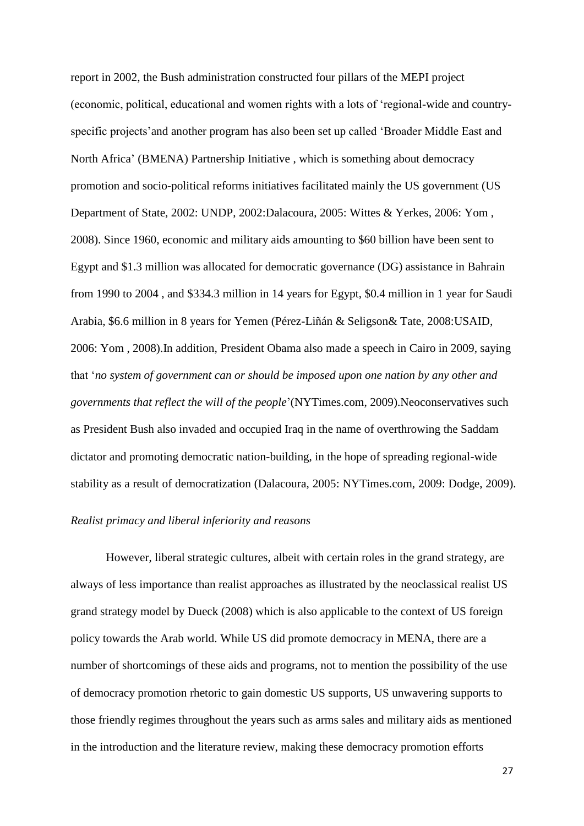report in 2002, the Bush administration constructed four pillars of the MEPI project (economic, political, educational and women rights with a lots of 'regional-wide and countryspecific projects'and another program has also been set up called 'Broader Middle East and North Africa' (BMENA) Partnership Initiative , which is something about democracy promotion and socio-political reforms initiatives facilitated mainly the US government (US Department of State, 2002: UNDP, 2002:Dalacoura, 2005: Wittes & Yerkes, 2006: Yom , 2008). Since 1960, economic and military aids amounting to \$60 billion have been sent to Egypt and \$1.3 million was allocated for democratic governance (DG) assistance in Bahrain from 1990 to 2004 , and \$334.3 million in 14 years for Egypt, \$0.4 million in 1 year for Saudi Arabia, \$6.6 million in 8 years for Yemen (Pérez-Liñán & Seligson& Tate, 2008:USAID, 2006: Yom , 2008).In addition, President Obama also made a speech in Cairo in 2009, saying that '*no system of government can or should be imposed upon one nation by any other and governments that reflect the will of the people*'(NYTimes.com, 2009).Neoconservatives such as President Bush also invaded and occupied Iraq in the name of overthrowing the Saddam dictator and promoting democratic nation-building, in the hope of spreading regional-wide stability as a result of democratization (Dalacoura, 2005: NYTimes.com, 2009: Dodge, 2009).

#### *Realist primacy and liberal inferiority and reasons*

However, liberal strategic cultures, albeit with certain roles in the grand strategy, are always of less importance than realist approaches as illustrated by the neoclassical realist US grand strategy model by Dueck (2008) which is also applicable to the context of US foreign policy towards the Arab world. While US did promote democracy in MENA, there are a number of shortcomings of these aids and programs, not to mention the possibility of the use of democracy promotion rhetoric to gain domestic US supports, US unwavering supports to those friendly regimes throughout the years such as arms sales and military aids as mentioned in the introduction and the literature review, making these democracy promotion efforts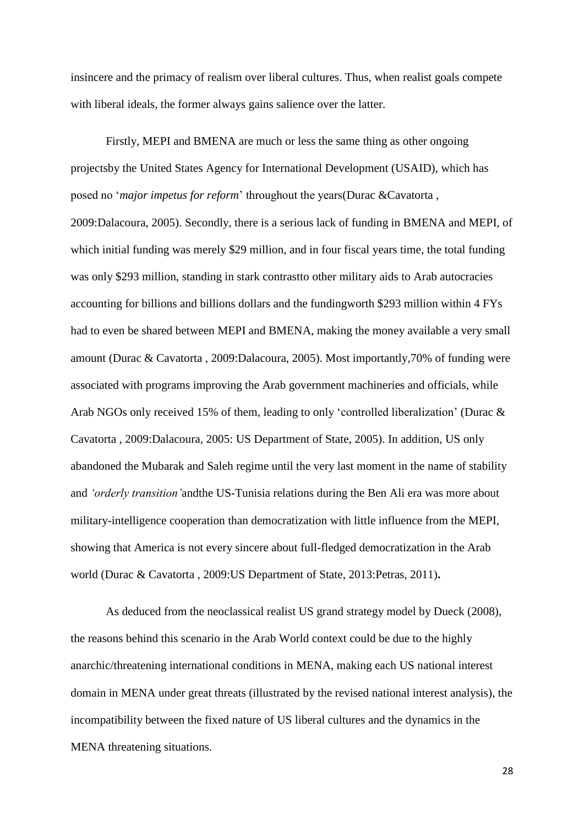insincere and the primacy of realism over liberal cultures. Thus, when realist goals compete with liberal ideals, the former always gains salience over the latter.

Firstly, MEPI and BMENA are much or less the same thing as other ongoing projectsby the United States Agency for International Development (USAID), which has posed no '*major impetus for reform*' throughout the years(Durac &Cavatorta , 2009:Dalacoura, 2005). Secondly, there is a serious lack of funding in BMENA and MEPI, of which initial funding was merely \$29 million, and in four fiscal years time, the total funding was only \$293 million, standing in stark contrastto other military aids to Arab autocracies accounting for billions and billions dollars and the fundingworth \$293 million within 4 FYs had to even be shared between MEPI and BMENA, making the money available a very small amount (Durac & Cavatorta , 2009:Dalacoura, 2005). Most importantly,70% of funding were associated with programs improving the Arab government machineries and officials, while Arab NGOs only received 15% of them, leading to only 'controlled liberalization' (Durac & Cavatorta , 2009:Dalacoura, 2005: US Department of State, 2005). In addition, US only abandoned the Mubarak and Saleh regime until the very last moment in the name of stability and *'orderly transition'*andthe US-Tunisia relations during the Ben Ali era was more about military-intelligence cooperation than democratization with little influence from the MEPI, showing that America is not every sincere about full-fledged democratization in the Arab world (Durac & Cavatorta , 2009:US Department of State, 2013:Petras, 2011)**.**

As deduced from the neoclassical realist US grand strategy model by Dueck (2008), the reasons behind this scenario in the Arab World context could be due to the highly anarchic/threatening international conditions in MENA, making each US national interest domain in MENA under great threats (illustrated by the revised national interest analysis), the incompatibility between the fixed nature of US liberal cultures and the dynamics in the MENA threatening situations.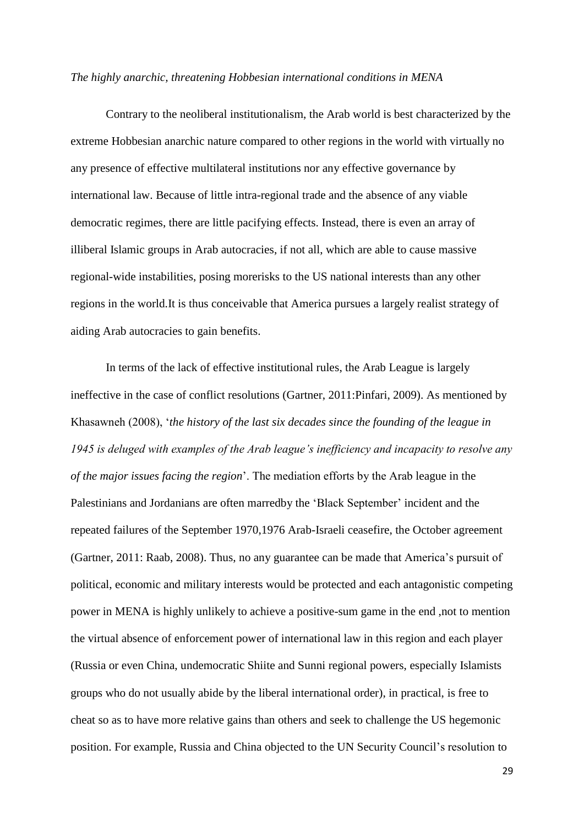#### *The highly anarchic, threatening Hobbesian international conditions in MENA*

Contrary to the neoliberal institutionalism, the Arab world is best characterized by the extreme Hobbesian anarchic nature compared to other regions in the world with virtually no any presence of effective multilateral institutions nor any effective governance by international law. Because of little intra-regional trade and the absence of any viable democratic regimes, there are little pacifying effects. Instead, there is even an array of illiberal Islamic groups in Arab autocracies, if not all, which are able to cause massive regional-wide instabilities, posing morerisks to the US national interests than any other regions in the world.It is thus conceivable that America pursues a largely realist strategy of aiding Arab autocracies to gain benefits.

In terms of the lack of effective institutional rules, the Arab League is largely ineffective in the case of conflict resolutions (Gartner, 2011:Pinfari, 2009). As mentioned by Khasawneh (2008), '*the history of the last six decades since the founding of the league in 1945 is deluged with examples of the Arab league's inefficiency and incapacity to resolve any of the major issues facing the region*'. The mediation efforts by the Arab league in the Palestinians and Jordanians are often marredby the 'Black September' incident and the repeated failures of the September 1970,1976 Arab-Israeli ceasefire, the October agreement (Gartner, 2011: Raab, 2008). Thus, no any guarantee can be made that America's pursuit of political, economic and military interests would be protected and each antagonistic competing power in MENA is highly unlikely to achieve a positive-sum game in the end ,not to mention the virtual absence of enforcement power of international law in this region and each player (Russia or even China, undemocratic Shiite and Sunni regional powers, especially Islamists groups who do not usually abide by the liberal international order), in practical, is free to cheat so as to have more relative gains than others and seek to challenge the US hegemonic position. For example, Russia and China objected to the UN Security Council's resolution to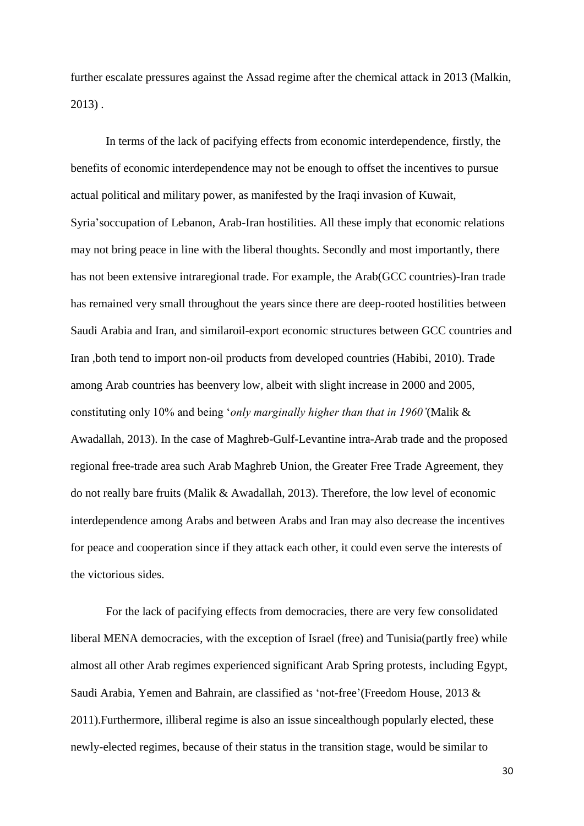further escalate pressures against the Assad regime after the chemical attack in 2013 (Malkin, 2013) .

In terms of the lack of pacifying effects from economic interdependence, firstly, the benefits of economic interdependence may not be enough to offset the incentives to pursue actual political and military power, as manifested by the Iraqi invasion of Kuwait, Syria'soccupation of Lebanon, Arab-Iran hostilities. All these imply that economic relations may not bring peace in line with the liberal thoughts. Secondly and most importantly, there has not been extensive intraregional trade. For example*,* the Arab(GCC countries)-Iran trade has remained very small throughout the years since there are deep-rooted hostilities between Saudi Arabia and Iran, and similaroil-export economic structures between GCC countries and Iran ,both tend to import non-oil products from developed countries (Habibi, 2010). Trade among Arab countries has beenvery low, albeit with slight increase in 2000 and 2005, constituting only 10% and being '*only marginally higher than that in 1960'*(Malik & Awadallah, 2013). In the case of Maghreb-Gulf-Levantine intra-Arab trade and the proposed regional free-trade area such Arab Maghreb Union, the Greater Free Trade Agreement, they do not really bare fruits (Malik & Awadallah, 2013). Therefore, the low level of economic interdependence among Arabs and between Arabs and Iran may also decrease the incentives for peace and cooperation since if they attack each other, it could even serve the interests of the victorious sides.

For the lack of pacifying effects from democracies, there are very few consolidated liberal MENA democracies, with the exception of Israel (free) and Tunisia(partly free) while almost all other Arab regimes experienced significant Arab Spring protests, including Egypt, Saudi Arabia, Yemen and Bahrain, are classified as 'not-free'(Freedom House, 2013 & 2011).Furthermore, illiberal regime is also an issue sincealthough popularly elected, these newly-elected regimes, because of their status in the transition stage, would be similar to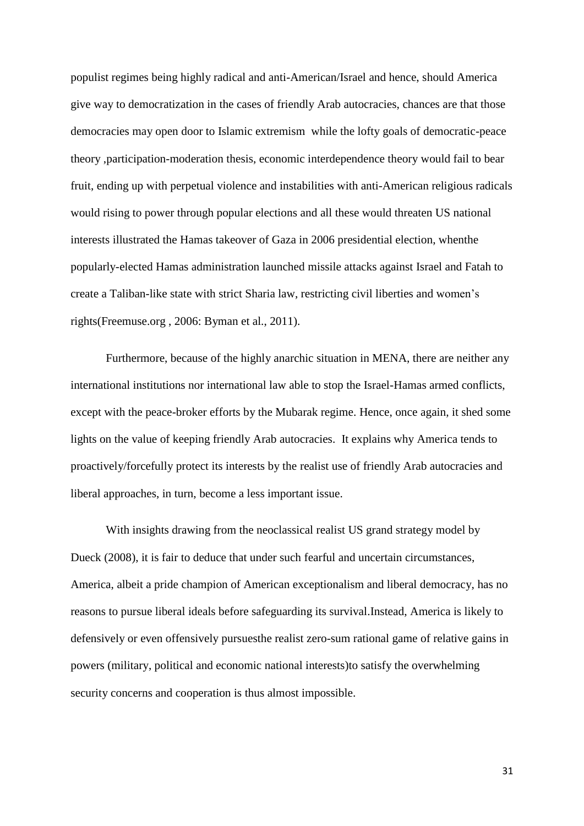populist regimes being highly radical and anti-American/Israel and hence, should America give way to democratization in the cases of friendly Arab autocracies, chances are that those democracies may open door to Islamic extremism while the lofty goals of democratic-peace theory ,participation-moderation thesis, economic interdependence theory would fail to bear fruit, ending up with perpetual violence and instabilities with anti-American religious radicals would rising to power through popular elections and all these would threaten US national interests illustrated the Hamas takeover of Gaza in 2006 presidential election, whenthe popularly-elected Hamas administration launched missile attacks against Israel and Fatah to create a Taliban-like state with strict Sharia law, restricting civil liberties and women's rights(Freemuse.org , 2006: Byman et al., 2011).

Furthermore, because of the highly anarchic situation in MENA, there are neither any international institutions nor international law able to stop the Israel-Hamas armed conflicts, except with the peace-broker efforts by the Mubarak regime. Hence, once again, it shed some lights on the value of keeping friendly Arab autocracies. It explains why America tends to proactively/forcefully protect its interests by the realist use of friendly Arab autocracies and liberal approaches, in turn, become a less important issue.

With insights drawing from the neoclassical realist US grand strategy model by Dueck (2008), it is fair to deduce that under such fearful and uncertain circumstances, America, albeit a pride champion of American exceptionalism and liberal democracy, has no reasons to pursue liberal ideals before safeguarding its survival.Instead, America is likely to defensively or even offensively pursuesthe realist zero-sum rational game of relative gains in powers (military, political and economic national interests)to satisfy the overwhelming security concerns and cooperation is thus almost impossible.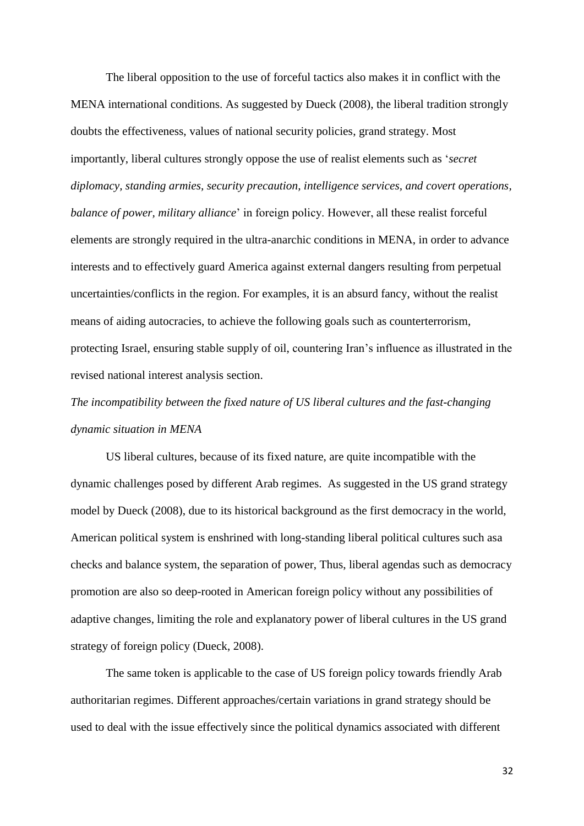The liberal opposition to the use of forceful tactics also makes it in conflict with the MENA international conditions. As suggested by Dueck (2008), the liberal tradition strongly doubts the effectiveness, values of national security policies, grand strategy. Most importantly, liberal cultures strongly oppose the use of realist elements such as '*secret diplomacy, standing armies, security precaution, intelligence services, and covert operations, balance of power, military alliance*' in foreign policy. However, all these realist forceful elements are strongly required in the ultra-anarchic conditions in MENA, in order to advance interests and to effectively guard America against external dangers resulting from perpetual uncertainties/conflicts in the region. For examples, it is an absurd fancy, without the realist means of aiding autocracies, to achieve the following goals such as counterterrorism, protecting Israel, ensuring stable supply of oil, countering Iran's influence as illustrated in the revised national interest analysis section.

# *The incompatibility between the fixed nature of US liberal cultures and the fast-changing dynamic situation in MENA*

US liberal cultures, because of its fixed nature, are quite incompatible with the dynamic challenges posed by different Arab regimes. As suggested in the US grand strategy model by Dueck (2008), due to its historical background as the first democracy in the world, American political system is enshrined with long-standing liberal political cultures such asa checks and balance system, the separation of power, Thus, liberal agendas such as democracy promotion are also so deep-rooted in American foreign policy without any possibilities of adaptive changes, limiting the role and explanatory power of liberal cultures in the US grand strategy of foreign policy (Dueck, 2008).

The same token is applicable to the case of US foreign policy towards friendly Arab authoritarian regimes. Different approaches/certain variations in grand strategy should be used to deal with the issue effectively since the political dynamics associated with different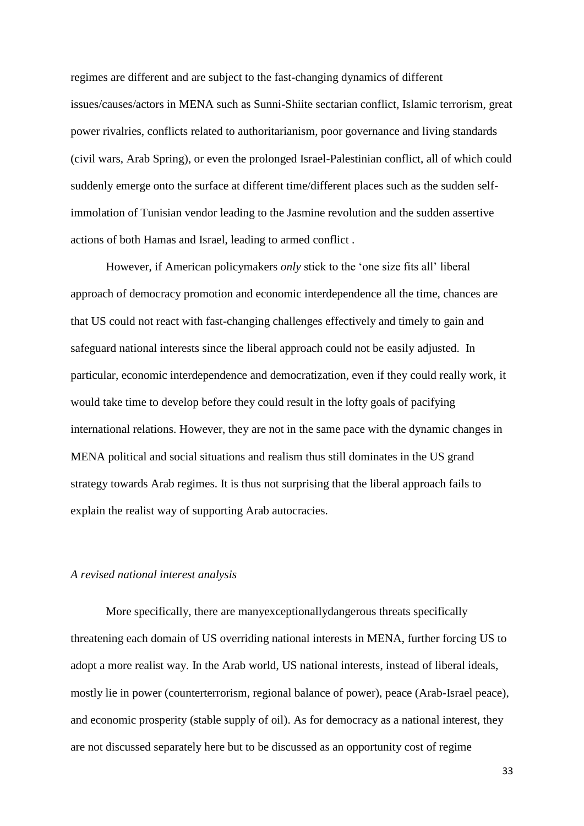regimes are different and are subject to the fast-changing dynamics of different issues/causes/actors in MENA such as Sunni-Shiite sectarian conflict, Islamic terrorism, great power rivalries, conflicts related to authoritarianism, poor governance and living standards (civil wars, Arab Spring), or even the prolonged Israel-Palestinian conflict, all of which could suddenly emerge onto the surface at different time/different places such as the sudden selfimmolation of Tunisian vendor leading to the Jasmine revolution and the sudden assertive actions of both Hamas and Israel, leading to armed conflict .

However, if American policymakers *only* stick to the 'one size fits all' liberal approach of democracy promotion and economic interdependence all the time, chances are that US could not react with fast-changing challenges effectively and timely to gain and safeguard national interests since the liberal approach could not be easily adjusted. In particular, economic interdependence and democratization, even if they could really work, it would take time to develop before they could result in the lofty goals of pacifying international relations. However, they are not in the same pace with the dynamic changes in MENA political and social situations and realism thus still dominates in the US grand strategy towards Arab regimes. It is thus not surprising that the liberal approach fails to explain the realist way of supporting Arab autocracies.

#### *A revised national interest analysis*

More specifically, there are manyexceptionallydangerous threats specifically threatening each domain of US overriding national interests in MENA, further forcing US to adopt a more realist way. In the Arab world, US national interests, instead of liberal ideals, mostly lie in power (counterterrorism, regional balance of power), peace (Arab-Israel peace), and economic prosperity (stable supply of oil). As for democracy as a national interest, they are not discussed separately here but to be discussed as an opportunity cost of regime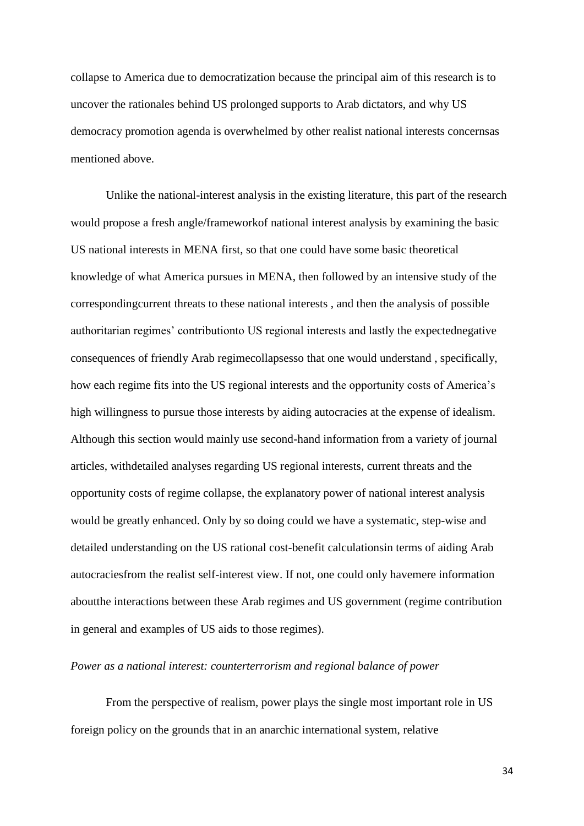collapse to America due to democratization because the principal aim of this research is to uncover the rationales behind US prolonged supports to Arab dictators, and why US democracy promotion agenda is overwhelmed by other realist national interests concernsas mentioned above.

Unlike the national-interest analysis in the existing literature, this part of the research would propose a fresh angle/frameworkof national interest analysis by examining the basic US national interests in MENA first, so that one could have some basic theoretical knowledge of what America pursues in MENA, then followed by an intensive study of the correspondingcurrent threats to these national interests , and then the analysis of possible authoritarian regimes' contributionto US regional interests and lastly the expectednegative consequences of friendly Arab regimecollapsesso that one would understand , specifically, how each regime fits into the US regional interests and the opportunity costs of America's high willingness to pursue those interests by aiding autocracies at the expense of idealism. Although this section would mainly use second-hand information from a variety of journal articles, withdetailed analyses regarding US regional interests, current threats and the opportunity costs of regime collapse, the explanatory power of national interest analysis would be greatly enhanced. Only by so doing could we have a systematic, step-wise and detailed understanding on the US rational cost-benefit calculationsin terms of aiding Arab autocraciesfrom the realist self-interest view. If not, one could only havemere information aboutthe interactions between these Arab regimes and US government (regime contribution in general and examples of US aids to those regimes).

#### *Power as a national interest: counterterrorism and regional balance of power*

From the perspective of realism, power plays the single most important role in US foreign policy on the grounds that in an anarchic international system, relative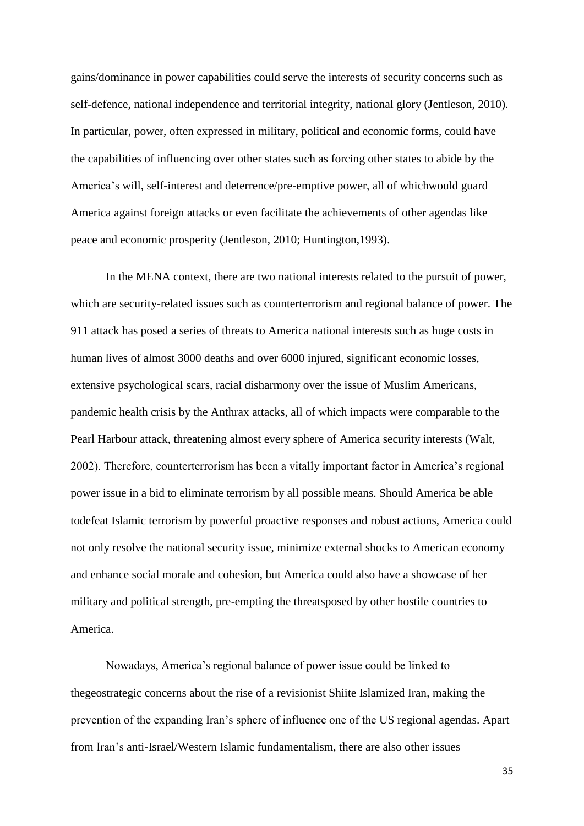gains/dominance in power capabilities could serve the interests of security concerns such as self-defence, national independence and territorial integrity, national glory (Jentleson, 2010). In particular, power, often expressed in military, political and economic forms, could have the capabilities of influencing over other states such as forcing other states to abide by the America's will, self-interest and deterrence/pre-emptive power, all of whichwould guard America against foreign attacks or even facilitate the achievements of other agendas like peace and economic prosperity (Jentleson, 2010; Huntington,1993).

In the MENA context, there are two national interests related to the pursuit of power, which are security-related issues such as counterterrorism and regional balance of power. The 911 attack has posed a series of threats to America national interests such as huge costs in human lives of almost 3000 deaths and over 6000 injured, significant economic losses, extensive psychological scars, racial disharmony over the issue of Muslim Americans, pandemic health crisis by the Anthrax attacks, all of which impacts were comparable to the Pearl Harbour attack, threatening almost every sphere of America security interests (Walt, 2002). Therefore, counterterrorism has been a vitally important factor in America's regional power issue in a bid to eliminate terrorism by all possible means. Should America be able todefeat Islamic terrorism by powerful proactive responses and robust actions, America could not only resolve the national security issue, minimize external shocks to American economy and enhance social morale and cohesion, but America could also have a showcase of her military and political strength, pre-empting the threatsposed by other hostile countries to America.

Nowadays, America's regional balance of power issue could be linked to thegeostrategic concerns about the rise of a revisionist Shiite Islamized Iran, making the prevention of the expanding Iran's sphere of influence one of the US regional agendas. Apart from Iran's anti-Israel/Western Islamic fundamentalism, there are also other issues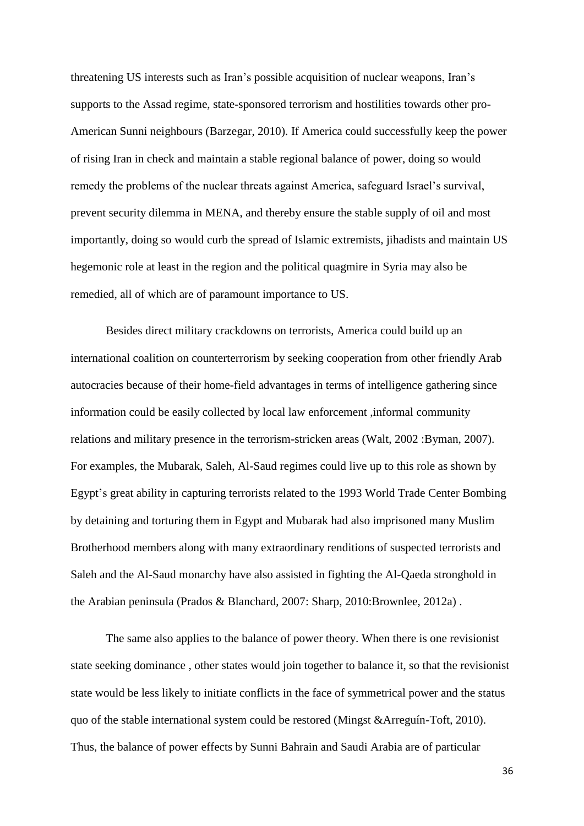threatening US interests such as Iran's possible acquisition of nuclear weapons, Iran's supports to the Assad regime, state-sponsored terrorism and hostilities towards other pro-American Sunni neighbours (Barzegar, 2010). If America could successfully keep the power of rising Iran in check and maintain a stable regional balance of power, doing so would remedy the problems of the nuclear threats against America, safeguard Israel's survival, prevent security dilemma in MENA, and thereby ensure the stable supply of oil and most importantly, doing so would curb the spread of Islamic extremists, jihadists and maintain US hegemonic role at least in the region and the political quagmire in Syria may also be remedied, all of which are of paramount importance to US.

Besides direct military crackdowns on terrorists, America could build up an international coalition on counterterrorism by seeking cooperation from other friendly Arab autocracies because of their home-field advantages in terms of intelligence gathering since information could be easily collected by local law enforcement ,informal community relations and military presence in the terrorism-stricken areas (Walt, 2002 :Byman, 2007). For examples, the Mubarak, Saleh, Al-Saud regimes could live up to this role as shown by Egypt's great ability in capturing terrorists related to the 1993 World Trade Center Bombing by detaining and torturing them in Egypt and Mubarak had also imprisoned many Muslim Brotherhood members along with many extraordinary renditions of suspected terrorists and Saleh and the Al-Saud monarchy have also assisted in fighting the Al-Qaeda stronghold in the Arabian peninsula (Prados & Blanchard, 2007: Sharp, 2010:Brownlee, 2012a) .

The same also applies to the balance of power theory. When there is one revisionist state seeking dominance , other states would join together to balance it, so that the revisionist state would be less likely to initiate conflicts in the face of symmetrical power and the status quo of the stable international system could be restored (Mingst &Arreguín-Toft, 2010). Thus, the balance of power effects by Sunni Bahrain and Saudi Arabia are of particular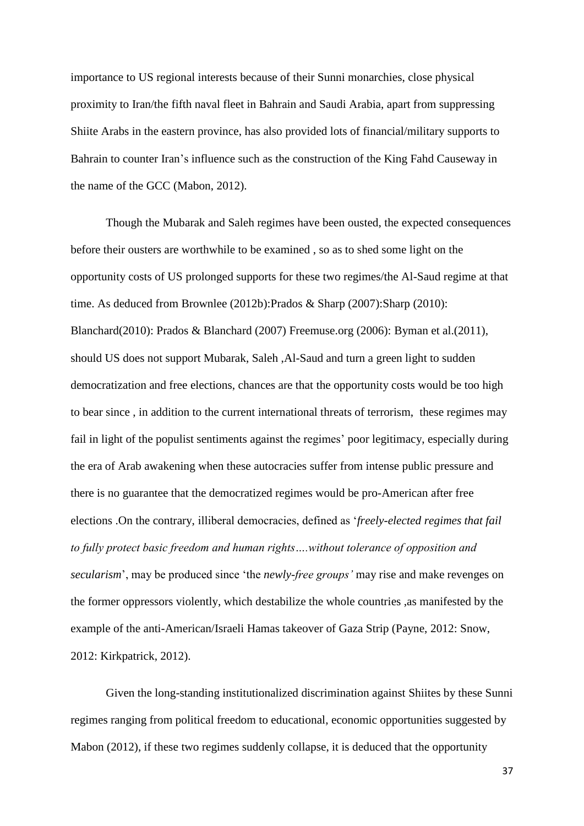importance to US regional interests because of their Sunni monarchies, close physical proximity to Iran/the fifth naval fleet in Bahrain and Saudi Arabia, apart from suppressing Shiite Arabs in the eastern province, has also provided lots of financial/military supports to Bahrain to counter Iran's influence such as the construction of the King Fahd Causeway in the name of the GCC (Mabon, 2012).

Though the Mubarak and Saleh regimes have been ousted, the expected consequences before their ousters are worthwhile to be examined , so as to shed some light on the opportunity costs of US prolonged supports for these two regimes/the Al-Saud regime at that time. As deduced from Brownlee (2012b):Prados & Sharp (2007):Sharp (2010): Blanchard(2010): Prados & Blanchard (2007) Freemuse.org (2006): Byman et al.(2011), should US does not support Mubarak, Saleh ,Al-Saud and turn a green light to sudden democratization and free elections, chances are that the opportunity costs would be too high to bear since , in addition to the current international threats of terrorism, these regimes may fail in light of the populist sentiments against the regimes' poor legitimacy, especially during the era of Arab awakening when these autocracies suffer from intense public pressure and there is no guarantee that the democratized regimes would be pro-American after free elections .On the contrary, illiberal democracies, defined as '*freely-elected regimes that fail to fully protect basic freedom and human rights….without tolerance of opposition and secularism*', may be produced since 'the *newly-free groups'* may rise and make revenges on the former oppressors violently, which destabilize the whole countries ,as manifested by the example of the anti-American/Israeli Hamas takeover of Gaza Strip (Payne, 2012: Snow, 2012: Kirkpatrick, 2012).

Given the long-standing institutionalized discrimination against Shiites by these Sunni regimes ranging from political freedom to educational, economic opportunities suggested by Mabon (2012), if these two regimes suddenly collapse, it is deduced that the opportunity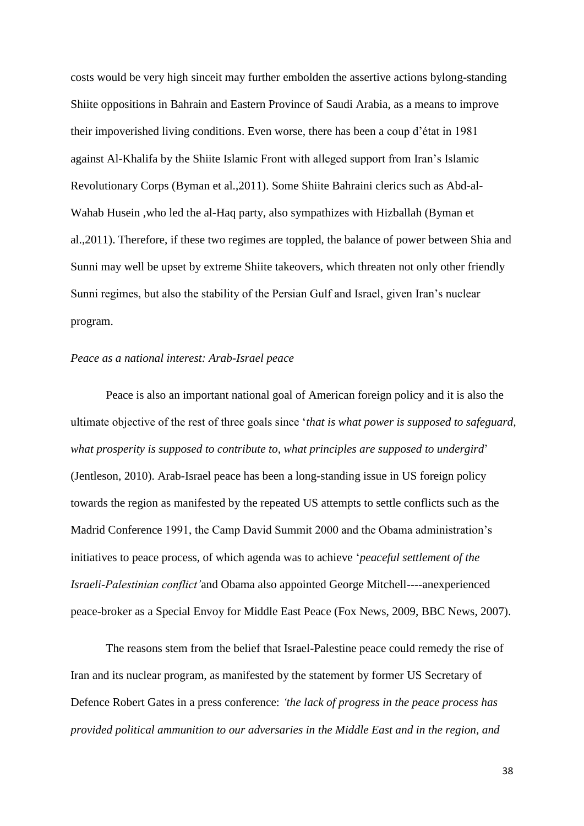costs would be very high sinceit may further embolden the assertive actions bylong-standing Shiite oppositions in Bahrain and Eastern Province of Saudi Arabia, as a means to improve their impoverished living conditions. Even worse, there has been a coup d'état in 1981 against Al-Khalifa by the Shiite Islamic Front with alleged support from Iran's Islamic Revolutionary Corps (Byman et al.,2011). Some Shiite Bahraini clerics such as Abd-al-Wahab Husein ,who led the al-Haq party, also sympathizes with Hizballah (Byman et al.,2011). Therefore, if these two regimes are toppled, the balance of power between Shia and Sunni may well be upset by extreme Shiite takeovers, which threaten not only other friendly Sunni regimes, but also the stability of the Persian Gulf and Israel, given Iran's nuclear program.

# *Peace as a national interest: Arab-Israel peace*

Peace is also an important national goal of American foreign policy and it is also the ultimate objective of the rest of three goals since '*that is what power is supposed to safeguard, what prosperity is supposed to contribute to, what principles are supposed to undergird*' (Jentleson, 2010). Arab-Israel peace has been a long-standing issue in US foreign policy towards the region as manifested by the repeated US attempts to settle conflicts such as the Madrid Conference 1991, the Camp David Summit 2000 and the Obama administration's initiatives to peace process, of which agenda was to achieve '*peaceful settlement of the Israeli-Palestinian conflict'*and Obama also appointed George Mitchell----anexperienced peace-broker as a Special Envoy for Middle East Peace (Fox News, 2009, BBC News, 2007).

The reasons stem from the belief that Israel-Palestine peace could remedy the rise of Iran and its nuclear program, as manifested by the statement by former US Secretary of Defence Robert Gates in a press conference: *'the lack of progress in the peace process has provided political ammunition to our adversaries in the Middle East and in the region, and*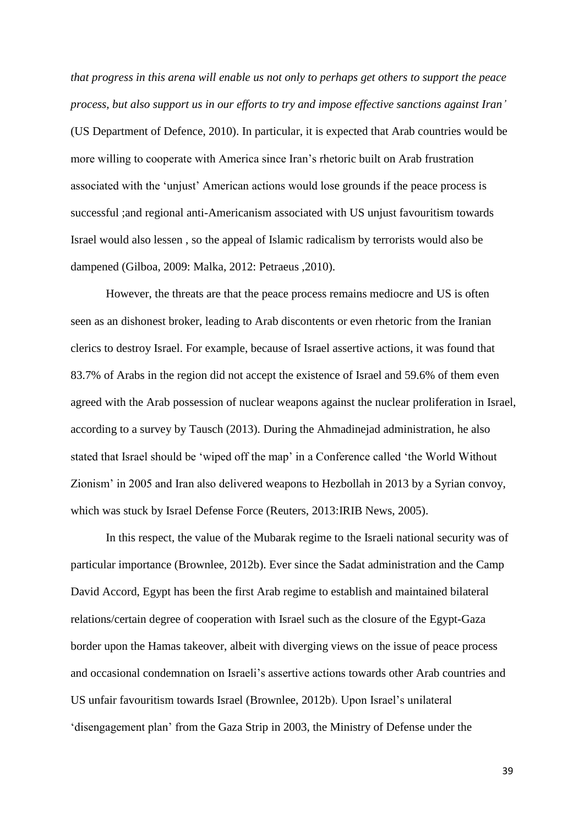*that progress in this arena will enable us not only to perhaps get others to support the peace process, but also support us in our efforts to try and impose effective sanctions against Iran'* (US Department of Defence, 2010). In particular, it is expected that Arab countries would be more willing to cooperate with America since Iran's rhetoric built on Arab frustration associated with the 'unjust' American actions would lose grounds if the peace process is successful ;and regional anti-Americanism associated with US unjust favouritism towards Israel would also lessen , so the appeal of Islamic radicalism by terrorists would also be dampened (Gilboa, 2009: Malka, 2012: Petraeus ,2010).

However, the threats are that the peace process remains mediocre and US is often seen as an dishonest broker, leading to Arab discontents or even rhetoric from the Iranian clerics to destroy Israel. For example, because of Israel assertive actions, it was found that 83.7% of Arabs in the region did not accept the existence of Israel and 59.6% of them even agreed with the Arab possession of nuclear weapons against the nuclear proliferation in Israel, according to a survey by Tausch (2013). During the Ahmadinejad administration, he also stated that Israel should be 'wiped off the map' in a Conference called 'the World Without Zionism' in 2005 and Iran also delivered weapons to Hezbollah in 2013 by a Syrian convoy, which was stuck by Israel Defense Force (Reuters, 2013:IRIB News, 2005).

In this respect, the value of the Mubarak regime to the Israeli national security was of particular importance (Brownlee, 2012b). Ever since the Sadat administration and the Camp David Accord, Egypt has been the first Arab regime to establish and maintained bilateral relations/certain degree of cooperation with Israel such as the closure of the Egypt-Gaza border upon the Hamas takeover, albeit with diverging views on the issue of peace process and occasional condemnation on Israeli's assertive actions towards other Arab countries and US unfair favouritism towards Israel (Brownlee, 2012b). Upon Israel's unilateral 'disengagement plan' from the Gaza Strip in 2003, the Ministry of Defense under the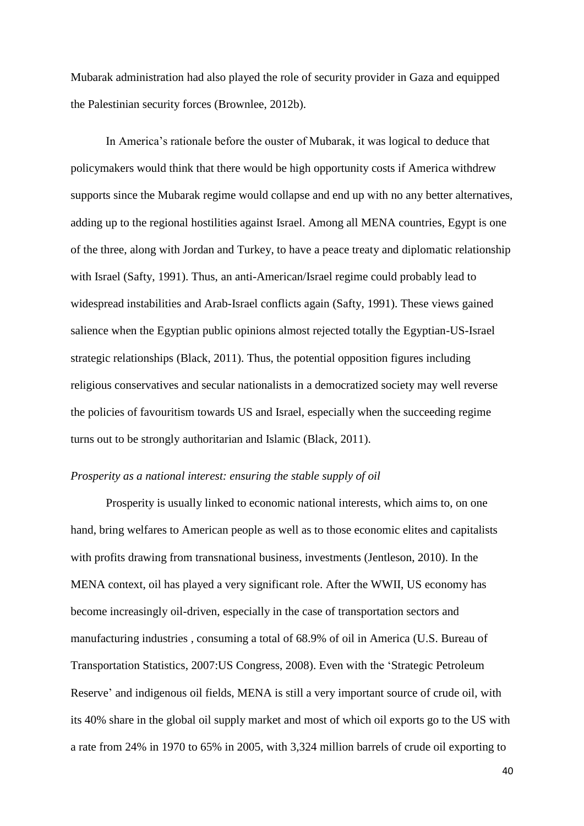Mubarak administration had also played the role of security provider in Gaza and equipped the Palestinian security forces (Brownlee, 2012b).

In America's rationale before the ouster of Mubarak, it was logical to deduce that policymakers would think that there would be high opportunity costs if America withdrew supports since the Mubarak regime would collapse and end up with no any better alternatives, adding up to the regional hostilities against Israel. Among all MENA countries, Egypt is one of the three, along with Jordan and Turkey, to have a peace treaty and diplomatic relationship with Israel (Safty, 1991). Thus, an anti-American/Israel regime could probably lead to widespread instabilities and Arab-Israel conflicts again (Safty, 1991). These views gained salience when the Egyptian public opinions almost rejected totally the Egyptian-US-Israel strategic relationships (Black, 2011). Thus, the potential opposition figures including religious conservatives and secular nationalists in a democratized society may well reverse the policies of favouritism towards US and Israel, especially when the succeeding regime turns out to be strongly authoritarian and Islamic (Black, 2011).

# *Prosperity as a national interest: ensuring the stable supply of oil*

Prosperity is usually linked to economic national interests, which aims to, on one hand, bring welfares to American people as well as to those economic elites and capitalists with profits drawing from transnational business, investments (Jentleson, 2010). In the MENA context, oil has played a very significant role. After the WWII, US economy has become increasingly oil-driven, especially in the case of transportation sectors and manufacturing industries , consuming a total of 68.9% of oil in America (U.S. [Bureau of](http://en.wikipedia.org/wiki/Bureau_of_Transportation_Statistics)  [Transportation Statistics,](http://en.wikipedia.org/wiki/Bureau_of_Transportation_Statistics) 2007:US Congress, 2008). Even with the 'Strategic Petroleum Reserve' and indigenous oil fields, MENA is still a very important source of crude oil, with its 40% share in the global oil supply market and most of which oil exports go to the US with a rate from 24% in 1970 to 65% in 2005, with 3,324 million barrels of [crude oil](http://en.wikipedia.org/wiki/Crude_oil) exporting to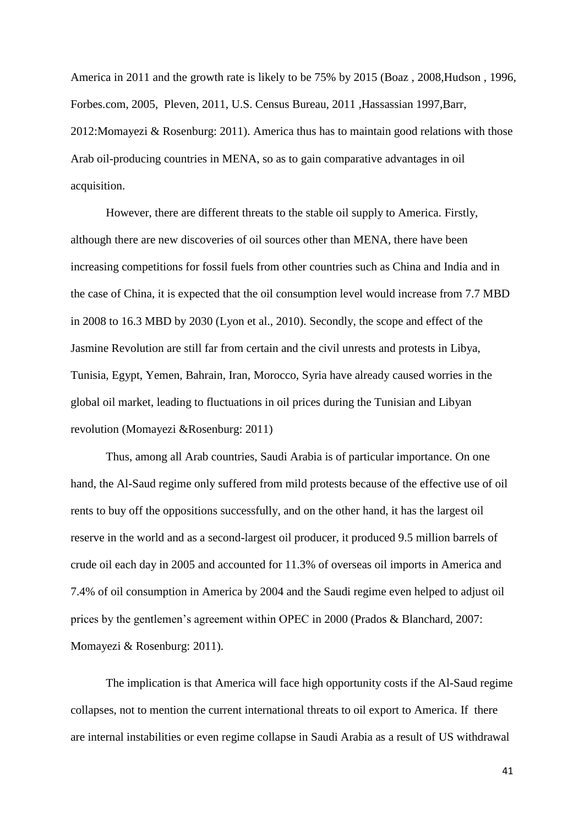America in 2011 and the growth rate is likely to be 75% by 2015 (Boaz , 2008,Hudson , 1996, Forbes.com, 2005, Pleven, 2011, U.S. Census Bureau, 2011 ,Hassassian 1997,Barr, 2012:Momayezi & Rosenburg: 2011). America thus has to maintain good relations with those Arab oil-producing countries in MENA, so as to gain comparative advantages in oil acquisition.

However, there are different threats to the stable oil supply to America. Firstly, although there are new discoveries of oil sources other than MENA, there have been increasing competitions for fossil fuels from other countries such as China and India and in the case of China, it is expected that the oil consumption level would increase from 7.7 MBD in 2008 to 16.3 MBD by 2030 (Lyon et al., 2010). Secondly, the scope and effect of the Jasmine Revolution are still far from certain and the civil unrests and protests in Libya, Tunisia, Egypt, Yemen, Bahrain, Iran, Morocco, Syria have already caused worries in the global oil market, leading to fluctuations in oil prices during the Tunisian and Libyan revolution (Momayezi &Rosenburg: 2011)

Thus, among all Arab countries, Saudi Arabia is of particular importance. On one hand, the Al-Saud regime only suffered from mild protests because of the effective use of oil rents to buy off the oppositions successfully, and on the other hand, it has the largest oil reserve in the world and as a second-largest oil producer, it produced 9.5 million barrels of crude oil each day in 2005 and accounted for 11.3% of overseas oil imports in America and 7.4% of oil consumption in America by 2004 and the Saudi regime even helped to adjust oil prices by the gentlemen's agreement within OPEC in 2000 (Prados & Blanchard, 2007: Momayezi & Rosenburg: 2011).

The implication is that America will face high opportunity costs if the Al-Saud regime collapses, not to mention the current international threats to oil export to America. If there are internal instabilities or even regime collapse in Saudi Arabia as a result of US withdrawal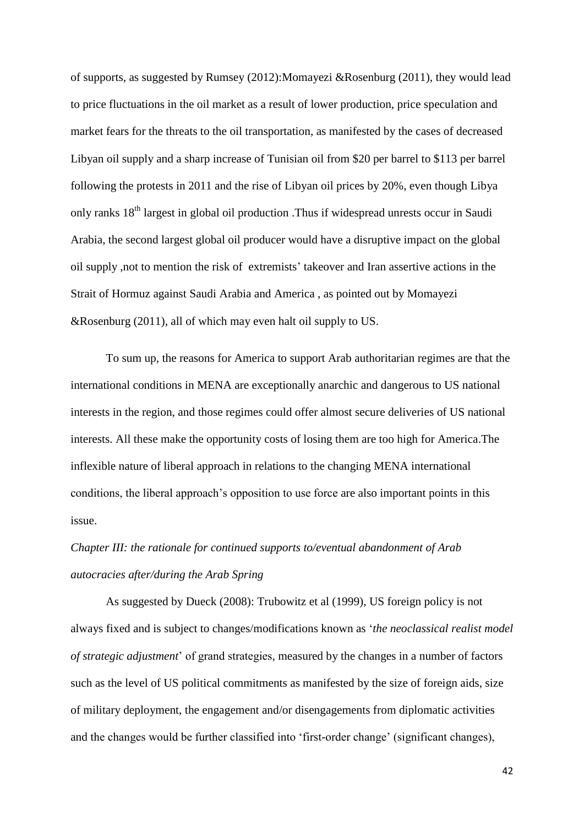of supports, as suggested by Rumsey (2012):Momayezi &Rosenburg (2011), they would lead to price fluctuations in the oil market as a result of lower production, price speculation and market fears for the threats to the oil transportation, as manifested by the cases of decreased Libyan oil supply and a sharp increase of Tunisian oil from \$20 per barrel to \$113 per barrel following the protests in 2011 and the rise of Libyan oil prices by 20%, even though Libya only ranks 18<sup>th</sup> largest in global oil production .Thus if widespread unrests occur in Saudi Arabia, the second largest global oil producer would have a disruptive impact on the global oil supply ,not to mention the risk of extremists' takeover and Iran assertive actions in the Strait of Hormuz against Saudi Arabia and America , as pointed out by Momayezi &Rosenburg (2011), all of which may even halt oil supply to US.

To sum up, the reasons for America to support Arab authoritarian regimes are that the international conditions in MENA are exceptionally anarchic and dangerous to US national interests in the region, and those regimes could offer almost secure deliveries of US national interests. All these make the opportunity costs of losing them are too high for America.The inflexible nature of liberal approach in relations to the changing MENA international conditions, the liberal approach's opposition to use force are also important points in this issue.

# *Chapter III: the rationale for continued supports to/eventual abandonment of Arab autocracies after/during the Arab Spring*

As suggested by Dueck (2008): Trubowitz et al (1999), US foreign policy is not always fixed and is subject to changes/modifications known as '*the neoclassical realist model of strategic adjustment*' of grand strategies, measured by the changes in a number of factors such as the level of US political commitments as manifested by the size of foreign aids, size of military deployment, the engagement and/or disengagements from diplomatic activities and the changes would be further classified into 'first-order change' (significant changes),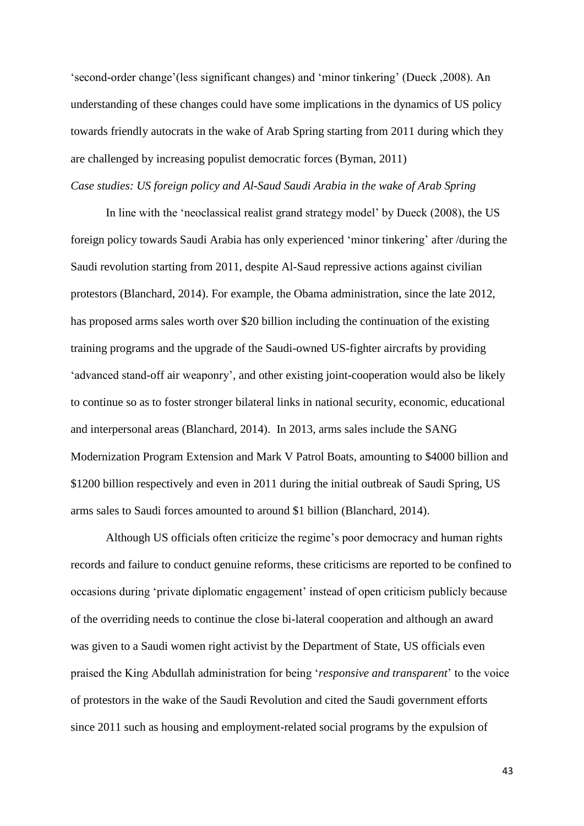'second-order change'(less significant changes) and 'minor tinkering' (Dueck ,2008). An understanding of these changes could have some implications in the dynamics of US policy towards friendly autocrats in the wake of Arab Spring starting from 2011 during which they are challenged by increasing populist democratic forces (Byman, 2011)

# *Case studies: US foreign policy and Al-Saud Saudi Arabia in the wake of Arab Spring*

In line with the 'neoclassical realist grand strategy model' by Dueck (2008), the US foreign policy towards Saudi Arabia has only experienced 'minor tinkering' after /during the Saudi revolution starting from 2011, despite Al-Saud repressive actions against civilian protestors (Blanchard, 2014). For example, the Obama administration, since the late 2012, has proposed arms sales worth over \$20 billion including the continuation of the existing training programs and the upgrade of the Saudi-owned US-fighter aircrafts by providing 'advanced stand-off air weaponry', and other existing joint-cooperation would also be likely to continue so as to foster stronger bilateral links in national security, economic, educational and interpersonal areas (Blanchard, 2014). In 2013, arms sales include the SANG Modernization Program Extension and Mark V Patrol Boats, amounting to \$4000 billion and \$1200 billion respectively and even in 2011 during the initial outbreak of Saudi Spring, US arms sales to Saudi forces amounted to around \$1 billion (Blanchard, 2014).

Although US officials often criticize the regime's poor democracy and human rights records and failure to conduct genuine reforms, these criticisms are reported to be confined to occasions during 'private diplomatic engagement' instead of open criticism publicly because of the overriding needs to continue the close bi-lateral cooperation and although an award was given to a Saudi women right activist by the Department of State, US officials even praised the King Abdullah administration for being '*responsive and transparent*' to the voice of protestors in the wake of the Saudi Revolution and cited the Saudi government efforts since 2011 such as housing and employment-related social programs by the expulsion of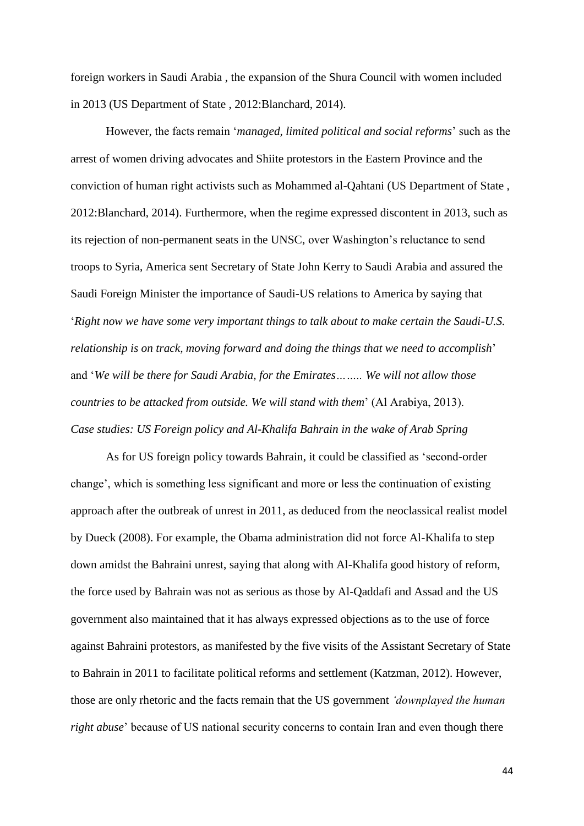foreign workers in Saudi Arabia , the expansion of the Shura Council with women included in 2013 (US Department of State , 2012:Blanchard, 2014).

However, the facts remain '*managed, limited political and social reforms*' such as the arrest of women driving advocates and Shiite protestors in the Eastern Province and the conviction of human right activists such as Mohammed al-Qahtani (US Department of State , 2012:Blanchard, 2014). Furthermore, when the regime expressed discontent in 2013, such as its rejection of non-permanent seats in the UNSC, over Washington's reluctance to send troops to Syria, America sent Secretary of State John Kerry to Saudi Arabia and assured the Saudi Foreign Minister the importance of Saudi-US relations to America by saying that '*Right now we have some very important things to talk about to make certain the Saudi-U.S. relationship is on track, moving forward and doing the things that we need to accomplish*' and '*We will be there for Saudi Arabia, for the Emirates…….. We will not allow those countries to be attacked from outside. We will stand with them*' (Al Arabiya, 2013). *Case studies: US Foreign policy and Al-Khalifa Bahrain in the wake of Arab Spring*

As for US foreign policy towards Bahrain, it could be classified as 'second-order change', which is something less significant and more or less the continuation of existing approach after the outbreak of unrest in 2011, as deduced from the neoclassical realist model by Dueck (2008). For example, the Obama administration did not force Al-Khalifa to step down amidst the Bahraini unrest, saying that along with Al-Khalifa good history of reform, the force used by Bahrain was not as serious as those by Al-Qaddafi and Assad and the US government also maintained that it has always expressed objections as to the use of force against Bahraini protestors, as manifested by the five visits of the Assistant Secretary of State to Bahrain in 2011 to facilitate political reforms and settlement (Katzman, 2012). However, those are only rhetoric and the facts remain that the US government *'downplayed the human right abuse*' because of US national security concerns to contain Iran and even though there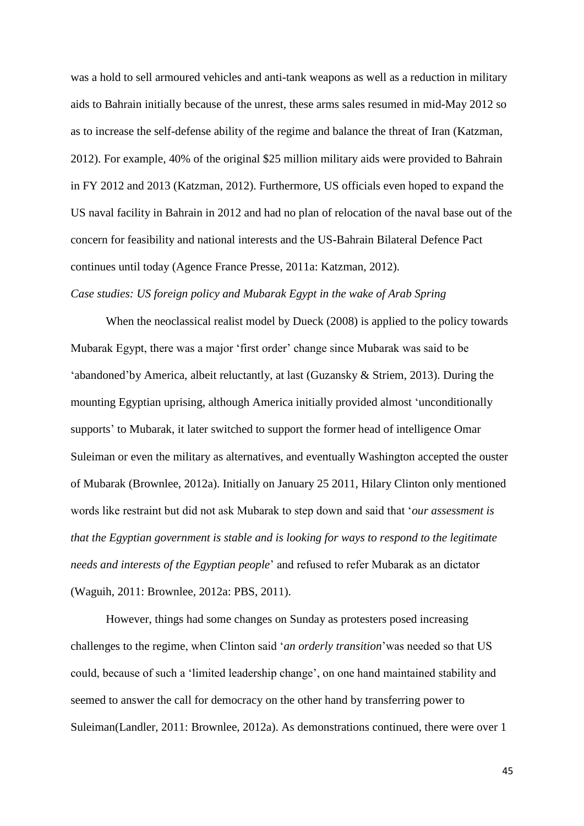was a hold to sell armoured vehicles and anti-tank weapons as well as a reduction in military aids to Bahrain initially because of the unrest, these arms sales resumed in mid-May 2012 so as to increase the self-defense ability of the regime and balance the threat of Iran (Katzman, 2012). For example, 40% of the original \$25 million military aids were provided to Bahrain in FY 2012 and 2013 (Katzman, 2012). Furthermore, US officials even hoped to expand the US naval facility in Bahrain in 2012 and had no plan of relocation of the naval base out of the concern for feasibility and national interests and the US-Bahrain Bilateral Defence Pact continues until today (Agence France Presse, 2011a: Katzman, 2012).

# *Case studies: US foreign policy and Mubarak Egypt in the wake of Arab Spring*

When the neoclassical realist model by Dueck (2008) is applied to the policy towards Mubarak Egypt, there was a major 'first order' change since Mubarak was said to be 'abandoned'by America, albeit reluctantly, at last (Guzansky & Striem, 2013). During the mounting Egyptian uprising, although America initially provided almost 'unconditionally supports' to Mubarak, it later switched to support the former head of intelligence Omar Suleiman or even the military as alternatives, and eventually Washington accepted the ouster of Mubarak (Brownlee, 2012a). Initially on January 25 2011, Hilary Clinton only mentioned words like restraint but did not ask Mubarak to step down and said that '*our assessment is that the Egyptian government is stable and is looking for ways to respond to the legitimate needs and interests of the Egyptian people*' and refused to refer Mubarak as an dictator (Waguih, 2011: Brownlee, 2012a: PBS, 2011).

However, things had some changes on Sunday as protesters posed increasing challenges to the regime, when Clinton said '*an orderly transition*'was needed so that US could, because of such a 'limited leadership change', on one hand maintained stability and seemed to answer the call for democracy on the other hand by transferring power to Suleiman(Landler, 2011: Brownlee, 2012a). As demonstrations continued, there were over 1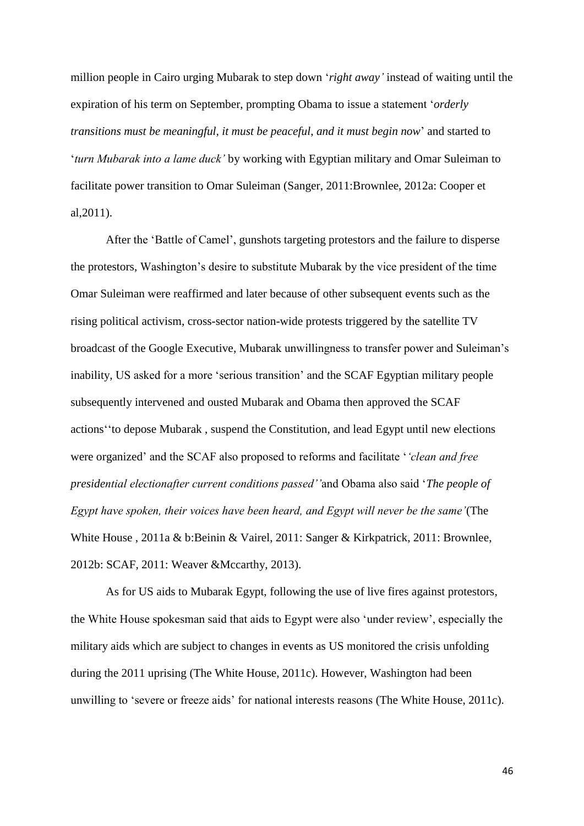million people in Cairo urging Mubarak to step down '*right away'* instead of waiting until the expiration of his term on September, prompting Obama to issue a statement '*orderly transitions must be meaningful, it must be peaceful, and it must begin now*' and started to '*turn Mubarak into a lame duck'* by working with Egyptian military and Omar Suleiman to facilitate power transition to Omar Suleiman (Sanger, 2011:Brownlee, 2012a: Cooper et al,2011).

After the 'Battle of Camel', gunshots targeting protestors and the failure to disperse the protestors, Washington's desire to substitute Mubarak by the vice president of the time Omar Suleiman were reaffirmed and later because of other subsequent events such as the rising political activism, cross-sector nation-wide protests triggered by the satellite TV broadcast of the Google Executive, Mubarak unwillingness to transfer power and Suleiman's inability, US asked for a more 'serious transition' and the SCAF Egyptian military people subsequently intervened and ousted Mubarak and Obama then approved the SCAF actions''to depose Mubarak , suspend the Constitution, and lead Egypt until new elections were organized' and the SCAF also proposed to reforms and facilitate '*'clean and free presidential electionafter current conditions passed''*and Obama also said '*The people of Egypt have spoken, their voices have been heard, and Egypt will never be the same'*(The White House , 2011a & b:Beinin & Vairel, 2011: Sanger & Kirkpatrick, 2011: Brownlee, 2012b: SCAF, 2011: Weaver &Mccarthy, 2013).

As for US aids to Mubarak Egypt, following the use of live fires against protestors, the White House spokesman said that aids to Egypt were also 'under review', especially the military aids which are subject to changes in events as US monitored the crisis unfolding during the 2011 uprising (The White House, 2011c). However, Washington had been unwilling to 'severe or freeze aids' for national interests reasons (The White House, 2011c).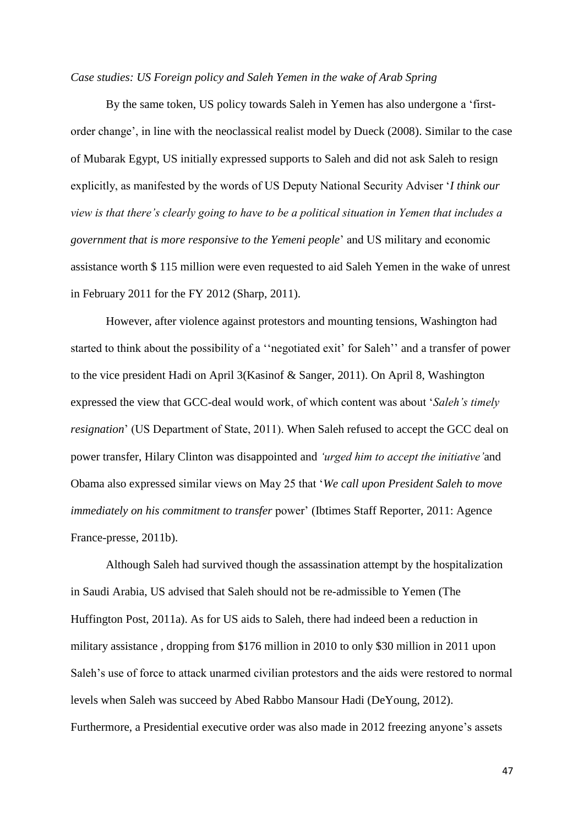#### *Case studies: US Foreign policy and Saleh Yemen in the wake of Arab Spring*

By the same token, US policy towards Saleh in Yemen has also undergone a 'firstorder change', in line with the neoclassical realist model by Dueck (2008). Similar to the case of Mubarak Egypt, US initially expressed supports to Saleh and did not ask Saleh to resign explicitly, as manifested by the words of US Deputy National Security Adviser '*I think our view is that there's clearly going to have to be a political situation in Yemen that includes a government that is more responsive to the Yemeni people*' and US military and economic assistance worth \$ 115 million were even requested to aid Saleh Yemen in the wake of unrest in February 2011 for the FY 2012 (Sharp, 2011).

However, after violence against protestors and mounting tensions, Washington had started to think about the possibility of a ''negotiated exit' for Saleh'' and a transfer of power to the vice president Hadi on April 3(Kasinof & Sanger, 2011). On April 8, Washington expressed the view that GCC-deal would work, of which content was about '*Saleh's timely resignation*' (US Department of State, 2011). When Saleh refused to accept the GCC deal on power transfer, Hilary Clinton was disappointed and *'urged him to accept the initiative'*and Obama also expressed similar views on May 25 that '*We call upon President Saleh to move immediately on his commitment to transfer* power' (Ibtimes Staff Reporter, 2011: Agence France-presse, 2011b).

Although Saleh had survived though the assassination attempt by the hospitalization in Saudi Arabia, US advised that Saleh should not be re-admissible to Yemen (The Huffington Post, 2011a). As for US aids to Saleh, there had indeed been a reduction in military assistance , dropping from \$176 million in 2010 to only \$30 million in 2011 upon Saleh's use of force to attack unarmed civilian protestors and the aids were restored to normal levels when Saleh was succeed by Abed Rabbo Mansour Hadi (DeYoung, 2012). Furthermore, a Presidential executive order was also made in 2012 freezing anyone's assets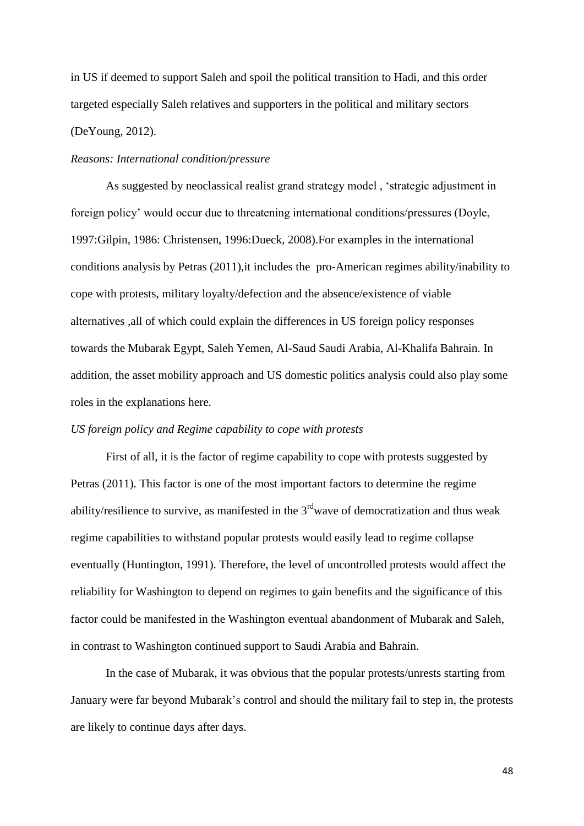in US if deemed to support Saleh and spoil the political transition to Hadi, and this order targeted especially Saleh relatives and supporters in the political and military sectors (DeYoung, 2012).

#### *Reasons: International condition/pressure*

As suggested by neoclassical realist grand strategy model , 'strategic adjustment in foreign policy' would occur due to threatening international conditions/pressures (Doyle, 1997:Gilpin, 1986: Christensen, 1996:Dueck, 2008).For examples in the international conditions analysis by Petras (2011),it includes the pro-American regimes ability/inability to cope with protests, military loyalty/defection and the absence/existence of viable alternatives ,all of which could explain the differences in US foreign policy responses towards the Mubarak Egypt, Saleh Yemen, Al-Saud Saudi Arabia, Al-Khalifa Bahrain. In addition, the asset mobility approach and US domestic politics analysis could also play some roles in the explanations here.

# *US foreign policy and Regime capability to cope with protests*

First of all, it is the factor of regime capability to cope with protests suggested by Petras (2011). This factor is one of the most important factors to determine the regime ability/resilience to survive, as manifested in the  $3<sup>rd</sup>$  wave of democratization and thus weak regime capabilities to withstand popular protests would easily lead to regime collapse eventually (Huntington, 1991). Therefore, the level of uncontrolled protests would affect the reliability for Washington to depend on regimes to gain benefits and the significance of this factor could be manifested in the Washington eventual abandonment of Mubarak and Saleh, in contrast to Washington continued support to Saudi Arabia and Bahrain.

In the case of Mubarak, it was obvious that the popular protests/unrests starting from January were far beyond Mubarak's control and should the military fail to step in, the protests are likely to continue days after days.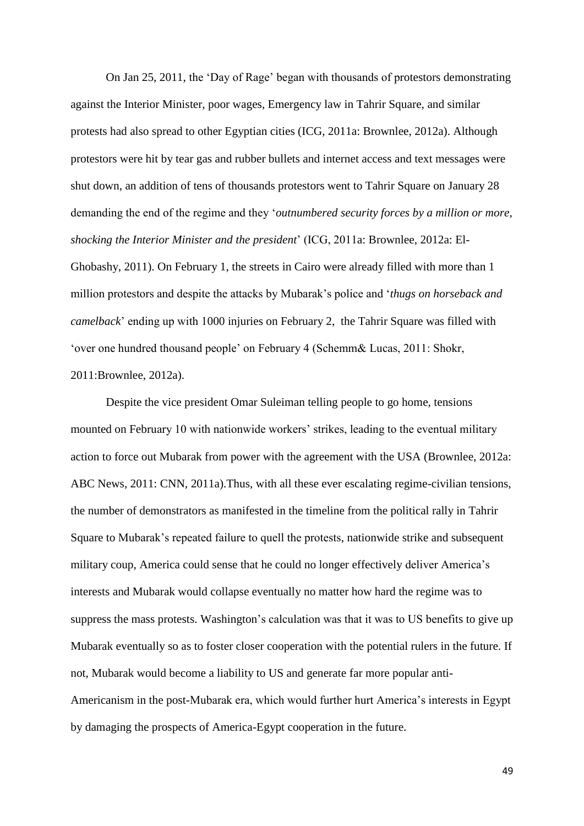On Jan 25, 2011, the 'Day of Rage' began with thousands of protestors demonstrating against the Interior Minister, poor wages, Emergency law in Tahrir Square, and similar protests had also spread to other Egyptian cities (ICG, 2011a: Brownlee, 2012a). Although protestors were hit by tear gas and rubber bullets and internet access and text messages were shut down, an addition of tens of thousands protestors went to Tahrir Square on January 28 demanding the end of the regime and they '*outnumbered security forces by a million or more, shocking the Interior Minister and the president*' (ICG, 2011a: Brownlee, 2012a: El-Ghobashy, 2011). On February 1, the streets in Cairo were already filled with more than 1 million protestors and despite the attacks by Mubarak's police and '*thugs on horseback and camelback*' ending up with 1000 injuries on February 2, the Tahrir Square was filled with 'over one hundred thousand people' on February 4 (Schemm& Lucas, 2011: Shokr, 2011:Brownlee, 2012a).

Despite the vice president Omar Suleiman telling people to go home, tensions mounted on February 10 with nationwide workers' strikes, leading to the eventual military action to force out Mubarak from power with the agreement with the USA (Brownlee, 2012a: ABC News, 2011: CNN, 2011a).Thus, with all these ever escalating regime-civilian tensions, the number of demonstrators as manifested in the timeline from the political rally in Tahrir Square to Mubarak's repeated failure to quell the protests, nationwide strike and subsequent military coup, America could sense that he could no longer effectively deliver America's interests and Mubarak would collapse eventually no matter how hard the regime was to suppress the mass protests. Washington's calculation was that it was to US benefits to give up Mubarak eventually so as to foster closer cooperation with the potential rulers in the future. If not, Mubarak would become a liability to US and generate far more popular anti-Americanism in the post-Mubarak era, which would further hurt America's interests in Egypt by damaging the prospects of America-Egypt cooperation in the future.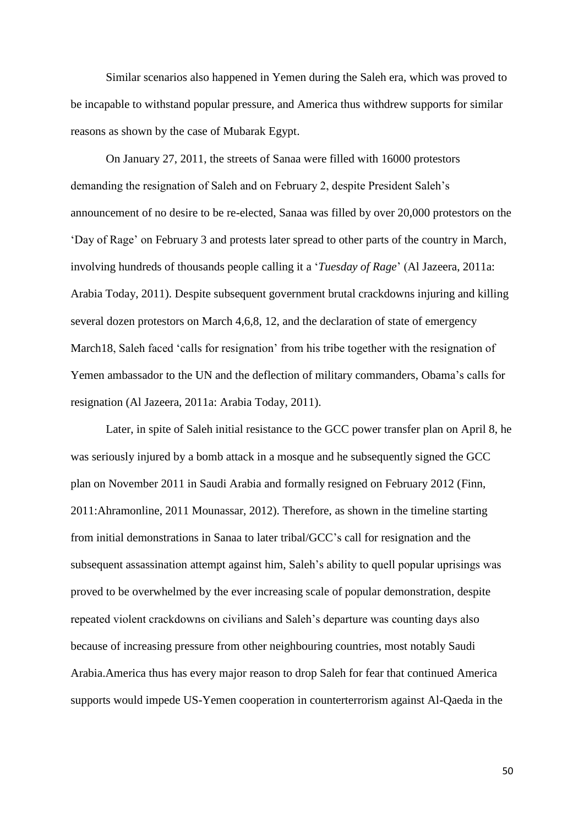Similar scenarios also happened in Yemen during the Saleh era, which was proved to be incapable to withstand popular pressure, and America thus withdrew supports for similar reasons as shown by the case of Mubarak Egypt.

On January 27, 2011, the streets of Sanaa were filled with 16000 protestors demanding the resignation of Saleh and on February 2, despite President Saleh's announcement of no desire to be re-elected, Sanaa was filled by over 20,000 protestors on the 'Day of Rage' on February 3 and protests later spread to other parts of the country in March, involving hundreds of thousands people calling it a '*Tuesday of Rage*' (Al Jazeera, 2011a: Arabia Today, 2011). Despite subsequent government brutal crackdowns injuring and killing several dozen protestors on March 4,6,8, 12, and the declaration of state of emergency March18, Saleh faced 'calls for resignation' from his tribe together with the resignation of Yemen ambassador to the UN and the deflection of military commanders, Obama's calls for resignation (Al Jazeera, 2011a: Arabia Today, 2011).

Later, in spite of Saleh initial resistance to the GCC power transfer plan on April 8, he was seriously injured by a bomb attack in a mosque and he subsequently signed the GCC plan on November 2011 in Saudi Arabia and formally resigned on February 2012 (Finn, 2011:Ahramonline, 2011 Mounassar, 2012). Therefore, as shown in the timeline starting from initial demonstrations in Sanaa to later tribal/GCC's call for resignation and the subsequent assassination attempt against him, Saleh's ability to quell popular uprisings was proved to be overwhelmed by the ever increasing scale of popular demonstration, despite repeated violent crackdowns on civilians and Saleh's departure was counting days also because of increasing pressure from other neighbouring countries, most notably Saudi Arabia.America thus has every major reason to drop Saleh for fear that continued America supports would impede US-Yemen cooperation in counterterrorism against Al-Qaeda in the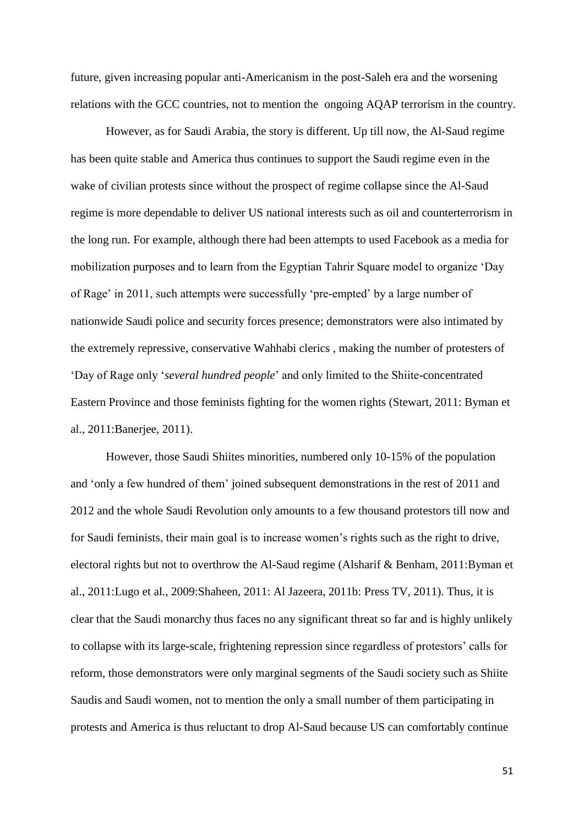future, given increasing popular anti-Americanism in the post-Saleh era and the worsening relations with the GCC countries, not to mention the ongoing AQAP terrorism in the country.

However, as for Saudi Arabia, the story is different. Up till now, the Al-Saud regime has been quite stable and America thus continues to support the Saudi regime even in the wake of civilian protests since without the prospect of regime collapse since the Al-Saud regime is more dependable to deliver US national interests such as oil and counterterrorism in the long run. For example, although there had been attempts to used Facebook as a media for mobilization purposes and to learn from the Egyptian Tahrir Square model to organize 'Day of Rage' in 2011, such attempts were successfully 'pre-empted' by a large number of nationwide Saudi police and security forces presence; demonstrators were also intimated by the extremely repressive, conservative Wahhabi clerics , making the number of protesters of 'Day of Rage only '*several hundred people*' and only limited to the Shiite-concentrated Eastern Province and those feminists fighting for the women rights (Stewart, 2011: Byman et al., 2011:Banerjee, 2011).

However, those Saudi Shiites minorities, numbered only 10-15% of the population and 'only a few hundred of them' joined subsequent demonstrations in the rest of 2011 and 2012 and the whole Saudi Revolution only amounts to a few thousand protestors till now and for Saudi feminists, their main goal is to increase women's rights such as the right to drive, electoral rights but not to overthrow the Al-Saud regime (Alsharif & Benham, 2011:Byman et al., 2011:Lugo et al., 2009:Shaheen, 2011: Al Jazeera, 2011b: Press TV, 2011). Thus, it is clear that the Saudi monarchy thus faces no any significant threat so far and is highly unlikely to collapse with its large-scale, frightening repression since regardless of protestors' calls for reform, those demonstrators were only marginal segments of the Saudi society such as Shiite Saudis and Saudi women, not to mention the only a small number of them participating in protests and America is thus reluctant to drop Al-Saud because US can comfortably continue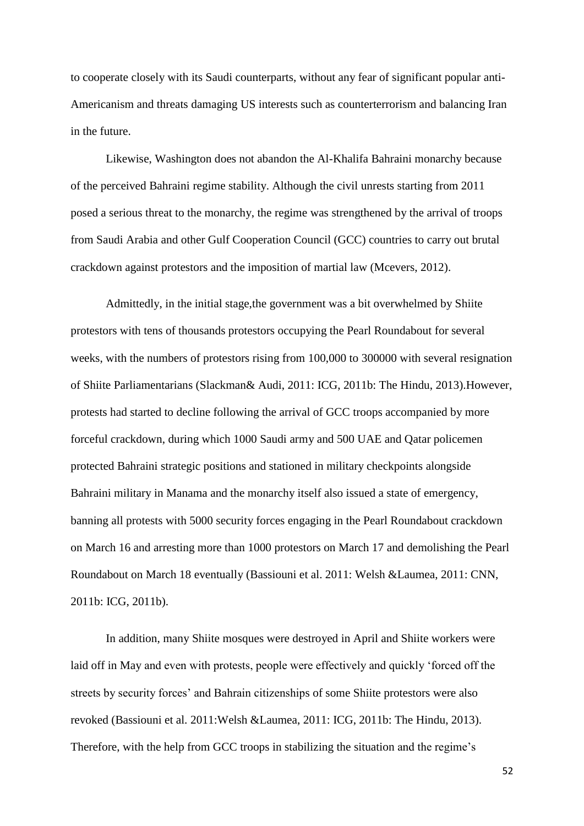to cooperate closely with its Saudi counterparts, without any fear of significant popular anti-Americanism and threats damaging US interests such as counterterrorism and balancing Iran in the future.

Likewise, Washington does not abandon the Al-Khalifa Bahraini monarchy because of the perceived Bahraini regime stability. Although the civil unrests starting from 2011 posed a serious threat to the monarchy, the regime was strengthened by the arrival of troops from Saudi Arabia and other Gulf Cooperation Council (GCC) countries to carry out brutal crackdown against protestors and the imposition of martial law (Mcevers, 2012).

Admittedly, in the initial stage,the government was a bit overwhelmed by Shiite protestors with tens of thousands protestors occupying the Pearl Roundabout for several weeks, with the numbers of protestors rising from 100,000 to 300000 with several resignation of Shiite Parliamentarians (Slackman& Audi, 2011: ICG, 2011b: The Hindu, 2013).However, protests had started to decline following the arrival of GCC troops accompanied by more forceful crackdown, during which 1000 Saudi army and 500 UAE and Qatar policemen protected Bahraini strategic positions and stationed in military checkpoints alongside Bahraini military in Manama and the monarchy itself also issued a state of emergency, banning all protests with 5000 security forces engaging in the Pearl Roundabout crackdown on March 16 and arresting more than 1000 protestors on March 17 and demolishing the Pearl Roundabout on March 18 eventually (Bassiouni et al. 2011: Welsh &Laumea, 2011: CNN, 2011b: ICG, 2011b).

In addition, many Shiite mosques were destroyed in April and Shiite workers were laid off in May and even with protests, people were effectively and quickly 'forced off the streets by security forces' and Bahrain citizenships of some Shiite protestors were also revoked (Bassiouni et al. 2011:Welsh &Laumea, 2011: ICG, 2011b: The Hindu, 2013). Therefore, with the help from GCC troops in stabilizing the situation and the regime's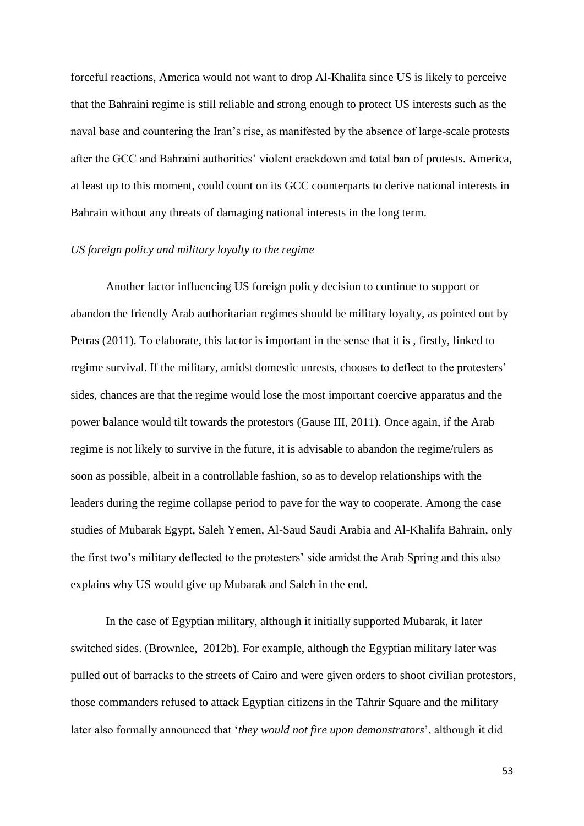forceful reactions, America would not want to drop Al-Khalifa since US is likely to perceive that the Bahraini regime is still reliable and strong enough to protect US interests such as the naval base and countering the Iran's rise, as manifested by the absence of large-scale protests after the GCC and Bahraini authorities' violent crackdown and total ban of protests. America, at least up to this moment, could count on its GCC counterparts to derive national interests in Bahrain without any threats of damaging national interests in the long term.

# *US foreign policy and military loyalty to the regime*

Another factor influencing US foreign policy decision to continue to support or abandon the friendly Arab authoritarian regimes should be military loyalty, as pointed out by Petras (2011). To elaborate, this factor is important in the sense that it is , firstly, linked to regime survival. If the military, amidst domestic unrests, chooses to deflect to the protesters' sides, chances are that the regime would lose the most important coercive apparatus and the power balance would tilt towards the protestors (Gause III, 2011). Once again, if the Arab regime is not likely to survive in the future, it is advisable to abandon the regime/rulers as soon as possible, albeit in a controllable fashion, so as to develop relationships with the leaders during the regime collapse period to pave for the way to cooperate. Among the case studies of Mubarak Egypt, Saleh Yemen, Al-Saud Saudi Arabia and Al-Khalifa Bahrain, only the first two's military deflected to the protesters' side amidst the Arab Spring and this also explains why US would give up Mubarak and Saleh in the end.

In the case of Egyptian military, although it initially supported Mubarak, it later switched sides. (Brownlee, 2012b). For example, although the Egyptian military later was pulled out of barracks to the streets of Cairo and were given orders to shoot civilian protestors, those commanders refused to attack Egyptian citizens in the Tahrir Square and the military later also formally announced that '*they would not fire upon demonstrators*', although it did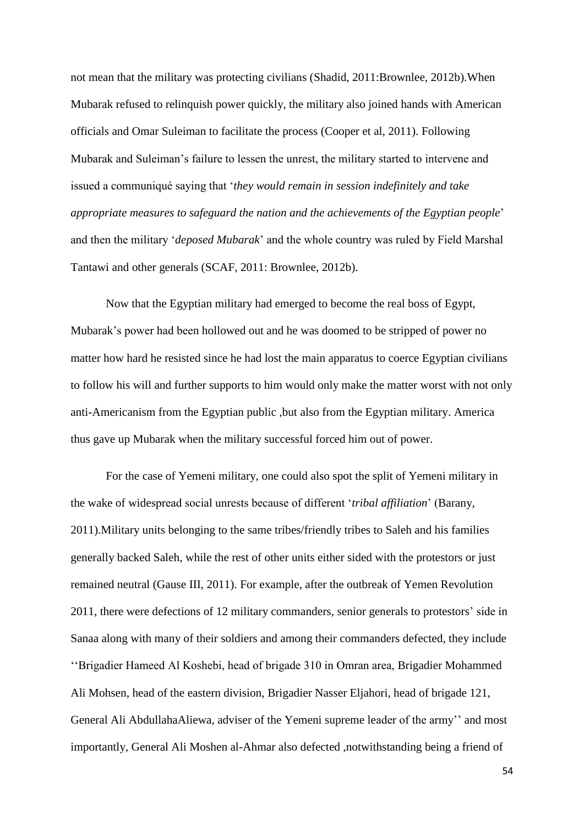not mean that the military was protecting civilians (Shadid, 2011:Brownlee, 2012b).When Mubarak refused to relinquish power quickly, the military also joined hands with American officials and Omar Suleiman to facilitate the process (Cooper et al, 2011). Following Mubarak and Suleiman's failure to lessen the unrest, the military started to intervene and issued a communiqué saying that '*they would remain in session indefinitely and take appropriate measures to safeguard the nation and the achievements of the Egyptian people*' and then the military '*deposed Mubarak*' and the whole country was ruled by Field Marshal Tantawi and other generals (SCAF, 2011: Brownlee, 2012b).

Now that the Egyptian military had emerged to become the real boss of Egypt, Mubarak's power had been hollowed out and he was doomed to be stripped of power no matter how hard he resisted since he had lost the main apparatus to coerce Egyptian civilians to follow his will and further supports to him would only make the matter worst with not only anti-Americanism from the Egyptian public ,but also from the Egyptian military. America thus gave up Mubarak when the military successful forced him out of power.

For the case of Yemeni military, one could also spot the split of Yemeni military in the wake of widespread social unrests because of different '*tribal affiliation*' (Barany, 2011).Military units belonging to the same tribes/friendly tribes to Saleh and his families generally backed Saleh, while the rest of other units either sided with the protestors or just remained neutral (Gause III, 2011). For example, after the outbreak of Yemen Revolution 2011, there were defections of 12 military commanders, senior generals to protestors' side in Sanaa along with many of their soldiers and among their commanders defected, they include ''Brigadier Hameed Al Koshebi, head of brigade 310 in Omran area, Brigadier Mohammed Ali Mohsen, head of the eastern division, Brigadier Nasser Eljahori, head of brigade 121, General Ali AbdullahaAliewa, adviser of the Yemeni supreme leader of the army'' and most importantly, General Ali Moshen al-Ahmar also defected ,notwithstanding being a friend of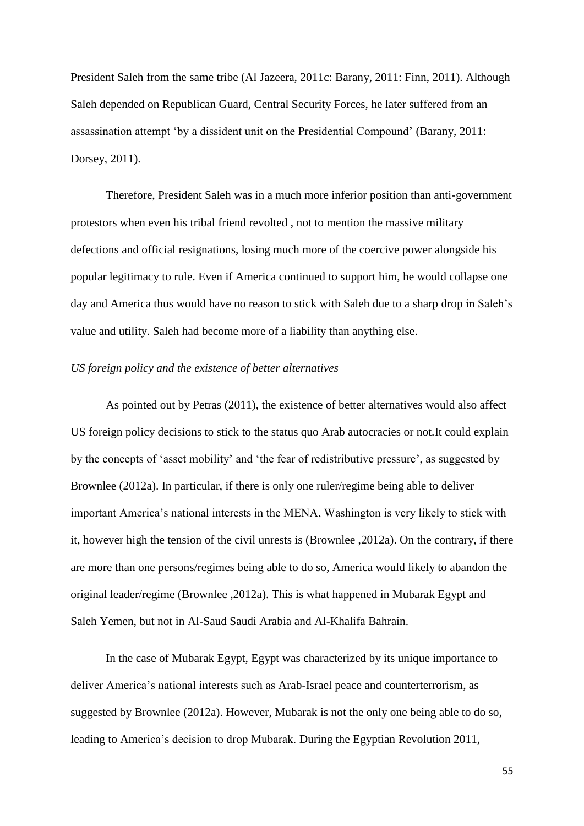President Saleh from the same tribe (Al Jazeera, 2011c: Barany, 2011: Finn, 2011). Although Saleh depended on Republican Guard, Central Security Forces, he later suffered from an assassination attempt 'by a dissident unit on the Presidential Compound' (Barany, 2011: Dorsey, 2011).

Therefore, President Saleh was in a much more inferior position than anti-government protestors when even his tribal friend revolted , not to mention the massive military defections and official resignations, losing much more of the coercive power alongside his popular legitimacy to rule. Even if America continued to support him, he would collapse one day and America thus would have no reason to stick with Saleh due to a sharp drop in Saleh's value and utility. Saleh had become more of a liability than anything else.

# *US foreign policy and the existence of better alternatives*

As pointed out by Petras (2011), the existence of better alternatives would also affect US foreign policy decisions to stick to the status quo Arab autocracies or not.It could explain by the concepts of 'asset mobility' and 'the fear of redistributive pressure', as suggested by Brownlee (2012a). In particular, if there is only one ruler/regime being able to deliver important America's national interests in the MENA, Washington is very likely to stick with it, however high the tension of the civil unrests is (Brownlee ,2012a). On the contrary, if there are more than one persons/regimes being able to do so, America would likely to abandon the original leader/regime (Brownlee ,2012a). This is what happened in Mubarak Egypt and Saleh Yemen, but not in Al-Saud Saudi Arabia and Al-Khalifa Bahrain.

In the case of Mubarak Egypt, Egypt was characterized by its unique importance to deliver America's national interests such as Arab-Israel peace and counterterrorism, as suggested by Brownlee (2012a). However, Mubarak is not the only one being able to do so, leading to America's decision to drop Mubarak. During the Egyptian Revolution 2011,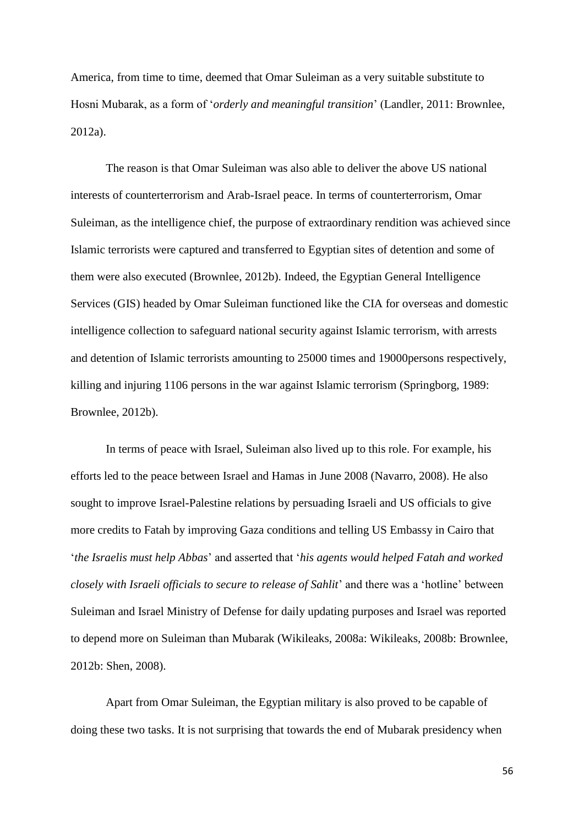America, from time to time, deemed that Omar Suleiman as a very suitable substitute to Hosni Mubarak, as a form of '*orderly and meaningful transition*' (Landler, 2011: Brownlee, 2012a).

The reason is that Omar Suleiman was also able to deliver the above US national interests of counterterrorism and Arab-Israel peace. In terms of counterterrorism, Omar Suleiman, as the intelligence chief, the purpose of extraordinary rendition was achieved since Islamic terrorists were captured and transferred to Egyptian sites of detention and some of them were also executed (Brownlee, 2012b). Indeed, the Egyptian General Intelligence Services (GIS) headed by Omar Suleiman functioned like the CIA for overseas and domestic intelligence collection to safeguard national security against Islamic terrorism, with arrests and detention of Islamic terrorists amounting to 25000 times and 19000persons respectively, killing and injuring 1106 persons in the war against Islamic terrorism (Springborg, 1989: Brownlee, 2012b).

In terms of peace with Israel, Suleiman also lived up to this role. For example, his efforts led to the peace between Israel and Hamas in June 2008 (Navarro, 2008). He also sought to improve Israel-Palestine relations by persuading Israeli and US officials to give more credits to Fatah by improving Gaza conditions and telling US Embassy in Cairo that '*the Israelis must help Abbas*' and asserted that '*his agents would helped Fatah and worked closely with Israeli officials to secure to release of Sahlit*' and there was a 'hotline' between Suleiman and Israel Ministry of Defense for daily updating purposes and Israel was reported to depend more on Suleiman than Mubarak (Wikileaks, 2008a: Wikileaks, 2008b: Brownlee, 2012b: Shen, 2008).

Apart from Omar Suleiman, the Egyptian military is also proved to be capable of doing these two tasks. It is not surprising that towards the end of Mubarak presidency when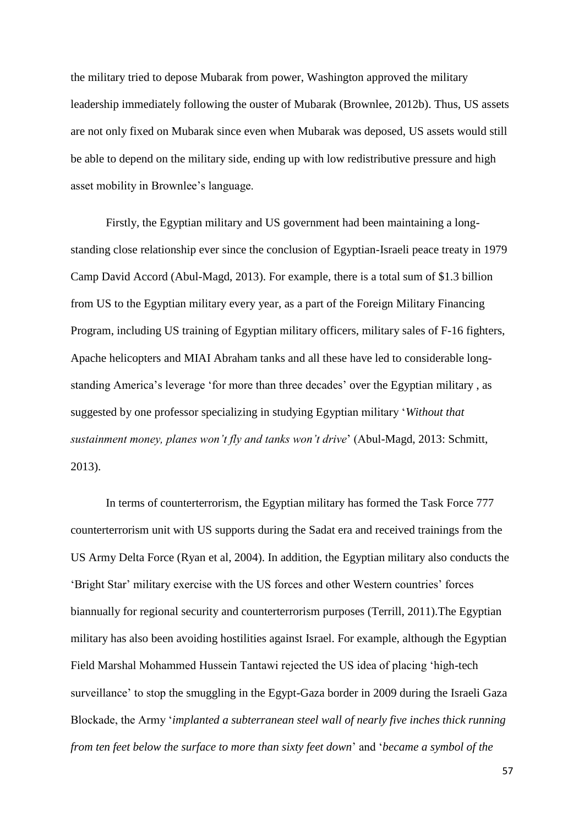the military tried to depose Mubarak from power, Washington approved the military leadership immediately following the ouster of Mubarak (Brownlee, 2012b). Thus, US assets are not only fixed on Mubarak since even when Mubarak was deposed, US assets would still be able to depend on the military side, ending up with low redistributive pressure and high asset mobility in Brownlee's language.

Firstly, the Egyptian military and US government had been maintaining a longstanding close relationship ever since the conclusion of Egyptian-Israeli peace treaty in 1979 Camp David Accord (Abul-Magd, 2013). For example, there is a total sum of \$1.3 billion from US to the Egyptian military every year, as a part of the Foreign Military Financing Program, including US training of Egyptian military officers, military sales of F-16 fighters, Apache helicopters and MIAI Abraham tanks and all these have led to considerable longstanding America's leverage 'for more than three decades' over the Egyptian military , as suggested by one professor specializing in studying Egyptian military '*Without that sustainment money, planes won't fly and tanks won't drive*' (Abul-Magd, 2013: Schmitt, 2013).

In terms of counterterrorism, the Egyptian military has formed the Task Force 777 counterterrorism unit with US supports during the Sadat era and received trainings from the US Army Delta Force (Ryan et al, 2004). In addition, the Egyptian military also conducts the 'Bright Star' military exercise with the US forces and other Western countries' forces biannually for regional security and counterterrorism purposes (Terrill, 2011).The Egyptian military has also been avoiding hostilities against Israel. For example, although the Egyptian Field Marshal Mohammed Hussein Tantawi rejected the US idea of placing 'high-tech surveillance' to stop the smuggling in the Egypt-Gaza border in 2009 during the Israeli Gaza Blockade, the Army '*implanted a subterranean steel wall of nearly five inches thick running from ten feet below the surface to more than sixty feet down*' and '*became a symbol of the*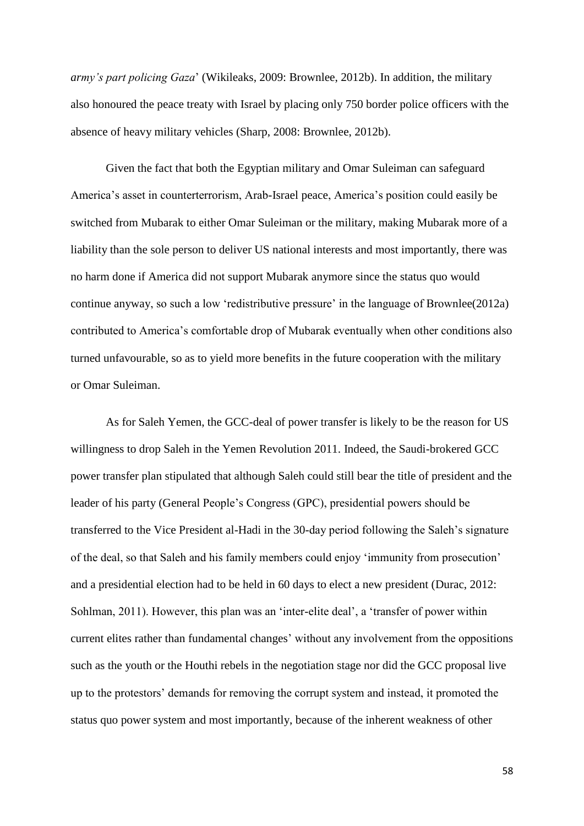*army's part policing Gaza*' (Wikileaks, 2009: Brownlee, 2012b). In addition, the military also honoured the peace treaty with Israel by placing only 750 border police officers with the absence of heavy military vehicles (Sharp, 2008: Brownlee, 2012b).

Given the fact that both the Egyptian military and Omar Suleiman can safeguard America's asset in counterterrorism, Arab-Israel peace, America's position could easily be switched from Mubarak to either Omar Suleiman or the military, making Mubarak more of a liability than the sole person to deliver US national interests and most importantly, there was no harm done if America did not support Mubarak anymore since the status quo would continue anyway, so such a low 'redistributive pressure' in the language of Brownlee(2012a) contributed to America's comfortable drop of Mubarak eventually when other conditions also turned unfavourable, so as to yield more benefits in the future cooperation with the military or Omar Suleiman.

As for Saleh Yemen, the GCC-deal of power transfer is likely to be the reason for US willingness to drop Saleh in the Yemen Revolution 2011. Indeed, the Saudi-brokered GCC power transfer plan stipulated that although Saleh could still bear the title of president and the leader of his party (General People's Congress (GPC), presidential powers should be transferred to the Vice President al-Hadi in the 30-day period following the Saleh's signature of the deal, so that Saleh and his family members could enjoy 'immunity from prosecution' and a presidential election had to be held in 60 days to elect a new president (Durac, 2012: Sohlman, 2011). However, this plan was an 'inter-elite deal', a 'transfer of power within current elites rather than fundamental changes' without any involvement from the oppositions such as the youth or the Houthi rebels in the negotiation stage nor did the GCC proposal live up to the protestors' demands for removing the corrupt system and instead, it promoted the status quo power system and most importantly, because of the inherent weakness of other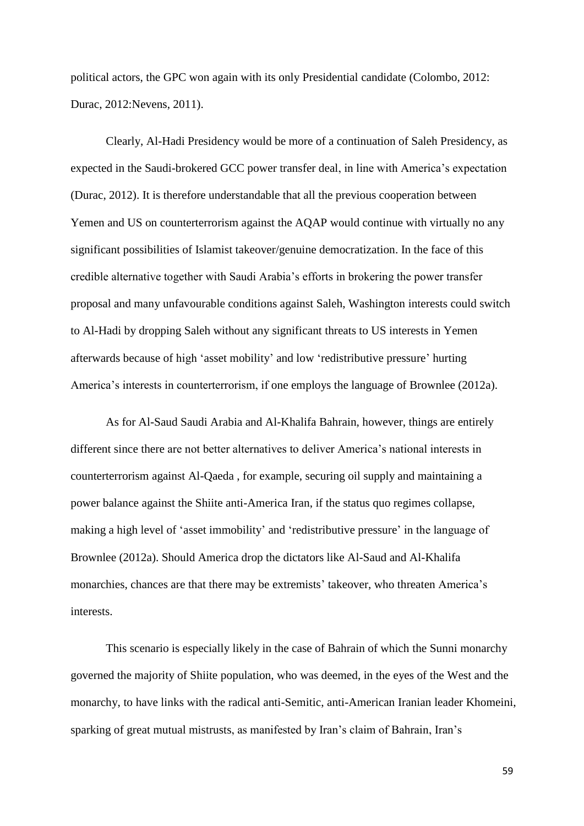political actors, the GPC won again with its only Presidential candidate (Colombo, 2012: Durac, 2012:Nevens, 2011).

Clearly, Al-Hadi Presidency would be more of a continuation of Saleh Presidency, as expected in the Saudi-brokered GCC power transfer deal, in line with America's expectation (Durac, 2012). It is therefore understandable that all the previous cooperation between Yemen and US on counterterrorism against the AQAP would continue with virtually no any significant possibilities of Islamist takeover/genuine democratization. In the face of this credible alternative together with Saudi Arabia's efforts in brokering the power transfer proposal and many unfavourable conditions against Saleh, Washington interests could switch to Al-Hadi by dropping Saleh without any significant threats to US interests in Yemen afterwards because of high 'asset mobility' and low 'redistributive pressure' hurting America's interests in counterterrorism, if one employs the language of Brownlee (2012a).

As for Al-Saud Saudi Arabia and Al-Khalifa Bahrain, however, things are entirely different since there are not better alternatives to deliver America's national interests in counterterrorism against Al-Qaeda , for example, securing oil supply and maintaining a power balance against the Shiite anti-America Iran, if the status quo regimes collapse, making a high level of 'asset immobility' and 'redistributive pressure' in the language of Brownlee (2012a). Should America drop the dictators like Al-Saud and Al-Khalifa monarchies, chances are that there may be extremists' takeover, who threaten America's interests.

This scenario is especially likely in the case of Bahrain of which the Sunni monarchy governed the majority of Shiite population, who was deemed, in the eyes of the West and the monarchy, to have links with the radical anti-Semitic, anti-American Iranian leader Khomeini, sparking of great mutual mistrusts, as manifested by Iran's claim of Bahrain, Iran's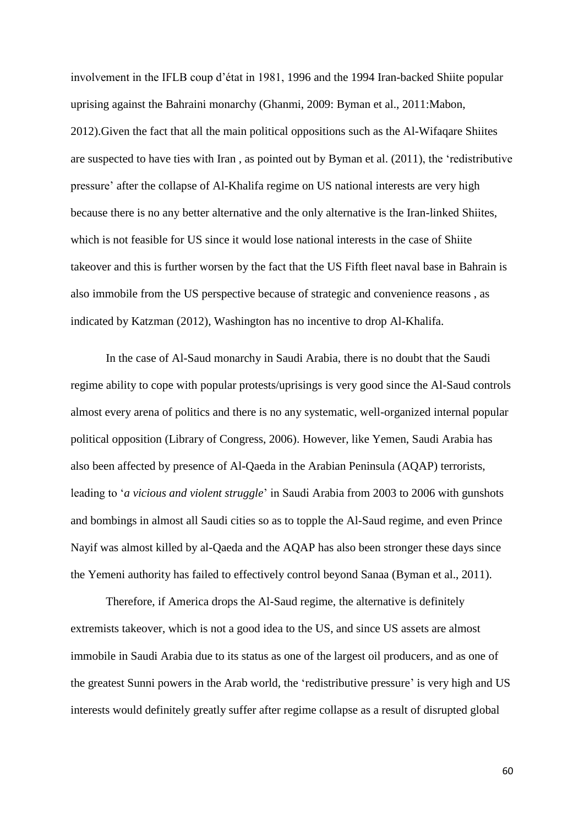involvement in the IFLB coup d'état in 1981, 1996 and the 1994 Iran-backed Shiite popular uprising against the Bahraini monarchy (Ghanmi, 2009: Byman et al., 2011:Mabon, 2012).Given the fact that all the main political oppositions such as the Al-Wifaqare Shiites are suspected to have ties with Iran , as pointed out by Byman et al. (2011), the 'redistributive pressure' after the collapse of Al-Khalifa regime on US national interests are very high because there is no any better alternative and the only alternative is the Iran-linked Shiites, which is not feasible for US since it would lose national interests in the case of Shiite takeover and this is further worsen by the fact that the US Fifth fleet naval base in Bahrain is also immobile from the US perspective because of strategic and convenience reasons , as indicated by Katzman (2012), Washington has no incentive to drop Al-Khalifa.

In the case of Al-Saud monarchy in Saudi Arabia, there is no doubt that the Saudi regime ability to cope with popular protests/uprisings is very good since the Al-Saud controls almost every arena of politics and there is no any systematic, well-organized internal popular political opposition (Library of Congress, 2006). However, like Yemen, Saudi Arabia has also been affected by presence of Al-Qaeda in the Arabian Peninsula (AQAP) terrorists, leading to '*a vicious and violent struggle*' in Saudi Arabia from 2003 to 2006 with gunshots and bombings in almost all Saudi cities so as to topple the Al-Saud regime, and even Prince Nayif was almost killed by al-Qaeda and the AQAP has also been stronger these days since the Yemeni authority has failed to effectively control beyond Sanaa (Byman et al., 2011).

Therefore, if America drops the Al-Saud regime, the alternative is definitely extremists takeover, which is not a good idea to the US, and since US assets are almost immobile in Saudi Arabia due to its status as one of the largest oil producers, and as one of the greatest Sunni powers in the Arab world, the 'redistributive pressure' is very high and US interests would definitely greatly suffer after regime collapse as a result of disrupted global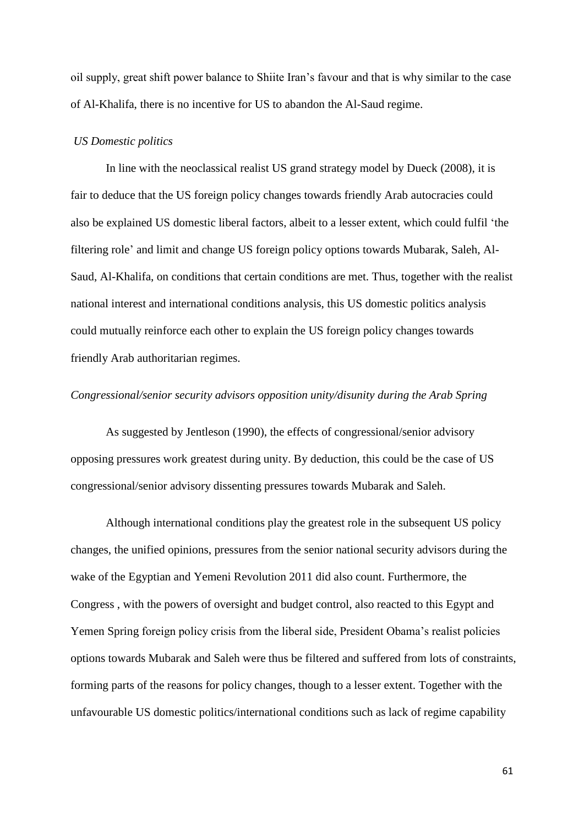oil supply, great shift power balance to Shiite Iran's favour and that is why similar to the case of Al-Khalifa, there is no incentive for US to abandon the Al-Saud regime.

### *US Domestic politics*

In line with the neoclassical realist US grand strategy model by Dueck (2008), it is fair to deduce that the US foreign policy changes towards friendly Arab autocracies could also be explained US domestic liberal factors, albeit to a lesser extent, which could fulfil 'the filtering role' and limit and change US foreign policy options towards Mubarak, Saleh, Al-Saud, Al-Khalifa, on conditions that certain conditions are met. Thus, together with the realist national interest and international conditions analysis, this US domestic politics analysis could mutually reinforce each other to explain the US foreign policy changes towards friendly Arab authoritarian regimes.

# *Congressional/senior security advisors opposition unity/disunity during the Arab Spring*

As suggested by Jentleson (1990), the effects of congressional/senior advisory opposing pressures work greatest during unity. By deduction, this could be the case of US congressional/senior advisory dissenting pressures towards Mubarak and Saleh.

Although international conditions play the greatest role in the subsequent US policy changes, the unified opinions, pressures from the senior national security advisors during the wake of the Egyptian and Yemeni Revolution 2011 did also count. Furthermore, the Congress , with the powers of oversight and budget control, also reacted to this Egypt and Yemen Spring foreign policy crisis from the liberal side, President Obama's realist policies options towards Mubarak and Saleh were thus be filtered and suffered from lots of constraints, forming parts of the reasons for policy changes, though to a lesser extent. Together with the unfavourable US domestic politics/international conditions such as lack of regime capability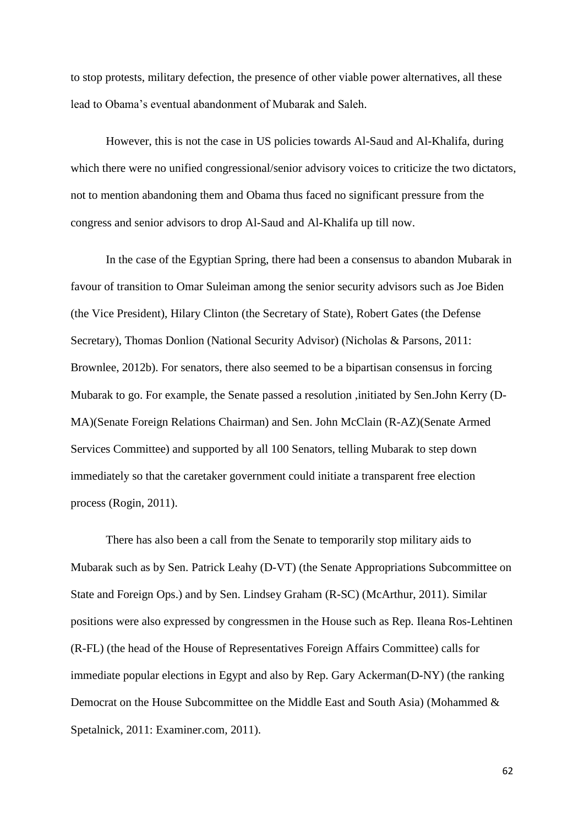to stop protests, military defection, the presence of other viable power alternatives, all these lead to Obama's eventual abandonment of Mubarak and Saleh.

However, this is not the case in US policies towards Al-Saud and Al-Khalifa, during which there were no unified congressional/senior advisory voices to criticize the two dictators, not to mention abandoning them and Obama thus faced no significant pressure from the congress and senior advisors to drop Al-Saud and Al-Khalifa up till now.

In the case of the Egyptian Spring, there had been a consensus to abandon Mubarak in favour of transition to Omar Suleiman among the senior security advisors such as Joe Biden (the Vice President), Hilary Clinton (the Secretary of State), Robert Gates (the Defense Secretary), Thomas Donlion (National Security Advisor) (Nicholas & Parsons, 2011: Brownlee, 2012b). For senators, there also seemed to be a bipartisan consensus in forcing Mubarak to go. For example, the Senate passed a resolution ,initiated by Sen.John Kerry (D-MA)(Senate Foreign Relations Chairman) and Sen. John McClain (R-AZ)(Senate Armed Services Committee) and supported by all 100 Senators, telling Mubarak to step down immediately so that the caretaker government could initiate a transparent free election process (Rogin, 2011).

There has also been a call from the Senate to temporarily stop military aids to Mubarak such as by Sen. Patrick Leahy (D-VT) (the Senate Appropriations Subcommittee on State and Foreign Ops.) and by Sen. Lindsey Graham (R-SC) (McArthur, 2011). Similar positions were also expressed by congressmen in the House such as Rep. Ileana Ros-Lehtinen (R-FL) (the head of the House of Representatives Foreign Affairs Committee) calls for immediate popular elections in Egypt and also by Rep. [Gary Ackerman\(](http://www.examiner.com/topic/gary-ackerman/articles)D-NY) (the ranking Democrat on the House Subcommittee on the Middle East and South Asia) (Mohammed & Spetalnick, 2011: Examiner.com, 2011).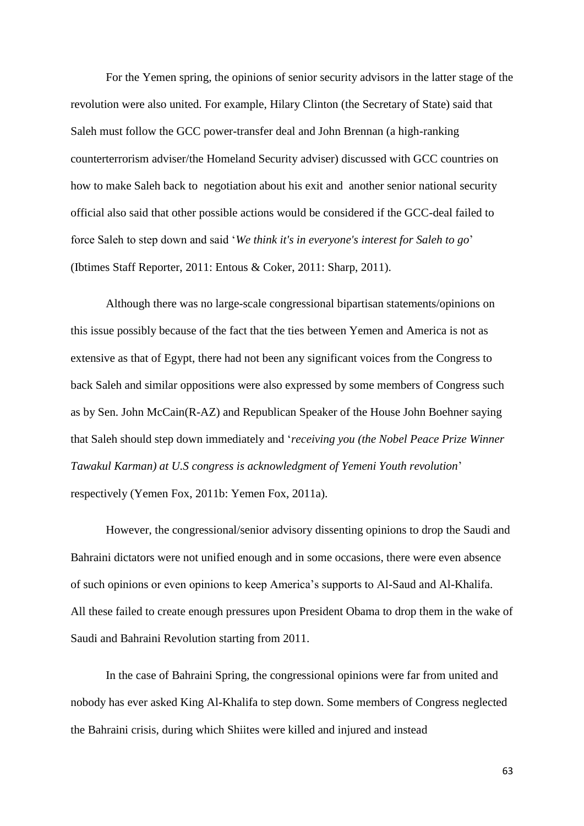For the Yemen spring, the opinions of senior security advisors in the latter stage of the revolution were also united. For example, Hilary Clinton (the Secretary of State) said that Saleh must follow the GCC power-transfer deal and John Brennan (a high-ranking counterterrorism adviser/the Homeland Security adviser) discussed with GCC countries on how to make Saleh back to negotiation about his exit and another senior national security official also said that other possible actions would be considered if the GCC-deal failed to force Saleh to step down and said '*We think it's in everyone's interest for Saleh to go*' (Ibtimes Staff Reporter, 2011: Entous & Coker, 2011: Sharp, 2011).

Although there was no large-scale congressional bipartisan statements/opinions on this issue possibly because of the fact that the ties between Yemen and America is not as extensive as that of Egypt, there had not been any significant voices from the Congress to back Saleh and similar oppositions were also expressed by some members of Congress such as by Sen. John McCain(R-AZ) and Republican Speaker of the House John Boehner saying that Saleh should step down immediately and '*receiving you (the Nobel Peace Prize Winner Tawakul Karman) at U.S congress is acknowledgment of Yemeni Youth revolution*' respectively (Yemen Fox, 2011b: Yemen Fox, 2011a).

However, the congressional/senior advisory dissenting opinions to drop the Saudi and Bahraini dictators were not unified enough and in some occasions, there were even absence of such opinions or even opinions to keep America's supports to Al-Saud and Al-Khalifa. All these failed to create enough pressures upon President Obama to drop them in the wake of Saudi and Bahraini Revolution starting from 2011.

In the case of Bahraini Spring, the congressional opinions were far from united and nobody has ever asked King Al-Khalifa to step down. Some members of Congress neglected the Bahraini crisis, during which Shiites were killed and injured and instead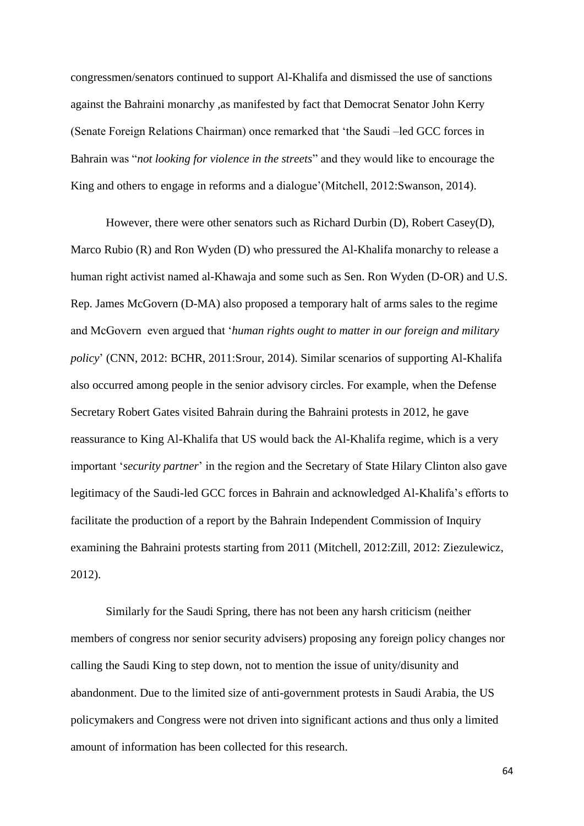congressmen/senators continued to support Al-Khalifa and dismissed the use of sanctions against the Bahraini monarchy ,as manifested by fact that Democrat Senator John Kerry (Senate Foreign Relations Chairman) once remarked that 'the Saudi –led GCC forces in Bahrain was "*not looking for violence in the streets*" and they would like to encourage the King and others to engage in reforms and a dialogue'(Mitchell, 2012:Swanson, 2014).

However, there were other senators such as Richard Durbin (D), Robert Casey(D), Marco Rubio (R) and Ron Wyden (D) who pressured the Al-Khalifa monarchy to release a human right activist named al-Khawaja and some such as Sen. Ron Wyden (D-OR) and U.S. Rep. James McGovern (D-MA) also proposed a temporary halt of arms sales to the regime and McGovern even argued that '*human rights ought to matter in our foreign and military policy*' (CNN, 2012: BCHR, 2011:Srour, 2014). Similar scenarios of supporting Al-Khalifa also occurred among people in the senior advisory circles. For example, when the Defense Secretary Robert Gates visited Bahrain during the Bahraini protests in 2012, he gave reassurance to King Al-Khalifa that US would back the Al-Khalifa regime, which is a very important '*security partner*' in the region and the Secretary of State Hilary Clinton also gave legitimacy of the Saudi-led GCC forces in Bahrain and acknowledged Al-Khalifa's efforts to facilitate the production of a report by the Bahrain Independent Commission of Inquiry examining the Bahraini protests starting from 2011 (Mitchell, 2012:Zill, 2012: Ziezulewicz, 2012).

Similarly for the Saudi Spring, there has not been any harsh criticism (neither members of congress nor senior security advisers) proposing any foreign policy changes nor calling the Saudi King to step down, not to mention the issue of unity/disunity and abandonment. Due to the limited size of anti-government protests in Saudi Arabia, the US policymakers and Congress were not driven into significant actions and thus only a limited amount of information has been collected for this research.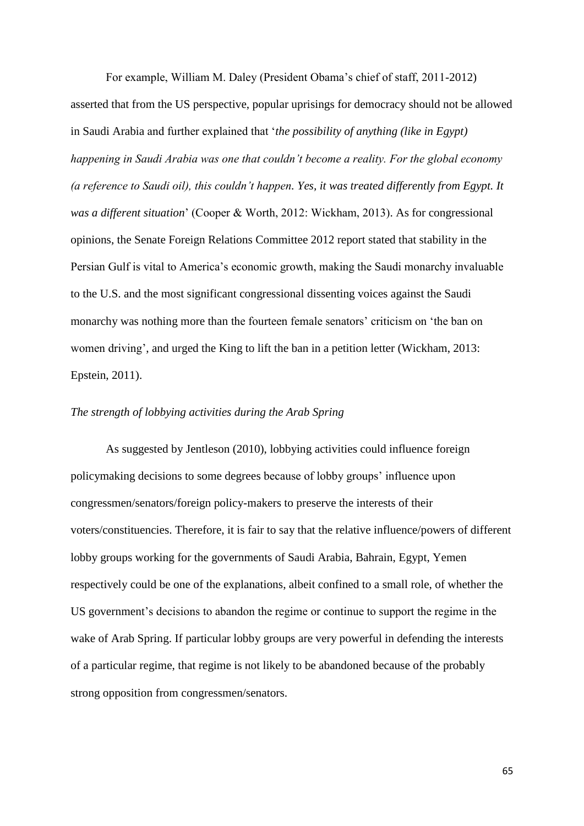For example, William M. Daley (President Obama's chief of staff, 2011-2012) asserted that from the US perspective, popular uprisings for democracy should not be allowed in Saudi Arabia and further explained that '*[the possibility of anything \(like in Egypt\)](http://www.nytimes.com/2012/09/25/us/politics/arab-spring-proves-a-harsh-test-for-obamas-diplomatic-skill.html?pagewanted=all&_r=3&)  [happening in Saudi Arabia was one that couldn't become a reality. For the global economy](http://www.nytimes.com/2012/09/25/us/politics/arab-spring-proves-a-harsh-test-for-obamas-diplomatic-skill.html?pagewanted=all&_r=3&)  [\(a reference to Saudi oil\), this couldn't happen.](http://www.nytimes.com/2012/09/25/us/politics/arab-spring-proves-a-harsh-test-for-obamas-diplomatic-skill.html?pagewanted=all&_r=3&) Yes, it was treated differently from Egypt. It was a different situation*' (Cooper & Worth, 2012: Wickham, 2013). As for congressional opinions, the Senate Foreign Relations Committee 2012 report stated that stability in the Persian Gulf is vital to America's economic growth, making the Saudi monarchy invaluable to the U.S. and the most significant congressional dissenting voices against the Saudi monarchy was nothing more than the fourteen female senators' criticism on 'the ban on women driving', and urged the King to lift the ban in a petition letter (Wickham, 2013: Epstein, 2011).

# *The strength of lobbying activities during the Arab Spring*

As suggested by Jentleson (2010), lobbying activities could influence foreign policymaking decisions to some degrees because of lobby groups' influence upon congressmen/senators/foreign policy-makers to preserve the interests of their voters/constituencies. Therefore, it is fair to say that the relative influence/powers of different lobby groups working for the governments of Saudi Arabia, Bahrain, Egypt, Yemen respectively could be one of the explanations, albeit confined to a small role, of whether the US government's decisions to abandon the regime or continue to support the regime in the wake of Arab Spring. If particular lobby groups are very powerful in defending the interests of a particular regime, that regime is not likely to be abandoned because of the probably strong opposition from congressmen/senators.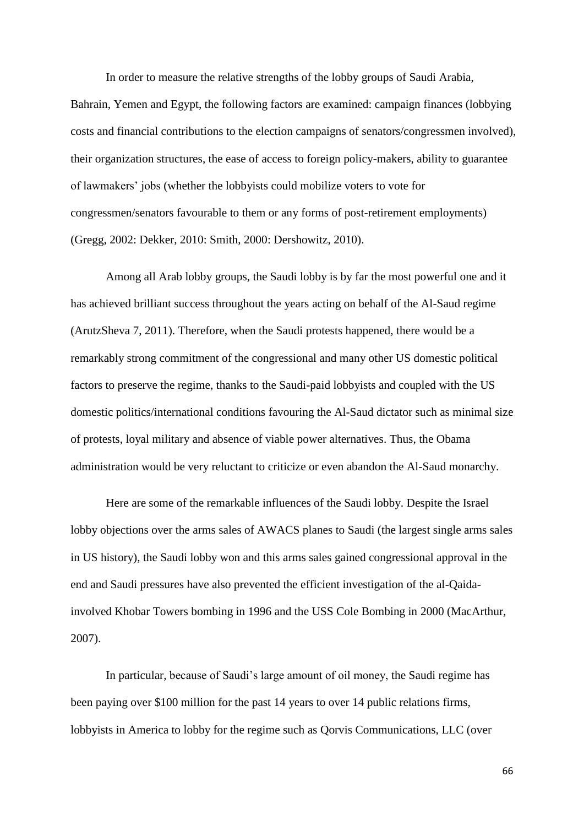In order to measure the relative strengths of the lobby groups of Saudi Arabia, Bahrain, Yemen and Egypt, the following factors are examined: campaign finances (lobbying costs and financial contributions to the election campaigns of senators/congressmen involved), their organization structures, the ease of access to foreign policy-makers, ability to guarantee of lawmakers' jobs (whether the lobbyists could mobilize voters to vote for congressmen/senators favourable to them or any forms of post-retirement employments) (Gregg, 2002: Dekker, 2010: Smith, 2000: Dershowitz, 2010).

Among all Arab lobby groups, the Saudi lobby is by far the most powerful one and it has achieved brilliant success throughout the years acting on behalf of the Al-Saud regime (ArutzSheva 7, 2011). Therefore, when the Saudi protests happened, there would be a remarkably strong commitment of the congressional and many other US domestic political factors to preserve the regime, thanks to the Saudi-paid lobbyists and coupled with the US domestic politics/international conditions favouring the Al-Saud dictator such as minimal size of protests, loyal military and absence of viable power alternatives. Thus, the Obama administration would be very reluctant to criticize or even abandon the Al-Saud monarchy.

Here are some of the remarkable influences of the Saudi lobby. Despite the Israel lobby objections over the arms sales of AWACS planes to Saudi (the largest single arms sales in US history), the Saudi lobby won and this arms sales gained congressional approval in the end and Saudi pressures have also prevented the efficient investigation of the al-Qaidainvolved Khobar Towers bombing in 1996 and the USS Cole Bombing in 2000 (MacArthur, 2007).

In particular, because of Saudi's large amount of oil money, the Saudi regime has been paying over \$100 million for the past 14 years to over 14 public relations firms, lobbyists in America to lobby for the regime such as Qorvis Communications, LLC (over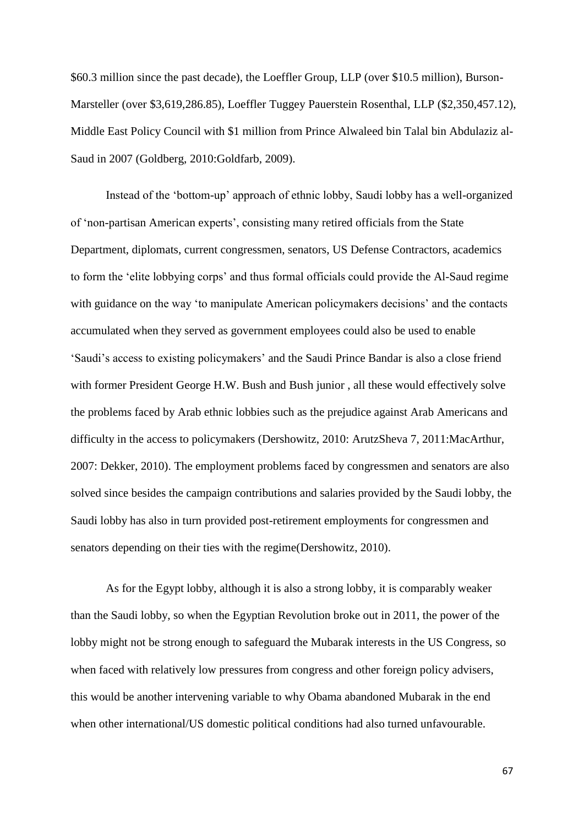\$60.3 million since the past decade), the Loeffler Group, LLP (over \$10.5 million), Burson-Marsteller (over \$3,619,286.85), Loeffler Tuggey Pauerstein Rosenthal, LLP (\$2,350,457.12), Middle East Policy Council with \$1 million from Prince Alwaleed bin Talal bin Abdulaziz al-Saud in 2007 (Goldberg, 2010:Goldfarb, 2009).

Instead of the 'bottom-up' approach of ethnic lobby, Saudi lobby has a well-organized of 'non-partisan American experts', consisting many retired officials from the State Department, diplomats, current congressmen, senators, US Defense Contractors, academics to form the 'elite lobbying corps' and thus formal officials could provide the Al-Saud regime with guidance on the way 'to manipulate American policymakers decisions' and the contacts accumulated when they served as government employees could also be used to enable 'Saudi's access to existing policymakers' and the Saudi Prince Bandar is also a close friend with former President George H.W. Bush and Bush junior , all these would effectively solve the problems faced by Arab ethnic lobbies such as the prejudice against Arab Americans and difficulty in the access to policymakers (Dershowitz, 2010: ArutzSheva 7, 2011:MacArthur, 2007: Dekker, 2010). The employment problems faced by congressmen and senators are also solved since besides the campaign contributions and salaries provided by the Saudi lobby, the Saudi lobby has also in turn provided post-retirement employments for congressmen and senators depending on their ties with the regime(Dershowitz, 2010).

As for the Egypt lobby, although it is also a strong lobby, it is comparably weaker than the Saudi lobby, so when the Egyptian Revolution broke out in 2011, the power of the lobby might not be strong enough to safeguard the Mubarak interests in the US Congress, so when faced with relatively low pressures from congress and other foreign policy advisers, this would be another intervening variable to why Obama abandoned Mubarak in the end when other international/US domestic political conditions had also turned unfavourable.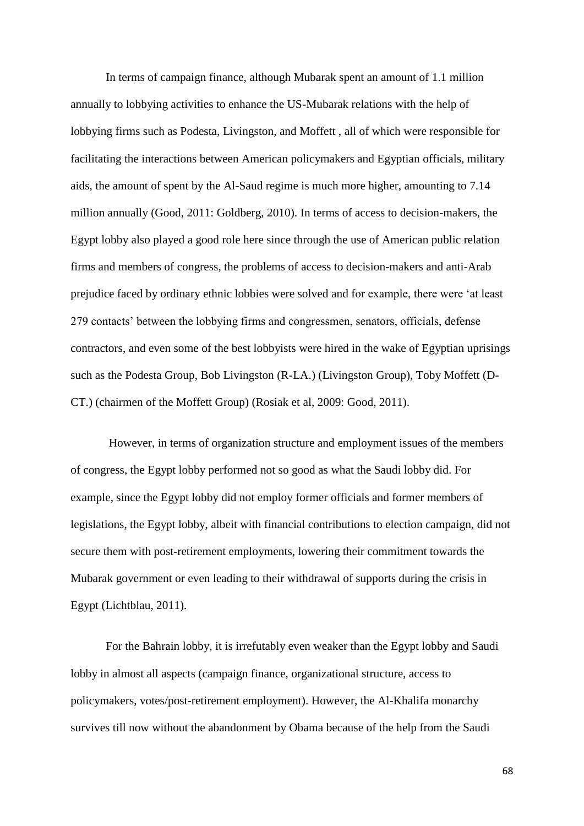In terms of campaign finance, although Mubarak spent an amount of 1.1 million annually to lobbying activities to enhance the US-Mubarak relations with the help of lobbying firms such as Podesta, Livingston, and Moffett , all of which were responsible for facilitating the interactions between American policymakers and Egyptian officials, military aids, the amount of spent by the Al-Saud regime is much more higher, amounting to 7.14 million annually (Good, 2011: Goldberg, 2010). In terms of access to decision-makers, the Egypt lobby also played a good role here since through the use of American public relation firms and members of congress, the problems of access to decision-makers and anti-Arab prejudice faced by ordinary ethnic lobbies were solved and for example, there were 'at least 279 contacts' between the lobbying firms and congressmen, senators, officials, defense contractors, and even some of the best lobbyists were hired in the wake of Egyptian uprisings such as the Podesta Group, [Bob Livingston](http://en.wikipedia.org/wiki/Bob_Livingston) (R-LA.) (Livingston Group), [Toby Moffett](http://en.wikipedia.org/wiki/Toby_Moffett) (D-CT.) (chairmen of the Moffett Group) (Rosiak et al, 2009: Good, 2011).

However, in terms of organization structure and employment issues of the members of congress, the Egypt lobby performed not so good as what the Saudi lobby did. For example, since the Egypt lobby did not employ former officials and former members of legislations, the Egypt lobby, albeit with financial contributions to election campaign, did not secure them with post-retirement employments, lowering their commitment towards the Mubarak government or even leading to their withdrawal of supports during the crisis in Egypt (Lichtblau, 2011).

For the Bahrain lobby, it is irrefutably even weaker than the Egypt lobby and Saudi lobby in almost all aspects (campaign finance, organizational structure, access to policymakers, votes/post-retirement employment). However, the Al-Khalifa monarchy survives till now without the abandonment by Obama because of the help from the Saudi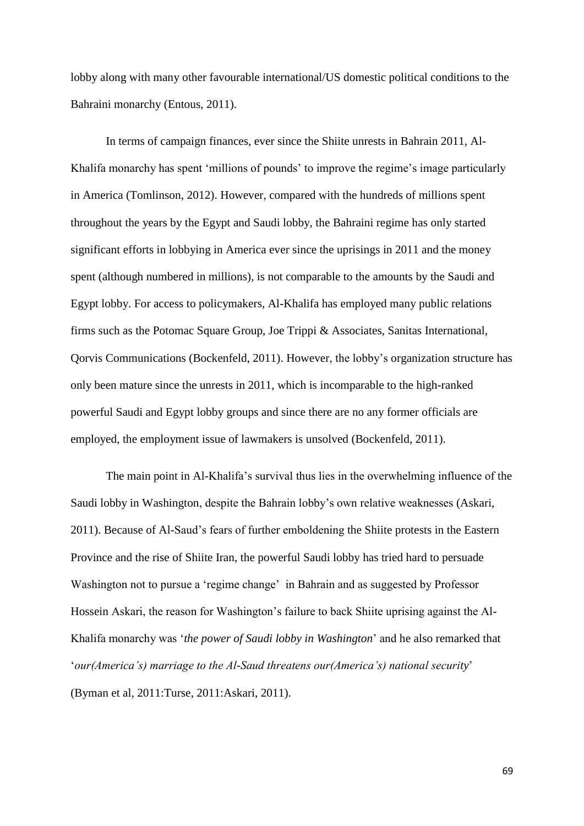lobby along with many other favourable international/US domestic political conditions to the Bahraini monarchy (Entous, 2011).

In terms of campaign finances, ever since the Shiite unrests in Bahrain 2011, Al-Khalifa monarchy has spent 'millions of pounds' to improve the regime's image particularly in America (Tomlinson, 2012). However, compared with the hundreds of millions spent throughout the years by the Egypt and Saudi lobby, the Bahraini regime has only started significant efforts in lobbying in America ever since the uprisings in 2011 and the money spent (although numbered in millions), is not comparable to the amounts by the Saudi and Egypt lobby. For access to policymakers, Al-Khalifa has employed many public relations firms such as the Potomac Square Group, Joe Trippi & Associates, Sanitas International, Qorvis Communications (Bockenfeld, 2011). However, the lobby's organization structure has only been mature since the unrests in 2011, which is incomparable to the high-ranked powerful Saudi and Egypt lobby groups and since there are no any former officials are employed, the employment issue of lawmakers is unsolved (Bockenfeld, 2011).

The main point in Al-Khalifa's survival thus lies in the overwhelming influence of the Saudi lobby in Washington, despite the Bahrain lobby's own relative weaknesses (Askari, 2011). Because of Al-Saud's fears of further emboldening the Shiite protests in the Eastern Province and the rise of Shiite Iran, the powerful Saudi lobby has tried hard to persuade Washington not to pursue a 'regime change' in Bahrain and as suggested by Professor Hossein Askari, the reason for Washington's failure to back Shiite uprising against the Al-Khalifa monarchy was '*the power of Saudi lobby in Washington*' and he also remarked that '*our(America's) marriage to the Al-Saud threatens our(America's) national security*' (Byman et al, 2011:Turse, 2011:Askari, 2011).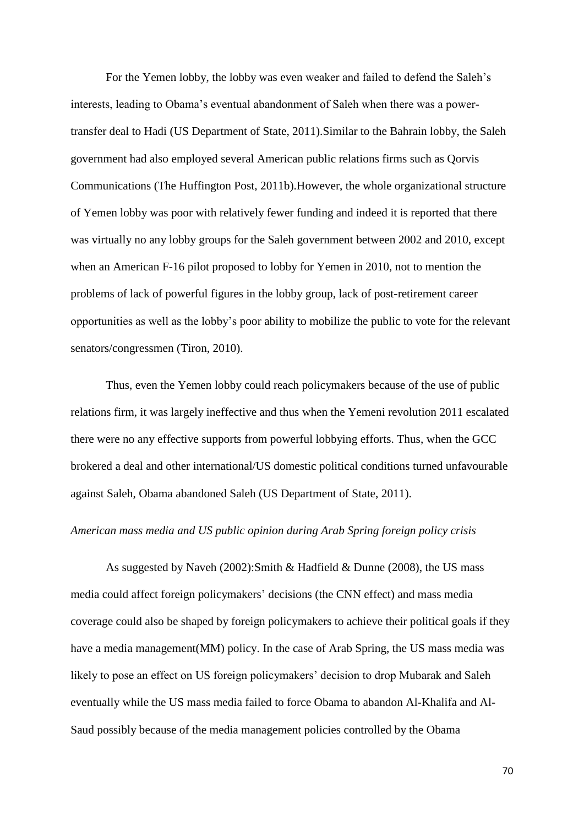For the Yemen lobby, the lobby was even weaker and failed to defend the Saleh's interests, leading to Obama's eventual abandonment of Saleh when there was a powertransfer deal to Hadi (US Department of State, 2011).Similar to the Bahrain lobby, the Saleh government had also employed several American public relations firms such as Qorvis Communications (The Huffington Post, 2011b).However, the whole organizational structure of Yemen lobby was poor with relatively fewer funding and indeed it is reported that there was virtually no any lobby groups for the Saleh government between 2002 and 2010, except when an American F-16 pilot proposed to lobby for Yemen in 2010, not to mention the problems of lack of powerful figures in the lobby group, lack of post-retirement career opportunities as well as the lobby's poor ability to mobilize the public to vote for the relevant senators/congressmen (Tiron, 2010).

Thus, even the Yemen lobby could reach policymakers because of the use of public relations firm, it was largely ineffective and thus when the Yemeni revolution 2011 escalated there were no any effective supports from powerful lobbying efforts. Thus, when the GCC brokered a deal and other international/US domestic political conditions turned unfavourable against Saleh, Obama abandoned Saleh (US Department of State, 2011).

# *American mass media and US public opinion during Arab Spring foreign policy crisis*

As suggested by Naveh (2002):Smith & Hadfield & Dunne (2008), the US mass media could affect foreign policymakers' decisions (the CNN effect) and mass media coverage could also be shaped by foreign policymakers to achieve their political goals if they have a media management(MM) policy. In the case of Arab Spring, the US mass media was likely to pose an effect on US foreign policymakers' decision to drop Mubarak and Saleh eventually while the US mass media failed to force Obama to abandon Al-Khalifa and Al-Saud possibly because of the media management policies controlled by the Obama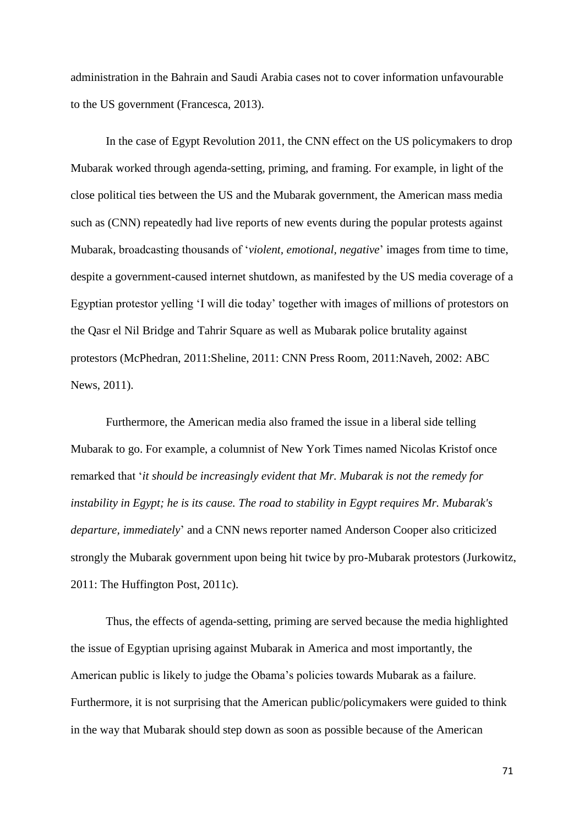administration in the Bahrain and Saudi Arabia cases not to cover information unfavourable to the US government (Francesca, 2013).

In the case of Egypt Revolution 2011, the CNN effect on the US policymakers to drop Mubarak worked through agenda-setting, priming, and framing. For example, in light of the close political ties between the US and the Mubarak government, the American mass media such as (CNN) repeatedly had live reports of new events during the popular protests against Mubarak, broadcasting thousands of '*violent, emotional, negative*' images from time to time, despite a government-caused internet shutdown, as manifested by the US media coverage of a Egyptian protestor yelling 'I will die today' together with images of millions of protestors on the Qasr el Nil Bridge and Tahrir Square as well as Mubarak police brutality against protestors (McPhedran, 2011:Sheline, 2011: CNN Press Room, 2011:Naveh, 2002: ABC News, 2011).

Furthermore, the American media also framed the issue in a liberal side telling Mubarak to go. For example, a columnist of New York Times named Nicolas Kristof once remarked that '*it should be increasingly evident that Mr. Mubarak is not the remedy for instability in Egypt; he is its cause. The road to stability in Egypt requires Mr. Mubarak's departure, immediately*' and a CNN news reporter named Anderson Cooper also criticized strongly the Mubarak government upon being hit twice by pro-Mubarak protestors (Jurkowitz, 2011: The Huffington Post, 2011c).

Thus, the effects of agenda-setting, priming are served because the media highlighted the issue of Egyptian uprising against Mubarak in America and most importantly, the American public is likely to judge the Obama's policies towards Mubarak as a failure. Furthermore, it is not surprising that the American public/policymakers were guided to think in the way that Mubarak should step down as soon as possible because of the American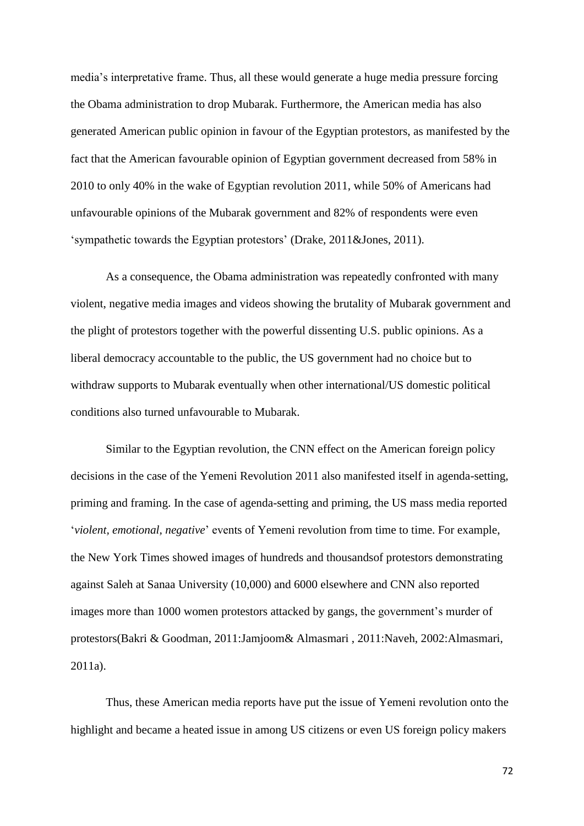media's interpretative frame. Thus, all these would generate a huge media pressure forcing the Obama administration to drop Mubarak. Furthermore, the American media has also generated American public opinion in favour of the Egyptian protestors, as manifested by the fact that the American favourable opinion of Egyptian government decreased from 58% in 2010 to only 40% in the wake of Egyptian revolution 2011, while 50% of Americans had unfavourable opinions of the Mubarak government and 82% of respondents were even 'sympathetic towards the Egyptian protestors' (Drake, 2011&Jones, 2011).

As a consequence, the Obama administration was repeatedly confronted with many violent, negative media images and videos showing the brutality of Mubarak government and the plight of protestors together with the powerful dissenting U.S. public opinions. As a liberal democracy accountable to the public, the US government had no choice but to withdraw supports to Mubarak eventually when other international/US domestic political conditions also turned unfavourable to Mubarak.

Similar to the Egyptian revolution, the CNN effect on the American foreign policy decisions in the case of the Yemeni Revolution 2011 also manifested itself in agenda-setting, priming and framing. In the case of agenda-setting and priming, the US mass media reported '*violent, emotional, negative*' events of Yemeni revolution from time to time. For example, the New York Times showed images of hundreds and thousandsof protestors demonstrating against Saleh at Sanaa University (10,000) and 6000 elsewhere and CNN also reported images more than 1000 women protestors attacked by gangs, the government's murder of protestors(Bakri & Goodman, 2011:Jamjoom& Almasmari , 2011:Naveh, 2002:Almasmari, 2011a).

Thus, these American media reports have put the issue of Yemeni revolution onto the highlight and became a heated issue in among US citizens or even US foreign policy makers

72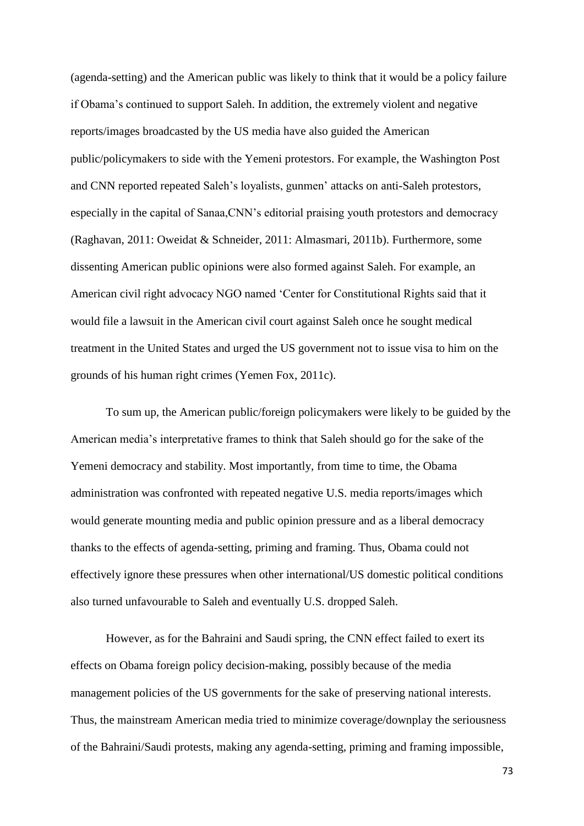(agenda-setting) and the American public was likely to think that it would be a policy failure if Obama's continued to support Saleh. In addition, the extremely violent and negative reports/images broadcasted by the US media have also guided the American public/policymakers to side with the Yemeni protestors. For example, the Washington Post and CNN reported repeated Saleh's loyalists, gunmen' attacks on anti-Saleh protestors, especially in the capital of Sanaa,CNN's editorial praising youth protestors and democracy (Raghavan, 2011: Oweidat & Schneider, 2011: Almasmari, 2011b). Furthermore, some dissenting American public opinions were also formed against Saleh. For example, an American civil right advocacy NGO named 'Center for Constitutional Rights said that it would file a lawsuit in the American civil court against Saleh once he sought medical treatment in the United States and urged the US government not to issue visa to him on the grounds of his human right crimes (Yemen Fox, 2011c).

To sum up, the American public/foreign policymakers were likely to be guided by the American media's interpretative frames to think that Saleh should go for the sake of the Yemeni democracy and stability. Most importantly, from time to time, the Obama administration was confronted with repeated negative U.S. media reports/images which would generate mounting media and public opinion pressure and as a liberal democracy thanks to the effects of agenda-setting, priming and framing. Thus, Obama could not effectively ignore these pressures when other international/US domestic political conditions also turned unfavourable to Saleh and eventually U.S. dropped Saleh.

However, as for the Bahraini and Saudi spring, the CNN effect failed to exert its effects on Obama foreign policy decision-making, possibly because of the media management policies of the US governments for the sake of preserving national interests. Thus, the mainstream American media tried to minimize coverage/downplay the seriousness of the Bahraini/Saudi protests, making any agenda-setting, priming and framing impossible,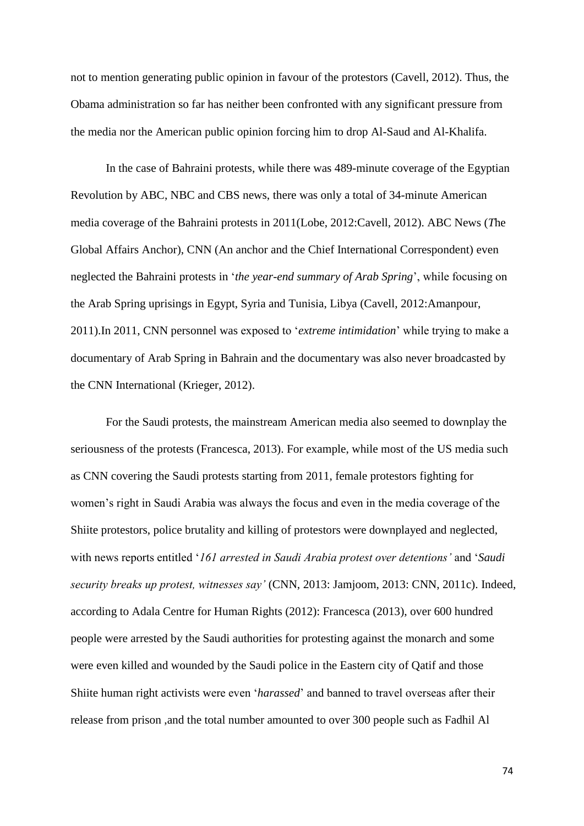not to mention generating public opinion in favour of the protestors (Cavell, 2012). Thus, the Obama administration so far has neither been confronted with any significant pressure from the media nor the American public opinion forcing him to drop Al-Saud and Al-Khalifa.

In the case of Bahraini protests, while there was 489-minute coverage of the Egyptian Revolution by ABC, NBC and CBS news, there was only a total of 34-minute American media coverage of the Bahraini protests in 2011(Lobe, 2012:Cavell, 2012). ABC News (*T*he Global Affairs Anchor), CNN (An anchor and the Chief International Correspondent) even neglected the Bahraini protests in '*the year-end summary of Arab Spring*', while focusing on the Arab Spring uprisings in Egypt, Syria and Tunisia, Libya (Cavell, 2012:Amanpour, 2011).In 2011, CNN personnel was exposed to '*extreme intimidation*' while trying to make a documentary of Arab Spring in Bahrain and the documentary was also never broadcasted by the CNN International (Krieger, 2012).

For the Saudi protests, the mainstream American media also seemed to downplay the seriousness of the protests (Francesca, 2013). For example, while most of the US media such as CNN covering the Saudi protests starting from 2011, female protestors fighting for women's right in Saudi Arabia was always the focus and even in the media coverage of the Shiite protestors, police brutality and killing of protestors were downplayed and neglected, with news reports entitled '*161 arrested in Saudi Arabia protest over detentions'* and '*Saudi security breaks up protest, witnesses say'* (CNN, 2013: Jamjoom, 2013: CNN, 2011c). Indeed, according to Adala Centre for Human Rights (2012): Francesca (2013), over 600 hundred people were arrested by the Saudi authorities for protesting against the monarch and some were even killed and wounded by the Saudi police in the Eastern city of Qatif and those Shiite human right activists were even '*harassed*' and banned to travel overseas after their release from prison ,and the total number amounted to over 300 people such as Fadhil Al

74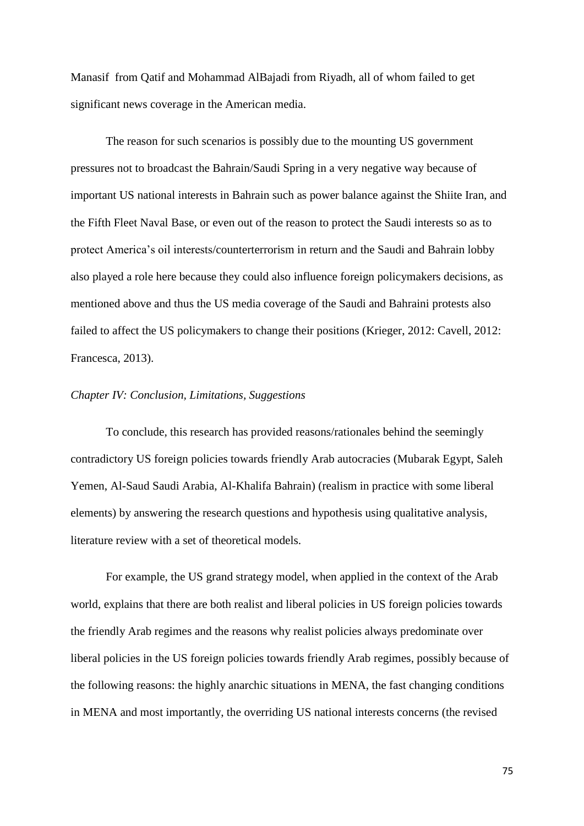Manasif from Qatif and Mohammad AlBajadi from Riyadh, all of whom failed to get significant news coverage in the American media.

The reason for such scenarios is possibly due to the mounting US government pressures not to broadcast the Bahrain/Saudi Spring in a very negative way because of important US national interests in Bahrain such as power balance against the Shiite Iran, and the Fifth Fleet Naval Base, or even out of the reason to protect the Saudi interests so as to protect America's oil interests/counterterrorism in return and the Saudi and Bahrain lobby also played a role here because they could also influence foreign policymakers decisions, as mentioned above and thus the US media coverage of the Saudi and Bahraini protests also failed to affect the US policymakers to change their positions (Krieger, 2012: Cavell, 2012: Francesca, 2013).

## *Chapter IV: Conclusion, Limitations, Suggestions*

To conclude, this research has provided reasons/rationales behind the seemingly contradictory US foreign policies towards friendly Arab autocracies (Mubarak Egypt, Saleh Yemen, Al-Saud Saudi Arabia, Al-Khalifa Bahrain) (realism in practice with some liberal elements) by answering the research questions and hypothesis using qualitative analysis, literature review with a set of theoretical models.

For example, the US grand strategy model, when applied in the context of the Arab world, explains that there are both realist and liberal policies in US foreign policies towards the friendly Arab regimes and the reasons why realist policies always predominate over liberal policies in the US foreign policies towards friendly Arab regimes, possibly because of the following reasons: the highly anarchic situations in MENA, the fast changing conditions in MENA and most importantly, the overriding US national interests concerns (the revised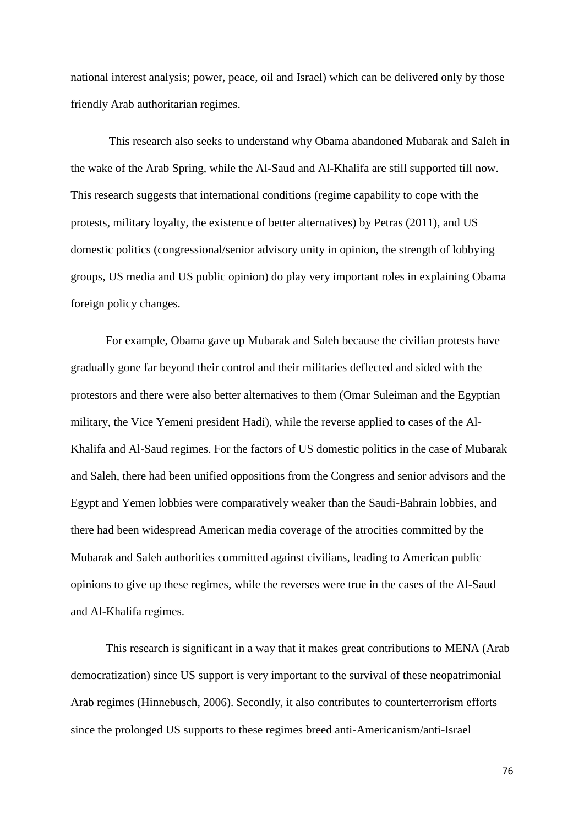national interest analysis; power, peace, oil and Israel) which can be delivered only by those friendly Arab authoritarian regimes.

This research also seeks to understand why Obama abandoned Mubarak and Saleh in the wake of the Arab Spring, while the Al-Saud and Al-Khalifa are still supported till now. This research suggests that international conditions (regime capability to cope with the protests, military loyalty, the existence of better alternatives) by Petras (2011), and US domestic politics (congressional/senior advisory unity in opinion, the strength of lobbying groups, US media and US public opinion) do play very important roles in explaining Obama foreign policy changes.

For example, Obama gave up Mubarak and Saleh because the civilian protests have gradually gone far beyond their control and their militaries deflected and sided with the protestors and there were also better alternatives to them (Omar Suleiman and the Egyptian military, the Vice Yemeni president Hadi), while the reverse applied to cases of the Al-Khalifa and Al-Saud regimes. For the factors of US domestic politics in the case of Mubarak and Saleh, there had been unified oppositions from the Congress and senior advisors and the Egypt and Yemen lobbies were comparatively weaker than the Saudi-Bahrain lobbies, and there had been widespread American media coverage of the atrocities committed by the Mubarak and Saleh authorities committed against civilians, leading to American public opinions to give up these regimes, while the reverses were true in the cases of the Al-Saud and Al-Khalifa regimes.

This research is significant in a way that it makes great contributions to MENA (Arab democratization) since US support is very important to the survival of these neopatrimonial Arab regimes (Hinnebusch, 2006). Secondly, it also contributes to counterterrorism efforts since the prolonged US supports to these regimes breed anti-Americanism/anti-Israel

76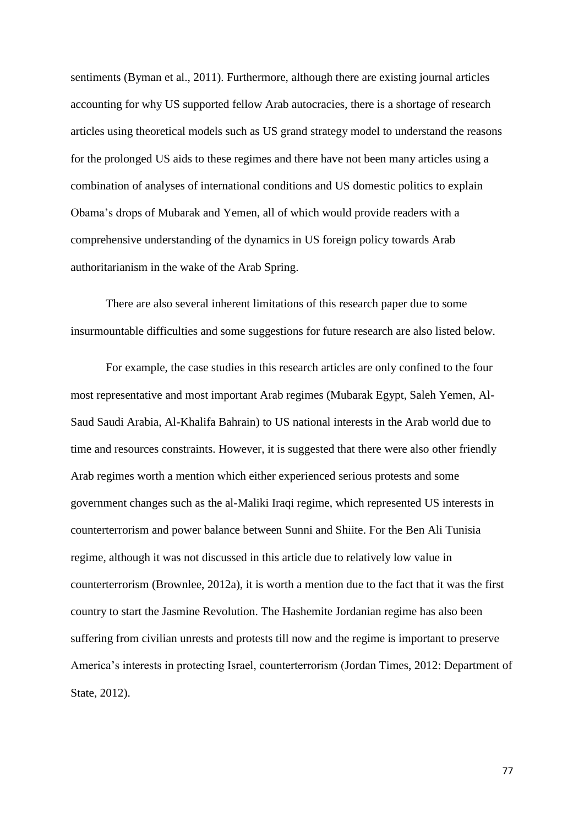sentiments (Byman et al., 2011). Furthermore, although there are existing journal articles accounting for why US supported fellow Arab autocracies, there is a shortage of research articles using theoretical models such as US grand strategy model to understand the reasons for the prolonged US aids to these regimes and there have not been many articles using a combination of analyses of international conditions and US domestic politics to explain Obama's drops of Mubarak and Yemen, all of which would provide readers with a comprehensive understanding of the dynamics in US foreign policy towards Arab authoritarianism in the wake of the Arab Spring.

There are also several inherent limitations of this research paper due to some insurmountable difficulties and some suggestions for future research are also listed below.

For example, the case studies in this research articles are only confined to the four most representative and most important Arab regimes (Mubarak Egypt, Saleh Yemen, Al-Saud Saudi Arabia, Al-Khalifa Bahrain) to US national interests in the Arab world due to time and resources constraints. However, it is suggested that there were also other friendly Arab regimes worth a mention which either experienced serious protests and some government changes such as the [al-Maliki](http://en.wikipedia.org/wiki/Nouri_al-Maliki) Iraqi regime, which represented US interests in counterterrorism and power balance between Sunni and Shiite. For the Ben Ali Tunisia regime, although it was not discussed in this article due to relatively low value in counterterrorism (Brownlee, 2012a), it is worth a mention due to the fact that it was the first country to start the Jasmine Revolution. The Hashemite Jordanian regime has also been suffering from civilian unrests and protests till now and the regime is important to preserve America's interests in protecting Israel, counterterrorism (Jordan Times, 2012: Department of State, 2012).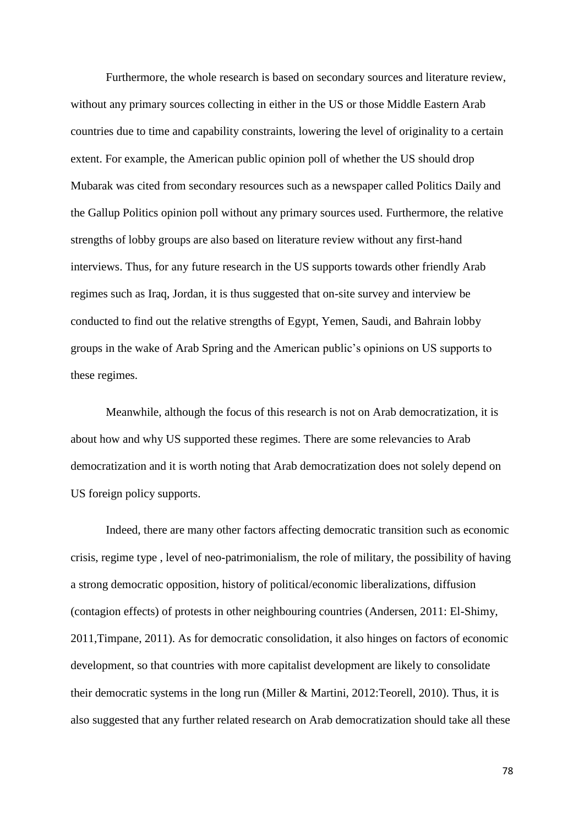Furthermore, the whole research is based on secondary sources and literature review, without any primary sources collecting in either in the US or those Middle Eastern Arab countries due to time and capability constraints, lowering the level of originality to a certain extent. For example, the American public opinion poll of whether the US should drop Mubarak was cited from secondary resources such as a newspaper called Politics Daily and the Gallup Politics opinion poll without any primary sources used. Furthermore, the relative strengths of lobby groups are also based on literature review without any first-hand interviews. Thus, for any future research in the US supports towards other friendly Arab regimes such as Iraq, Jordan, it is thus suggested that on-site survey and interview be conducted to find out the relative strengths of Egypt, Yemen, Saudi, and Bahrain lobby groups in the wake of Arab Spring and the American public's opinions on US supports to these regimes.

Meanwhile, although the focus of this research is not on Arab democratization, it is about how and why US supported these regimes. There are some relevancies to Arab democratization and it is worth noting that Arab democratization does not solely depend on US foreign policy supports.

Indeed, there are many other factors affecting democratic transition such as economic crisis, regime type , level of neo-patrimonialism, the role of military, the possibility of having a strong democratic opposition, history of political/economic liberalizations, diffusion (contagion effects) of protests in other neighbouring countries (Andersen, 2011: El-Shimy, 2011,Timpane, 2011). As for democratic consolidation, it also hinges on factors of economic development, so that countries with more capitalist development are likely to consolidate their democratic systems in the long run (Miller & Martini, 2012:Teorell, 2010). Thus, it is also suggested that any further related research on Arab democratization should take all these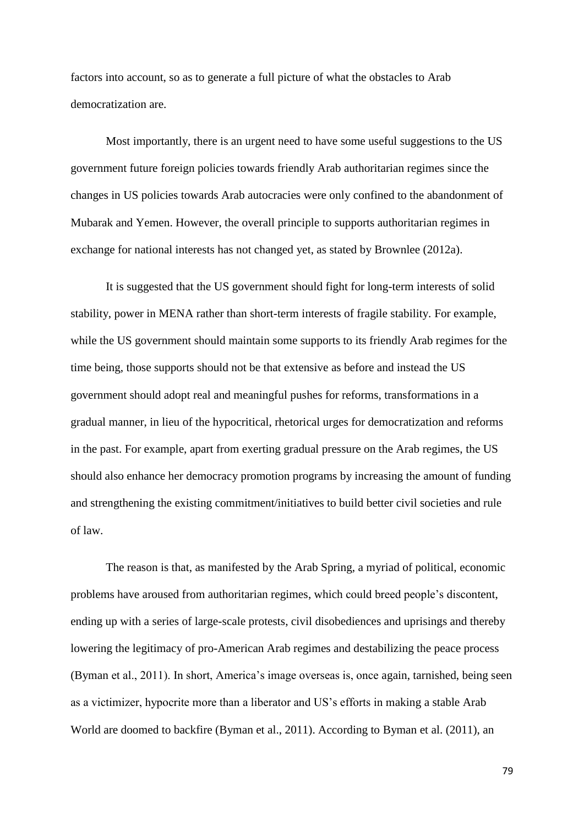factors into account, so as to generate a full picture of what the obstacles to Arab democratization are.

Most importantly, there is an urgent need to have some useful suggestions to the US government future foreign policies towards friendly Arab authoritarian regimes since the changes in US policies towards Arab autocracies were only confined to the abandonment of Mubarak and Yemen. However, the overall principle to supports authoritarian regimes in exchange for national interests has not changed yet, as stated by Brownlee (2012a).

It is suggested that the US government should fight for long-term interests of solid stability, power in MENA rather than short-term interests of fragile stability. For example, while the US government should maintain some supports to its friendly Arab regimes for the time being, those supports should not be that extensive as before and instead the US government should adopt real and meaningful pushes for reforms, transformations in a gradual manner, in lieu of the hypocritical, rhetorical urges for democratization and reforms in the past. For example, apart from exerting gradual pressure on the Arab regimes, the US should also enhance her democracy promotion programs by increasing the amount of funding and strengthening the existing commitment/initiatives to build better civil societies and rule of law.

The reason is that, as manifested by the Arab Spring, a myriad of political, economic problems have aroused from authoritarian regimes, which could breed people's discontent, ending up with a series of large-scale protests, civil disobediences and uprisings and thereby lowering the legitimacy of pro-American Arab regimes and destabilizing the peace process (Byman et al., 2011). In short, America's image overseas is, once again, tarnished, being seen as a victimizer, hypocrite more than a liberator and US's efforts in making a stable Arab World are doomed to backfire (Byman et al., 2011). According to Byman et al. (2011), an

79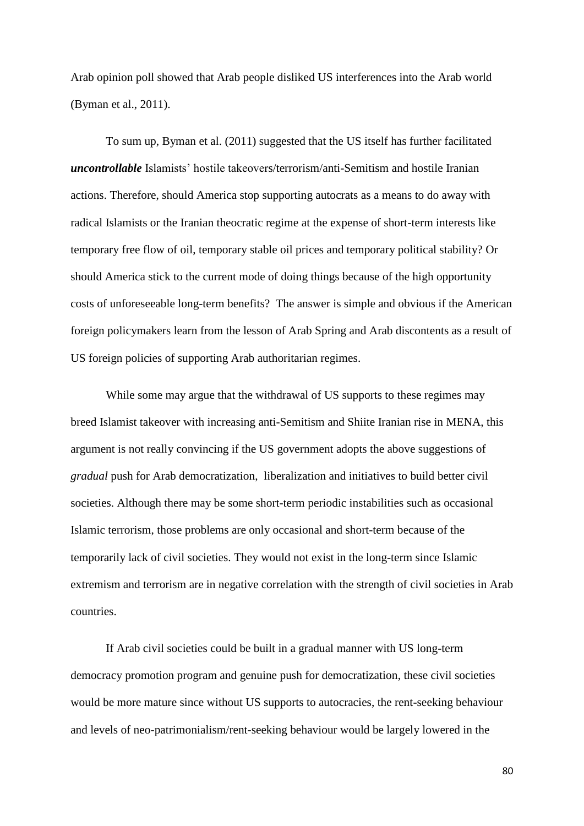Arab opinion poll showed that Arab people disliked US interferences into the Arab world (Byman et al., 2011).

To sum up, Byman et al. (2011) suggested that the US itself has further facilitated *uncontrollable* Islamists' hostile takeovers/terrorism/anti-Semitism and hostile Iranian actions. Therefore, should America stop supporting autocrats as a means to do away with radical Islamists or the Iranian theocratic regime at the expense of short-term interests like temporary free flow of oil, temporary stable oil prices and temporary political stability? Or should America stick to the current mode of doing things because of the high opportunity costs of unforeseeable long-term benefits? The answer is simple and obvious if the American foreign policymakers learn from the lesson of Arab Spring and Arab discontents as a result of US foreign policies of supporting Arab authoritarian regimes.

While some may argue that the withdrawal of US supports to these regimes may breed Islamist takeover with increasing anti-Semitism and Shiite Iranian rise in MENA, this argument is not really convincing if the US government adopts the above suggestions of *gradual* push for Arab democratization, liberalization and initiatives to build better civil societies. Although there may be some short-term periodic instabilities such as occasional Islamic terrorism, those problems are only occasional and short-term because of the temporarily lack of civil societies. They would not exist in the long-term since Islamic extremism and terrorism are in negative correlation with the strength of civil societies in Arab countries.

If Arab civil societies could be built in a gradual manner with US long-term democracy promotion program and genuine push for democratization, these civil societies would be more mature since without US supports to autocracies, the rent-seeking behaviour and levels of neo-patrimonialism/rent-seeking behaviour would be largely lowered in the

80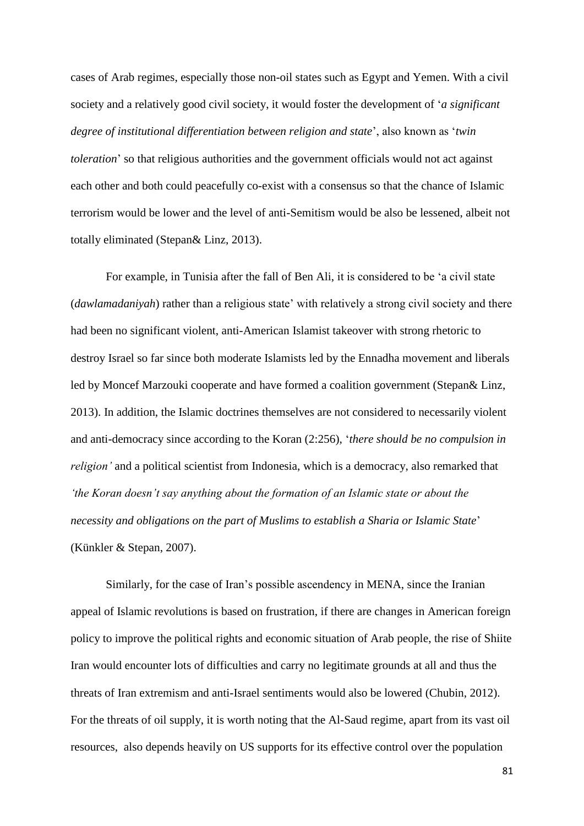cases of Arab regimes, especially those non-oil states such as Egypt and Yemen. With a civil society and a relatively good civil society, it would foster the development of '*a significant degree of institutional differentiation between religion and state*', also known as '*twin toleration*' so that religious authorities and the government officials would not act against each other and both could peacefully co-exist with a consensus so that the chance of Islamic terrorism would be lower and the level of anti-Semitism would be also be lessened, albeit not totally eliminated (Stepan& Linz, 2013).

For example, in Tunisia after the fall of Ben Ali, it is considered to be 'a civil state (*dawlamadaniyah*) rather than a religious state' with relatively a strong civil society and there had been no significant violent, anti-American Islamist takeover with strong rhetoric to destroy Israel so far since both moderate Islamists led by the Ennadha movement and liberals led by Moncef Marzouki cooperate and have formed a coalition government (Stepan& Linz, 2013). In addition, the Islamic doctrines themselves are not considered to necessarily violent and anti-democracy since according to the Koran (2:256), '*there should be no compulsion in religion'* and a political scientist from Indonesia, which is a democracy, also remarked that *'the Koran doesn't say anything about the formation of an Islamic state or about the necessity and obligations on the part of Muslims to establish a Sharia or Islamic State*' (Künkler & Stepan, 2007).

Similarly, for the case of Iran's possible ascendency in MENA, since the Iranian appeal of Islamic revolutions is based on frustration, if there are changes in American foreign policy to improve the political rights and economic situation of Arab people, the rise of Shiite Iran would encounter lots of difficulties and carry no legitimate grounds at all and thus the threats of Iran extremism and anti-Israel sentiments would also be lowered (Chubin, 2012). For the threats of oil supply, it is worth noting that the Al-Saud regime, apart from its vast oil resources, also depends heavily on US supports for its effective control over the population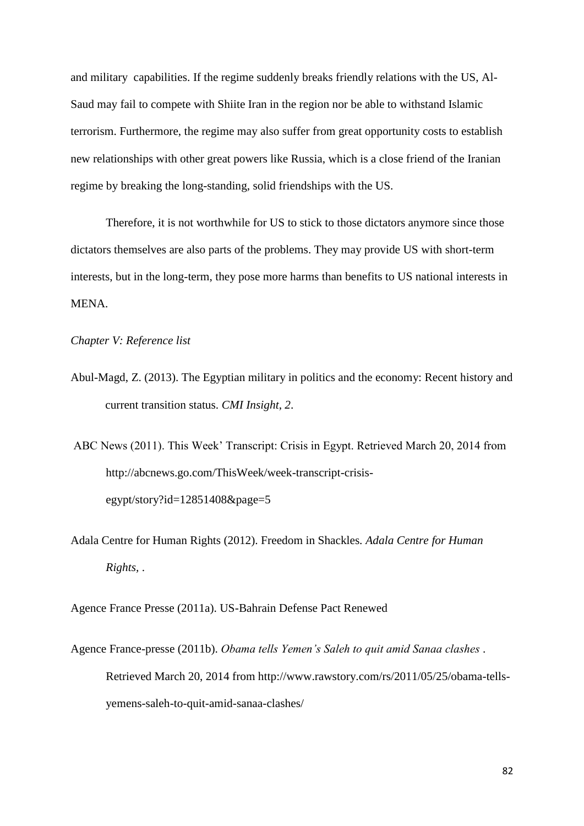and military capabilities. If the regime suddenly breaks friendly relations with the US, Al-Saud may fail to compete with Shiite Iran in the region nor be able to withstand Islamic terrorism. Furthermore, the regime may also suffer from great opportunity costs to establish new relationships with other great powers like Russia, which is a close friend of the Iranian regime by breaking the long-standing, solid friendships with the US.

Therefore, it is not worthwhile for US to stick to those dictators anymore since those dictators themselves are also parts of the problems. They may provide US with short-term interests, but in the long-term, they pose more harms than benefits to US national interests in MENA.

*Chapter V: Reference list*

- Abul-Magd, Z. (2013). The Egyptian military in politics and the economy: Recent history and current transition status. *CMI Insight*, *2*.
- ABC News (2011). This Week' Transcript: Crisis in Egypt. Retrieved March 20, 2014 from http://abcnews.go.com/ThisWeek/week-transcript-crisisegypt/story?id=12851408&page=5
- Adala Centre for Human Rights (2012). Freedom in Shackles*. Adala Centre for Human Rights,* .

Agence France Presse (2011a). US-Bahrain Defense Pact Renewed

Agence France-presse (2011b). *Obama tells Yemen's Saleh to quit amid Sanaa clashes* . Retrieved March 20, 2014 from http://www.rawstory.com/rs/2011/05/25/obama-tellsyemens-saleh-to-quit-amid-sanaa-clashes/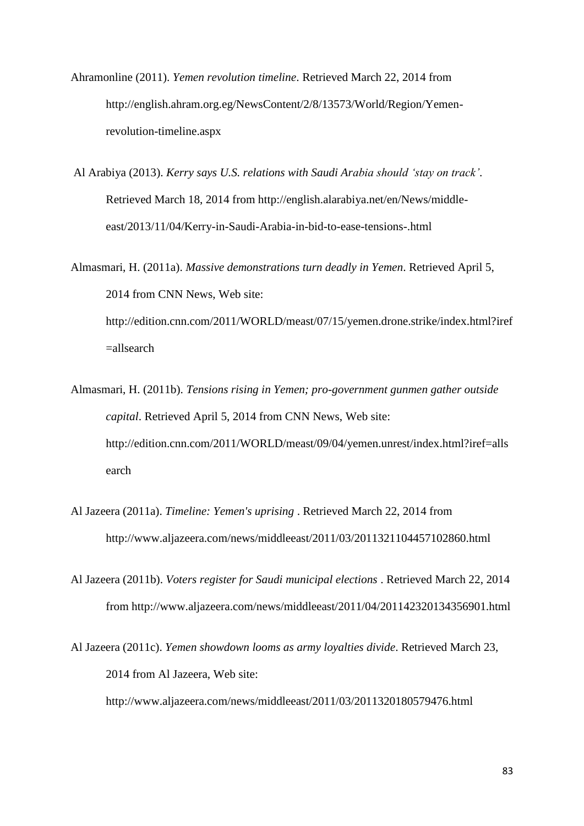- Ahramonline (2011). *Yemen revolution timeline*. Retrieved March 22, 2014 from http://english.ahram.org.eg/NewsContent/2/8/13573/World/Region/Yemenrevolution-timeline.aspx
- Al Arabiya (2013). *Kerry says U.S. relations with Saudi Arabia should 'stay on track'*. Retrieved March 18, 2014 from http://english.alarabiya.net/en/News/middleeast/2013/11/04/Kerry-in-Saudi-Arabia-in-bid-to-ease-tensions-.html

Almasmari, H. (2011a). *Massive demonstrations turn deadly in Yemen*. Retrieved April 5, 2014 from CNN News, Web site: http://edition.cnn.com/2011/WORLD/meast/07/15/yemen.drone.strike/index.html?iref =allsearch

- Almasmari, H. (2011b). *Tensions rising in Yemen; pro-government gunmen gather outside capital*. Retrieved April 5, 2014 from CNN News, Web site: http://edition.cnn.com/2011/WORLD/meast/09/04/yemen.unrest/index.html?iref=alls earch
- Al Jazeera (2011a). *Timeline: Yemen's uprising* . Retrieved March 22, 2014 from http://www.aljazeera.com/news/middleeast/2011/03/2011321104457102860.html
- Al Jazeera (2011b). *Voters register for Saudi municipal elections* . Retrieved March 22, 2014 from http://www.aljazeera.com/news/middleeast/2011/04/201142320134356901.html

Al Jazeera (2011c). *Yemen showdown looms as army loyalties divide*. Retrieved March 23, 2014 from Al Jazeera, Web site: http://www.aljazeera.com/news/middleeast/2011/03/2011320180579476.html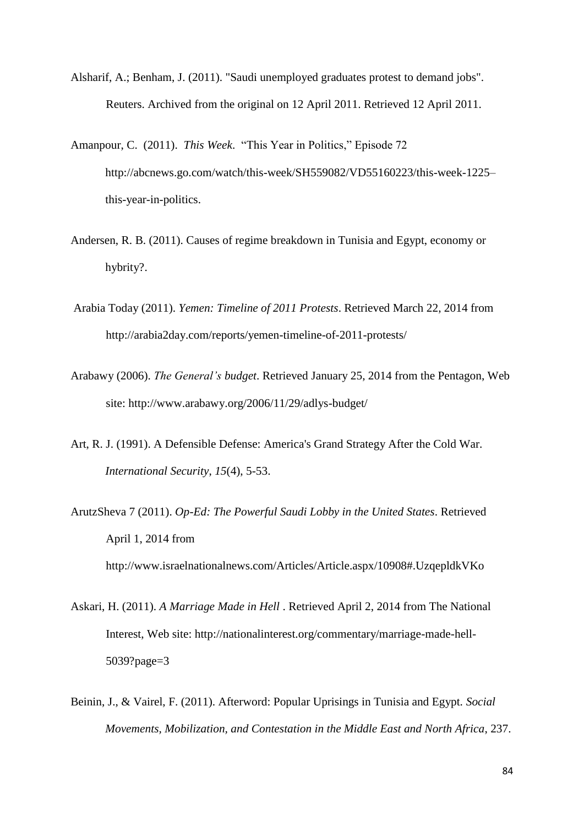- Alsharif, A.; Benham, J. (2011). ["Saudi unemployed graduates protest to demand jobs".](http://www.reuters.com/article/2011/04/10/us-saudi-protests-idUSTRE73914E20110410) [Reuters.](http://en.wikipedia.org/wiki/Reuters) [Archived](http://www.webcitation.org/5xtfuPXOK) from the original on 12 April 2011. Retrieved 12 April 2011.
- Amanpour, C. (2011). *This Week*. "This Year in Politics," Episode 72 [http://abcnews.go.com/watch/this-week/SH559082/VD55160223/this-week-1225–](http://abcnews.go.com/watch/this-week/SH559082/VD55160223/this-week-1225--this-year-in-politics) [this-year-in-politics.](http://abcnews.go.com/watch/this-week/SH559082/VD55160223/this-week-1225--this-year-in-politics)
- Andersen, R. B. (2011). Causes of regime breakdown in Tunisia and Egypt, economy or hybrity?.
- Arabia Today (2011). *Yemen: Timeline of 2011 Protests*. Retrieved March 22, 2014 from http://arabia2day.com/reports/yemen-timeline-of-2011-protests/
- Arabawy (2006). *The General's budget*. Retrieved January 25, 2014 from the Pentagon, Web site: http://www.arabawy.org/2006/11/29/adlys-budget/
- Art, R. J. (1991). A Defensible Defense: America's Grand Strategy After the Cold War. *International Security*, *15*(4), 5-53.
- ArutzSheva 7 (2011). *Op-Ed: The Powerful Saudi Lobby in the United States*. Retrieved April 1, 2014 from http://www.israelnationalnews.com/Articles/Article.aspx/10908#.UzqepldkVKo
- Askari, H. (2011). *A Marriage Made in Hell* . Retrieved April 2, 2014 from The National Interest, Web site: http://nationalinterest.org/commentary/marriage-made-hell-5039?page=3
- Beinin, J., & Vairel, F. (2011). Afterword: Popular Uprisings in Tunisia and Egypt. *Social Movements, Mobilization, and Contestation in the Middle East and North Africa*, 237.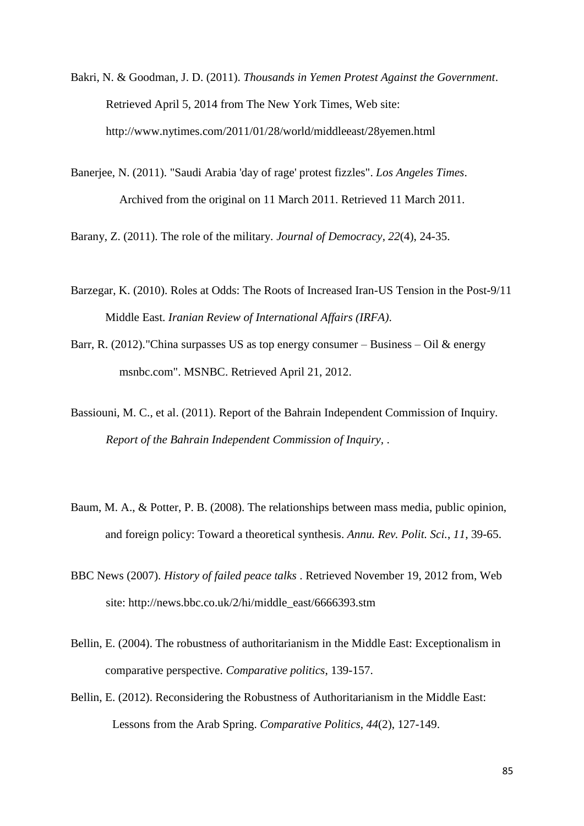- Bakri, N. & Goodman, J. D. (2011). *Thousands in Yemen Protest Against the Government*. Retrieved April 5, 2014 from The New York Times, Web site: http://www.nytimes.com/2011/01/28/world/middleeast/28yemen.html
- Banerjee, N. (2011). ["Saudi Arabia 'day of rage' protest fizzles".](http://www.latimes.com/news/nationworld/world/la-fg-saudi-unrest-20110312,0,72557.story) *Los Angeles Times*. [Archived](http://www.webcitation.org/5x76tP4d2) from the original on 11 March 2011. Retrieved 11 March 2011.

Barany, Z. (2011). The role of the military. *Journal of Democracy*, *22*(4), 24-35.

- Barzegar, K. (2010). Roles at Odds: The Roots of Increased Iran-US Tension in the Post-9/11 Middle East. *Iranian Review of International Affairs (IRFA)*.
- Barr, R. (2012). "China surpasses US as top energy consumer Business Oil & energy [msnbc.com".](http://www.msnbc.msn.com/id/43327793/ns/business-oil_and_energy/t/china-surpasses-us-top-energy-consumer/) MSNBC. Retrieved April 21, 2012.
- Bassiouni, M. C., et al. (2011). Report of the Bahrain Independent Commission of Inquiry*. Report of the Bahrain Independent Commission of Inquiry,* .
- Baum, M. A., & Potter, P. B. (2008). The relationships between mass media, public opinion, and foreign policy: Toward a theoretical synthesis. *Annu. Rev. Polit. Sci.*, *11*, 39-65.
- BBC News (2007). *History of failed peace talks* . Retrieved November 19, 2012 from, Web site: http://news.bbc.co.uk/2/hi/middle\_east/6666393.stm
- Bellin, E. (2004). The robustness of authoritarianism in the Middle East: Exceptionalism in comparative perspective. *Comparative politics*, 139-157.
- Bellin, E. (2012). Reconsidering the Robustness of Authoritarianism in the Middle East: Lessons from the Arab Spring. *Comparative Politics*, *44*(2), 127-149.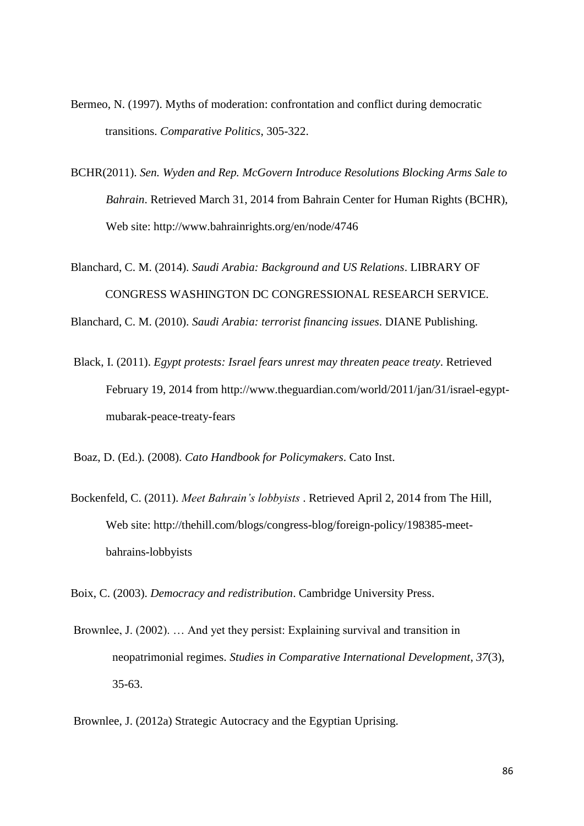- Bermeo, N. (1997). Myths of moderation: confrontation and conflict during democratic transitions. *Comparative Politics*, 305-322.
- BCHR(2011). *Sen. Wyden and Rep. McGovern Introduce Resolutions Blocking Arms Sale to Bahrain*. Retrieved March 31, 2014 from Bahrain Center for Human Rights (BCHR), Web site: http://www.bahrainrights.org/en/node/4746

Blanchard, C. M. (2014). *Saudi Arabia: Background and US Relations*. LIBRARY OF CONGRESS WASHINGTON DC CONGRESSIONAL RESEARCH SERVICE. Blanchard, C. M. (2010). *Saudi Arabia: terrorist financing issues*. DIANE Publishing.

Black, I. (2011). *Egypt protests: Israel fears unrest may threaten peace treaty*. Retrieved February 19, 2014 from http://www.theguardian.com/world/2011/jan/31/israel-egyptmubarak-peace-treaty-fears

Boaz, D. (Ed.). (2008). *Cato Handbook for Policymakers*. Cato Inst.

Bockenfeld, C. (2011). *Meet Bahrain's lobbyists* . Retrieved April 2, 2014 from The Hill, Web site: http://thehill.com/blogs/congress-blog/foreign-policy/198385-meetbahrains-lobbyists

Boix, C. (2003). *Democracy and redistribution*. Cambridge University Press.

Brownlee, J. (2002). … And yet they persist: Explaining survival and transition in neopatrimonial regimes. *Studies in Comparative International Development*, *37*(3), 35-63.

Brownlee, J. (2012a) Strategic Autocracy and the Egyptian Uprising.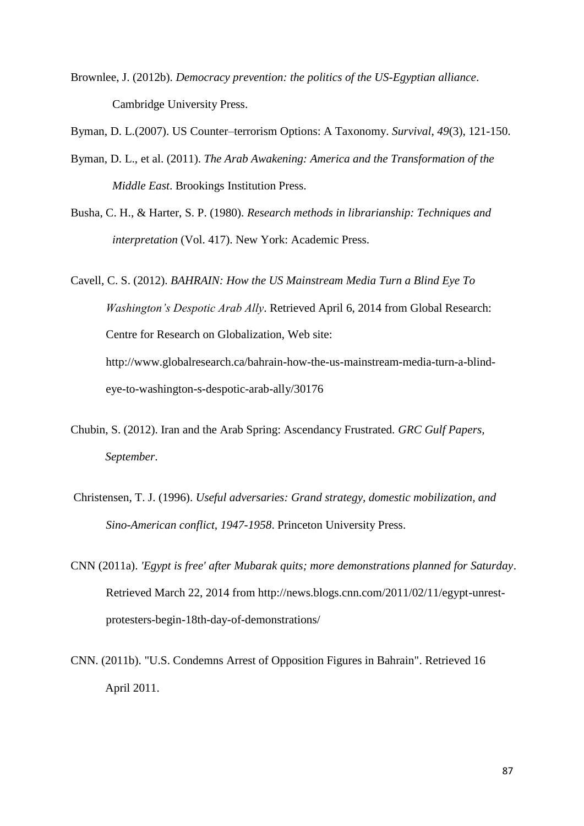Brownlee, J. (2012b). *Democracy prevention: the politics of the US-Egyptian alliance*. Cambridge University Press.

Byman, D. L.(2007). US Counter–terrorism Options: A Taxonomy. *Survival*, *49*(3), 121-150.

- Byman, D. L., et al. (2011). *The Arab Awakening: America and the Transformation of the Middle East*. Brookings Institution Press.
- Busha, C. H., & Harter, S. P. (1980). *Research methods in librarianship: Techniques and interpretation* (Vol. 417). New York: Academic Press.

Cavell, C. S. (2012). *BAHRAIN: How the US Mainstream Media Turn a Blind Eye To Washington's Despotic Arab Ally*. Retrieved April 6, 2014 from Global Research: Centre for Research on Globalization, Web site: http://www.globalresearch.ca/bahrain-how-the-us-mainstream-media-turn-a-blindeye-to-washington-s-despotic-arab-ally/30176

- Chubin, S. (2012). Iran and the Arab Spring: Ascendancy Frustrated. *GRC Gulf Papers, September*.
- Christensen, T. J. (1996). *Useful adversaries: Grand strategy, domestic mobilization, and Sino-American conflict, 1947-1958*. Princeton University Press.
- CNN (2011a). *'Egypt is free' after Mubarak quits; more demonstrations planned for Saturday*. Retrieved March 22, 2014 from http://news.blogs.cnn.com/2011/02/11/egypt-unrestprotesters-begin-18th-day-of-demonstrations/
- CNN. (2011b). ["U.S. Condemns Arrest of Opposition Figures in Bahrain".](http://edition.cnn.com/2011/WORLD/meast/03/18/bahrain.protests/?hpt=T2) Retrieved 16 April 2011.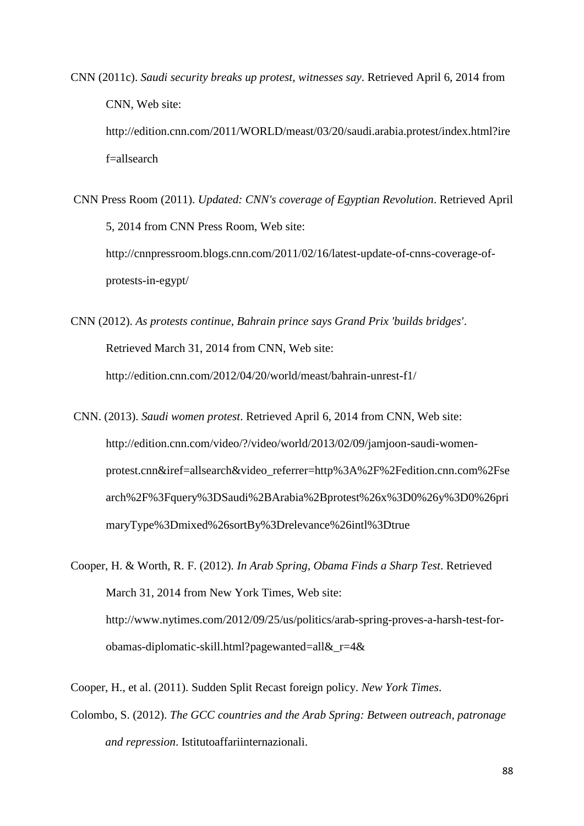CNN (2011c). *Saudi security breaks up protest, witnesses say*. Retrieved April 6, 2014 from CNN, Web site: http://edition.cnn.com/2011/WORLD/meast/03/20/saudi.arabia.protest/index.html?ire f=allsearch

CNN Press Room (2011). *Updated: CNN's coverage of Egyptian Revolution*. Retrieved April 5, 2014 from CNN Press Room, Web site: http://cnnpressroom.blogs.cnn.com/2011/02/16/latest-update-of-cnns-coverage-ofprotests-in-egypt/

CNN (2012). *As protests continue, Bahrain prince says Grand Prix 'builds bridges'*. Retrieved March 31, 2014 from CNN, Web site: http://edition.cnn.com/2012/04/20/world/meast/bahrain-unrest-f1/

CNN. (2013). *Saudi women protest*. Retrieved April 6, 2014 from CNN, Web site: http://edition.cnn.com/video/?/video/world/2013/02/09/jamjoon-saudi-womenprotest.cnn&iref=allsearch&video\_referrer=http%3A%2F%2Fedition.cnn.com%2Fse arch%2F%3Fquery%3DSaudi%2BArabia%2Bprotest%26x%3D0%26y%3D0%26pri maryType%3Dmixed%26sortBy%3Drelevance%26intl%3Dtrue

Cooper, H. & Worth, R. F. (2012). *In Arab Spring, Obama Finds a Sharp Test*. Retrieved March 31, 2014 from New York Times, Web site: http://www.nytimes.com/2012/09/25/us/politics/arab-spring-proves-a-harsh-test-forobamas-diplomatic-skill.html?pagewanted=all&\_r=4&

Cooper, H., et al. (2011). Sudden Split Recast foreign policy. *New York Times*.

Colombo, S. (2012). *The GCC countries and the Arab Spring: Between outreach, patronage and repression*. Istitutoaffariinternazionali.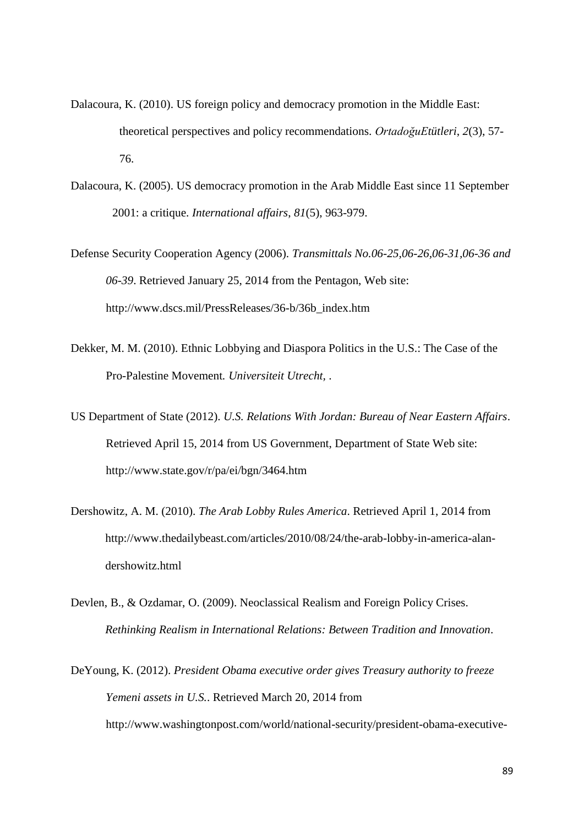- Dalacoura, K. (2010). US foreign policy and democracy promotion in the Middle East: theoretical perspectives and policy recommendations. *OrtadoğuEtütleri*, *2*(3), 57- 76.
- Dalacoura, K. (2005). US democracy promotion in the Arab Middle East since 11 September 2001: a critique. *International affairs*, *81*(5), 963-979.
- Defense Security Cooperation Agency (2006). *Transmittals No.06-25,06-26,06-31,06-36 and 06-39*. Retrieved January 25, 2014 from the Pentagon, Web site: http://www.dscs.mil/PressReleases/36-b/36b\_index.htm
- Dekker, M. M. (2010). Ethnic Lobbying and Diaspora Politics in the U.S.: The Case of the Pro-Palestine Movement*. Universiteit Utrecht,* .
- US Department of State (2012). *U.S. Relations With Jordan: Bureau of Near Eastern Affairs*. Retrieved April 15, 2014 from US Government, Department of State Web site: http://www.state.gov/r/pa/ei/bgn/3464.htm
- Dershowitz, A. M. (2010). *The Arab Lobby Rules America*. Retrieved April 1, 2014 from http://www.thedailybeast.com/articles/2010/08/24/the-arab-lobby-in-america-alandershowitz.html
- Devlen, B., & Ozdamar, O. (2009). Neoclassical Realism and Foreign Policy Crises. *Rethinking Realism in International Relations: Between Tradition and Innovation*.
- DeYoung, K. (2012). *President Obama executive order gives Treasury authority to freeze Yemeni assets in U.S.*. Retrieved March 20, 2014 from http://www.washingtonpost.com/world/national-security/president-obama-executive-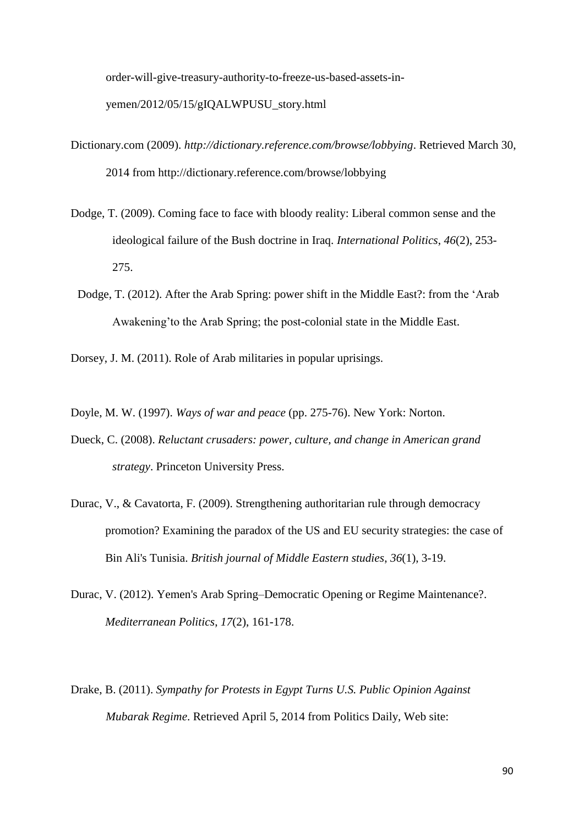order-will-give-treasury-authority-to-freeze-us-based-assets-inyemen/2012/05/15/gIQALWPUSU\_story.html

- Dictionary.com (2009). *http://dictionary.reference.com/browse/lobbying*. Retrieved March 30, 2014 from http://dictionary.reference.com/browse/lobbying
- Dodge, T. (2009). Coming face to face with bloody reality: Liberal common sense and the ideological failure of the Bush doctrine in Iraq. *International Politics*, *46*(2), 253- 275.
	- Dodge, T. (2012). After the Arab Spring: power shift in the Middle East?: from the 'Arab Awakening'to the Arab Spring; the post-colonial state in the Middle East.

Dorsey, J. M. (2011). Role of Arab militaries in popular uprisings.

Doyle, M. W. (1997). *Ways of war and peace* (pp. 275-76). New York: Norton.

- Dueck, C. (2008). *Reluctant crusaders: power, culture, and change in American grand strategy*. Princeton University Press.
- Durac, V., & Cavatorta, F. (2009). Strengthening authoritarian rule through democracy promotion? Examining the paradox of the US and EU security strategies: the case of Bin Ali's Tunisia. *British journal of Middle Eastern studies*, *36*(1), 3-19.
- Durac, V. (2012). Yemen's Arab Spring–Democratic Opening or Regime Maintenance?. *Mediterranean Politics*, *17*(2), 161-178.
- Drake, B. (2011). *Sympathy for Protests in Egypt Turns U.S. Public Opinion Against Mubarak Regime*. Retrieved April 5, 2014 from Politics Daily, Web site: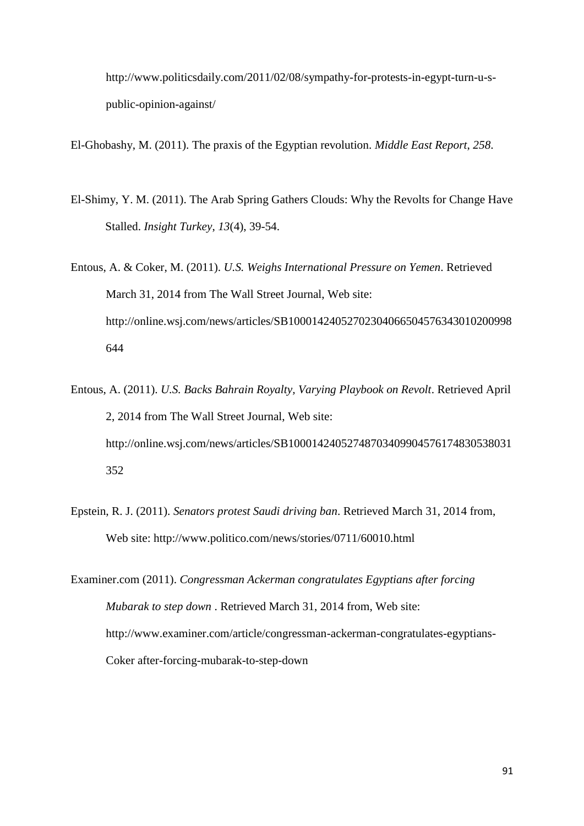[http://www.politicsdaily.com/2011/02/08/sympathy-for-protests-in-egypt-turn-u-s](http://www.politicsdaily.com/2011/02/08/sympathy-for-protests-in-egypt-turn-u-s-public-opinion-against/)[public-opinion-against/](http://www.politicsdaily.com/2011/02/08/sympathy-for-protests-in-egypt-turn-u-s-public-opinion-against/)

El-Ghobashy, M. (2011). The praxis of the Egyptian revolution. *Middle East Report*, *258*.

- El-Shimy, Y. M. (2011). The Arab Spring Gathers Clouds: Why the Revolts for Change Have Stalled. *Insight Turkey*, *13*(4), 39-54.
- Entous, A. & Coker, M. (2011). *U.S. Weighs International Pressure on Yemen*. Retrieved March 31, 2014 from The Wall Street Journal, Web site: http://online.wsj.com/news/articles/SB10001424052702304066504576343010200998 644
- Entous, A. (2011). *U.S. Backs Bahrain Royalty, Varying Playbook on Revolt*. Retrieved April 2, 2014 from The Wall Street Journal, Web site: http://online.wsj.com/news/articles/SB10001424052748703409904576174830538031 352
- Epstein, R. J. (2011). *Senators protest Saudi driving ban*. Retrieved March 31, 2014 from, Web site: http://www.politico.com/news/stories/0711/60010.html

Examiner.com (2011). *Congressman Ackerman congratulates Egyptians after forcing Mubarak to step down* . Retrieved March 31, 2014 from, Web site: http://www.examiner.com/article/congressman-ackerman-congratulates-egyptians-Coker after-forcing-mubarak-to-step-down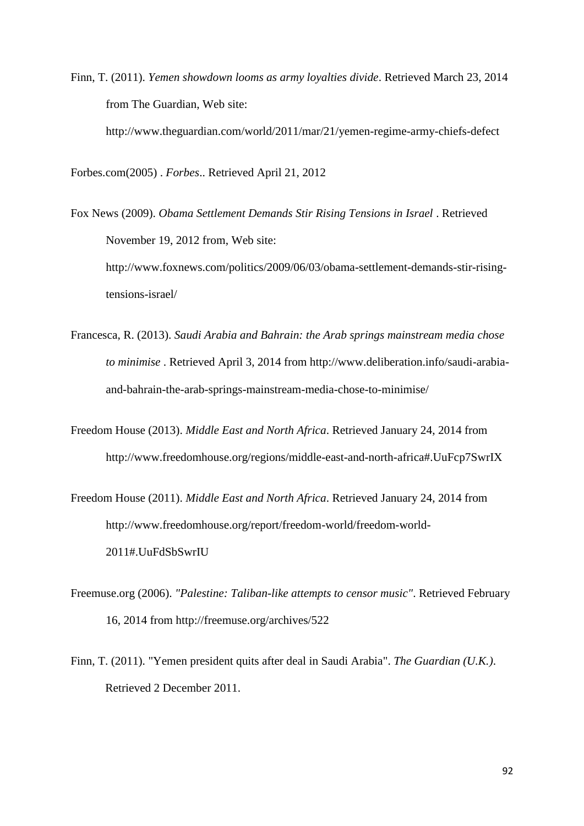Finn, T. (2011). *Yemen showdown looms as army loyalties divide*. Retrieved March 23, 2014 from The Guardian, Web site:

http://www.theguardian.com/world/2011/mar/21/yemen-regime-army-chiefs-defect

Forbes.com(2005) . *Forbes*.. Retrieved April 21, 2012

Fox News (2009). *Obama Settlement Demands Stir Rising Tensions in Israel*. Retrieved November 19, 2012 from, Web site: [http://www.foxnews.com/politics/2009/06/03/obama-settlement-demands-stir-rising](http://www.foxnews.com/politics/2009/06/03/obama-settlement-demands-stir-rising-tensions-israel/)[tensions-israel/](http://www.foxnews.com/politics/2009/06/03/obama-settlement-demands-stir-rising-tensions-israel/)

- Francesca, R. (2013). *Saudi Arabia and Bahrain: the Arab springs mainstream media chose to minimise* . Retrieved April 3, 2014 from http://www.deliberation.info/saudi-arabiaand-bahrain-the-arab-springs-mainstream-media-chose-to-minimise/
- Freedom House (2013). *Middle East and North Africa*. Retrieved January 24, 2014 from <http://www.freedomhouse.org/regions/middle-east-and-north-africa#.UuFcp7SwrIX>
- Freedom House (2011). *Middle East and North Africa*. Retrieved January 24, 2014 from http://www.freedomhouse.org/report/freedom-world/freedom-world-2011#.UuFdSbSwrIU
- Freemuse.org (2006). *"Palestine: Taliban-like attempts to censor music"*. Retrieved February 16, 2014 from http://freemuse.org/archives/522
- Finn, T. (2011). ["Yemen president quits after deal in Saudi Arabia".](http://www.guardian.co.uk/world/2011/nov/23/yemen-president-quits?intcmp=239) *The Guardian (U.K.)*. Retrieved 2 December 2011.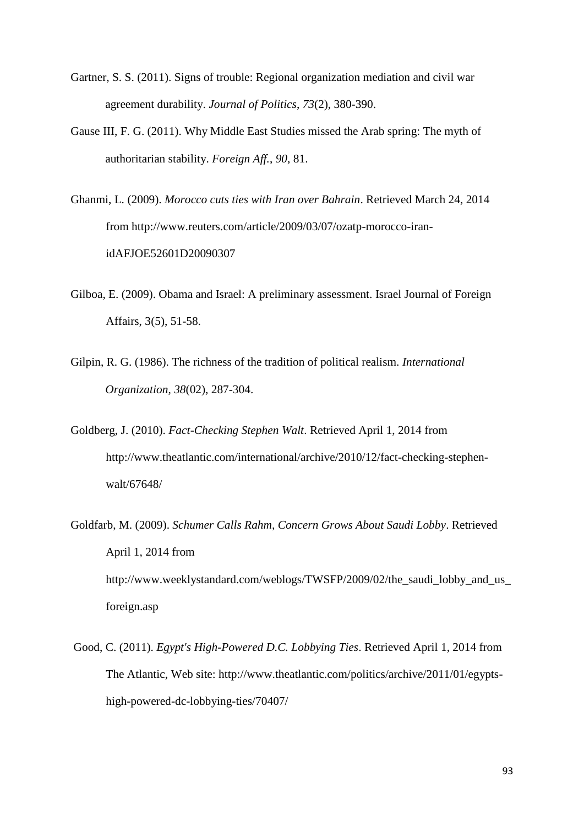- Gartner, S. S. (2011). Signs of trouble: Regional organization mediation and civil war agreement durability. *Journal of Politics*, *73*(2), 380-390.
- Gause III, F. G. (2011). Why Middle East Studies missed the Arab spring: The myth of authoritarian stability. *Foreign Aff.*, *90*, 81.
- Ghanmi, L. (2009). *Morocco cuts ties with Iran over Bahrain*. Retrieved March 24, 2014 from http://www.reuters.com/article/2009/03/07/ozatp-morocco-iranidAFJOE52601D20090307
- Gilboa, E. (2009). Obama and Israel: A preliminary assessment. Israel Journal of Foreign Affairs, 3(5), 51-58.
- Gilpin, R. G. (1986). The richness of the tradition of political realism. *International Organization*, *38*(02), 287-304.
- Goldberg, J. (2010). *Fact-Checking Stephen Walt*. Retrieved April 1, 2014 from http://www.theatlantic.com/international/archive/2010/12/fact-checking-stephenwalt/67648/
- Goldfarb, M. (2009). *Schumer Calls Rahm, Concern Grows About Saudi Lobby*. Retrieved April 1, 2014 from http://www.weeklystandard.com/weblogs/TWSFP/2009/02/the\_saudi\_lobby\_and\_us\_ foreign.asp
- Good, C. (2011). *Egypt's High-Powered D.C. Lobbying Ties*. Retrieved April 1, 2014 from The Atlantic, Web site: http://www.theatlantic.com/politics/archive/2011/01/egyptshigh-powered-dc-lobbying-ties/70407/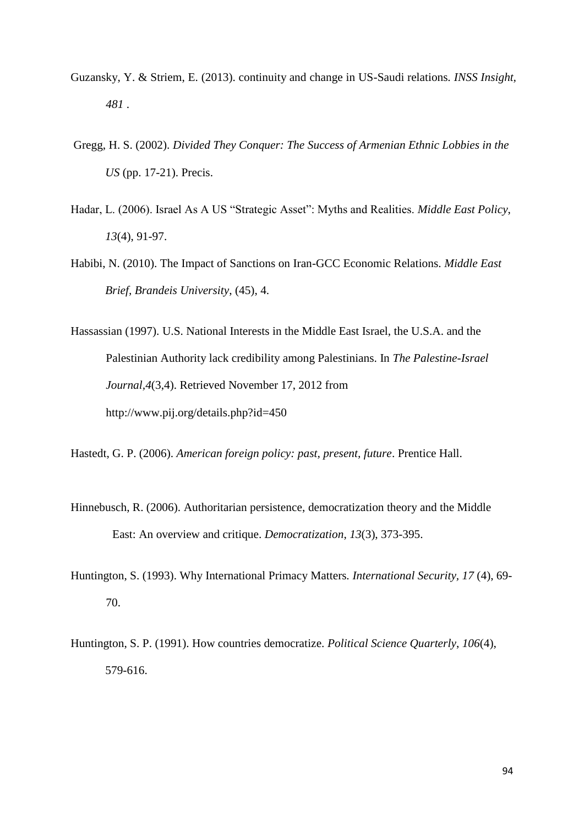- Guzansky, Y. & Striem, E. (2013). continuity and change in US-Saudi relations*. INSS Insight, 481* .
- Gregg, H. S. (2002). *Divided They Conquer: The Success of Armenian Ethnic Lobbies in the US* (pp. 17-21). Precis.
- Hadar, L. (2006). Israel As A US "Strategic Asset": Myths and Realities. *Middle East Policy*, *13*(4), 91-97.
- Habibi, N. (2010). The Impact of Sanctions on Iran-GCC Economic Relations. *Middle East Brief, Brandeis University*, (45), 4.

Hassassian (1997). U.S. National Interests in the Middle East Israel, the U.S.A. and the Palestinian Authority lack credibility among Palestinians. In *The Palestine-Israel Journal,4*(3,4). Retrieved November 17, 2012 from <http://www.pij.org/details.php?id=450>

Hastedt, G. P. (2006). *American foreign policy: past, present, future*. Prentice Hall.

- Hinnebusch, R. (2006). Authoritarian persistence, democratization theory and the Middle East: An overview and critique. *Democratization*, *13*(3), 373-395.
- Huntington, S. (1993). Why International Primacy Matters*. International Security, 17* (4), 69- 70.
- Huntington, S. P. (1991). How countries democratize. *Political Science Quarterly*, *106*(4), 579-616.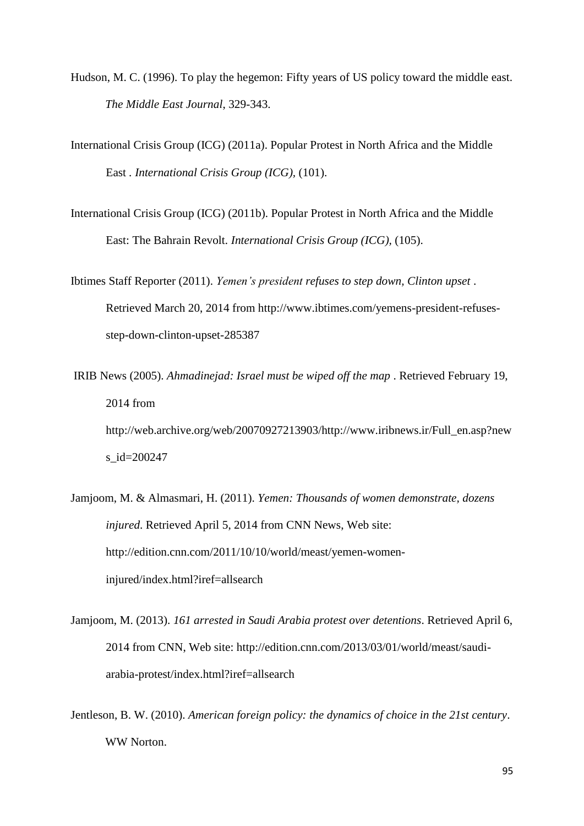- Hudson, M. C. (1996). To play the hegemon: Fifty years of US policy toward the middle east. *The Middle East Journal*, 329-343.
- International Crisis Group (ICG) (2011a). Popular Protest in North Africa and the Middle East *. International Crisis Group (ICG),* (101).
- International Crisis Group (ICG) (2011b). Popular Protest in North Africa and the Middle East: The Bahrain Revolt*. International Crisis Group (ICG),* (105).
- Ibtimes Staff Reporter (2011). *Yemen's president refuses to step down, Clinton upset* . Retrieved March 20, 2014 from http://www.ibtimes.com/yemens-president-refusesstep-down-clinton-upset-285387
- IRIB News (2005). *Ahmadinejad: Israel must be wiped off the map* . Retrieved February 19, 2014 from http://web.archive.org/web/20070927213903/http://www.iribnews.ir/Full\_en.asp?new s\_id=200247
- Jamjoom, M. & Almasmari, H. (2011). *Yemen: Thousands of women demonstrate, dozens injured*. Retrieved April 5, 2014 from CNN News, Web site: http://edition.cnn.com/2011/10/10/world/meast/yemen-womeninjured/index.html?iref=allsearch
- Jamjoom, M. (2013). *161 arrested in Saudi Arabia protest over detentions*. Retrieved April 6, 2014 from CNN, Web site: http://edition.cnn.com/2013/03/01/world/meast/saudiarabia-protest/index.html?iref=allsearch
- Jentleson, B. W. (2010). *American foreign policy: the dynamics of choice in the 21st century*. WW Norton.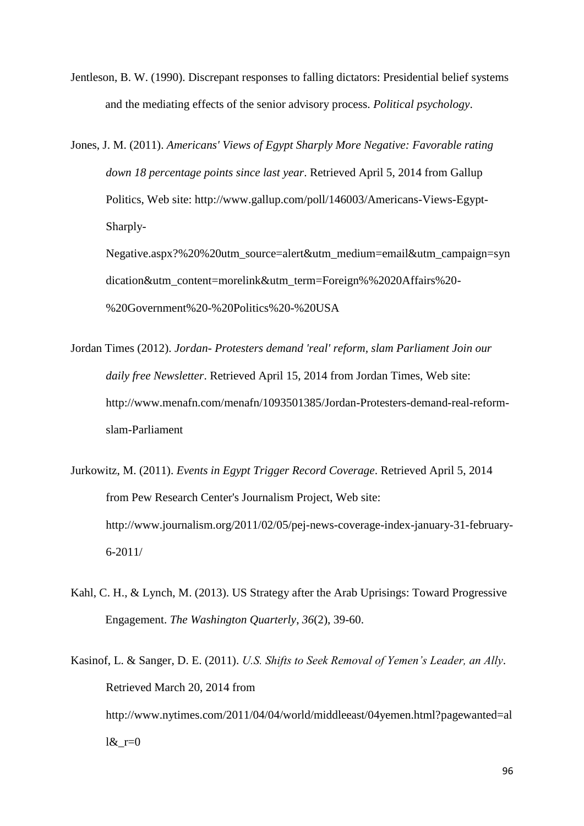Jentleson, B. W. (1990). Discrepant responses to falling dictators: Presidential belief systems and the mediating effects of the senior advisory process. *Political psychology*.

Jones, J. M. (2011). *Americans' Views of Egypt Sharply More Negative: Favorable rating down 18 percentage points since last year*. Retrieved April 5, 2014 from Gallup Politics, Web site: http://www.gallup.com/poll/146003/Americans-Views-Egypt-Sharply-

Negative.aspx?%20%20utm\_source=alert&utm\_medium=email&utm\_campaign=syn dication&utm\_content=morelink&utm\_term=Foreign%%2020Affairs%20- %20Government%20-%20Politics%20-%20USA

- Jordan Times (2012). *Jordan- Protesters demand 'real' reform, slam Parliament Join our daily free Newsletter*. Retrieved April 15, 2014 from Jordan Times, Web site: http://www.menafn.com/menafn/1093501385/Jordan-Protesters-demand-real-reformslam-Parliament
- Jurkowitz, M. (2011). *Events in Egypt Trigger Record Coverage*. Retrieved April 5, 2014 from Pew Research Center's Journalism Project, Web site: http://www.journalism.org/2011/02/05/pej-news-coverage-index-january-31-february-6-2011/
- Kahl, C. H., & Lynch, M. (2013). US Strategy after the Arab Uprisings: Toward Progressive Engagement. *The Washington Quarterly*, *36*(2), 39-60.
- Kasinof, L. & Sanger, D. E. (2011). *U.S. Shifts to Seek Removal of Yemen's Leader, an Ally*. Retrieved March 20, 2014 from http://www.nytimes.com/2011/04/04/world/middleeast/04yemen.html?pagewanted=al  $l\&$  r=0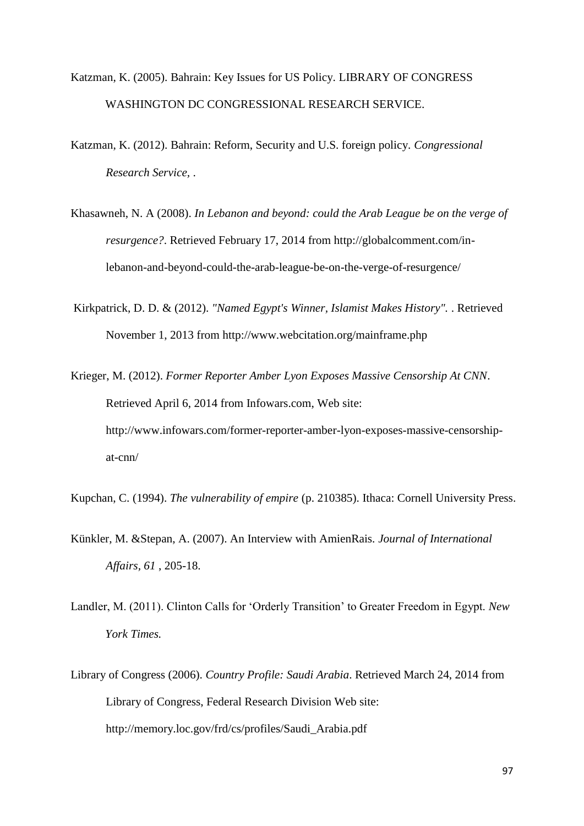- Katzman, K. (2005). Bahrain: Key Issues for US Policy. LIBRARY OF CONGRESS WASHINGTON DC CONGRESSIONAL RESEARCH SERVICE.
- Katzman, K. (2012). Bahrain: Reform, Security and U.S. foreign policy*. Congressional Research Service,* .
- Khasawneh, N. A (2008). *In Lebanon and beyond: could the Arab League be on the verge of resurgence?*. Retrieved February 17, 2014 from http://globalcomment.com/inlebanon-and-beyond-could-the-arab-league-be-on-the-verge-of-resurgence/
- Kirkpatrick, D. D. & (2012). *"Named Egypt's Winner, Islamist Makes History".* . Retrieved November 1, 2013 from http://www.webcitation.org/mainframe.php
- Krieger, M. (2012). *Former Reporter Amber Lyon Exposes Massive Censorship At CNN*. Retrieved April 6, 2014 from Infowars.com, Web site: http://www.infowars.com/former-reporter-amber-lyon-exposes-massive-censorshipat-cnn/
- Kupchan, C. (1994). *The vulnerability of empire* (p. 210385). Ithaca: Cornell University Press.
- Künkler, M. &Stepan, A. (2007). An Interview with AmienRais*. Journal of International Affairs, 61* , 205-18.
- Landler, M. (2011). Clinton Calls for 'Orderly Transition' to Greater Freedom in Egypt. *New York Times.*
- Library of Congress (2006). *Country Profile: Saudi Arabia*. Retrieved March 24, 2014 from Library of Congress, Federal Research Division Web site: http://memory.loc.gov/frd/cs/profiles/Saudi\_Arabia.pdf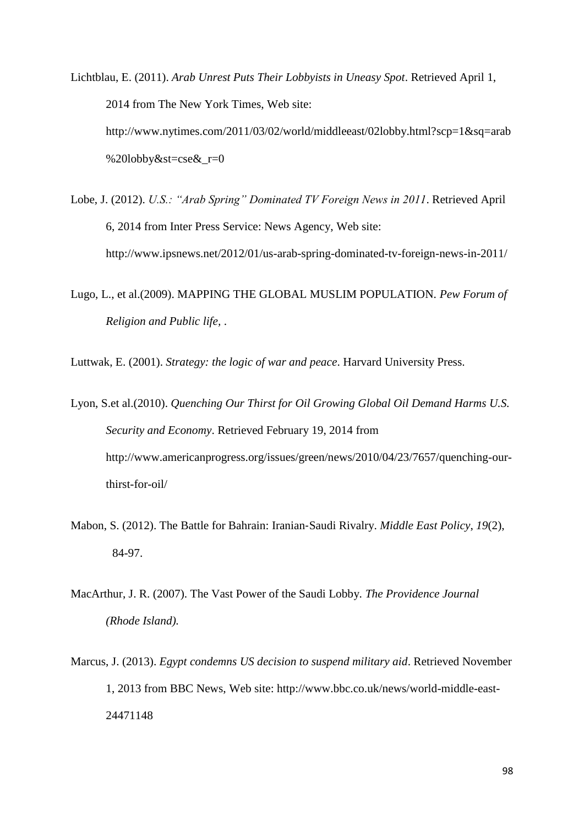Lichtblau, E. (2011). *Arab Unrest Puts Their Lobbyists in Uneasy Spot*. Retrieved April 1, 2014 from The New York Times, Web site: http://www.nytimes.com/2011/03/02/world/middleeast/02lobby.html?scp=1&sq=arab %20lobby&st=cse&\_r=0

- Lobe, J. (2012). *U.S.: "Arab Spring" Dominated TV Foreign News in 2011*. Retrieved April 6, 2014 from Inter Press Service: News Agency, Web site: http://www.ipsnews.net/2012/01/us-arab-spring-dominated-tv-foreign-news-in-2011/
- Lugo, L., et al.(2009). MAPPING THE GLOBAL MUSLIM POPULATION*. Pew Forum of Religion and Public life,* .

Luttwak, E. (2001). *Strategy: the logic of war and peace*. Harvard University Press.

- Lyon, S.et al.(2010). *Quenching Our Thirst for Oil Growing Global Oil Demand Harms U.S. Security and Economy*. Retrieved February 19, 2014 from http://www.americanprogress.org/issues/green/news/2010/04/23/7657/quenching-ourthirst-for-oil/
- Mabon, S. (2012). The Battle for Bahrain: Iranian‐Saudi Rivalry. *Middle East Policy*, *19*(2), 84-97.
- MacArthur, J. R. (2007). The Vast Power of the Saudi Lobby*. The Providence Journal (Rhode Island).*
- Marcus, J. (2013). *Egypt condemns US decision to suspend military aid*. Retrieved November 1, 2013 from BBC News, Web site: http://www.bbc.co.uk/news/world-middle-east-24471148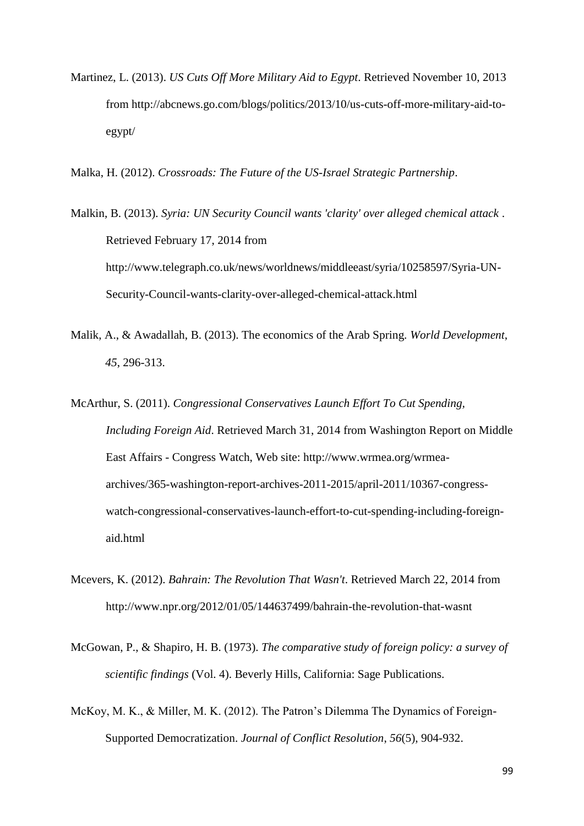Martinez, L. (2013). *US Cuts Off More Military Aid to Egypt*. Retrieved November 10, 2013 from http://abcnews.go.com/blogs/politics/2013/10/us-cuts-off-more-military-aid-toegypt/

Malka, H. (2012). *Crossroads: The Future of the US-Israel Strategic Partnership*.

Malkin, B. (2013). *Syria: UN Security Council wants 'clarity' over alleged chemical attack* . Retrieved February 17, 2014 from http://www.telegraph.co.uk/news/worldnews/middleeast/syria/10258597/Syria-UN-Security-Council-wants-clarity-over-alleged-chemical-attack.html

- Malik, A., & Awadallah, B. (2013). The economics of the Arab Spring. *World Development*, *45*, 296-313.
- McArthur, S. (2011). *Congressional Conservatives Launch Effort To Cut Spending, Including Foreign Aid*. Retrieved March 31, 2014 from Washington Report on Middle East Affairs - Congress Watch, Web site: http://www.wrmea.org/wrmeaarchives/365-washington-report-archives-2011-2015/april-2011/10367-congresswatch-congressional-conservatives-launch-effort-to-cut-spending-including-foreignaid.html
- Mcevers, K. (2012). *Bahrain: The Revolution That Wasn't*. Retrieved March 22, 2014 from http://www.npr.org/2012/01/05/144637499/bahrain-the-revolution-that-wasnt
- McGowan, P., & Shapiro, H. B. (1973). *The comparative study of foreign policy: a survey of scientific findings* (Vol. 4). Beverly Hills, California: Sage Publications.
- McKoy, M. K., & Miller, M. K. (2012). The Patron's Dilemma The Dynamics of Foreign-Supported Democratization. *Journal of Conflict Resolution*, *56*(5), 904-932.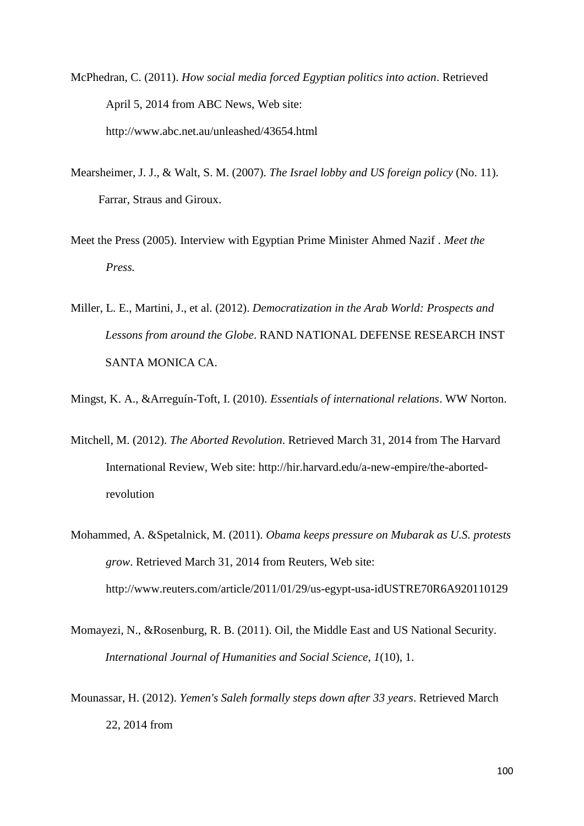McPhedran, C. (2011). *How social media forced Egyptian politics into action*. Retrieved April 5, 2014 from ABC News, Web site: http://www.abc.net.au/unleashed/43654.html

- Mearsheimer, J. J., & Walt, S. M. (2007). *The Israel lobby and US foreign policy* (No. 11). Farrar, Straus and Giroux.
- Meet the Press (2005). Interview with Egyptian Prime Minister Ahmed Nazif . *Meet the Press.*
- Miller, L. E., Martini, J., et al. (2012). *Democratization in the Arab World: Prospects and Lessons from around the Globe*. RAND NATIONAL DEFENSE RESEARCH INST SANTA MONICA CA.

Mingst, K. A., &Arreguín-Toft, I. (2010). *Essentials of international relations*. WW Norton.

- Mitchell, M. (2012). *The Aborted Revolution*. Retrieved March 31, 2014 from The Harvard International Review, Web site: http://hir.harvard.edu/a-new-empire/the-abortedrevolution
- Mohammed, A. &Spetalnick, M. (2011). *Obama keeps pressure on Mubarak as U.S. protests grow*. Retrieved March 31, 2014 from Reuters, Web site: http://www.reuters.com/article/2011/01/29/us-egypt-usa-idUSTRE70R6A920110129
- Momayezi, N., &Rosenburg, R. B. (2011). Oil, the Middle East and US National Security. *International Journal of Humanities and Social Science*, *1*(10), 1.
- Mounassar, H. (2012). *Yemen's Saleh formally steps down after 33 years*. Retrieved March 22, 2014 from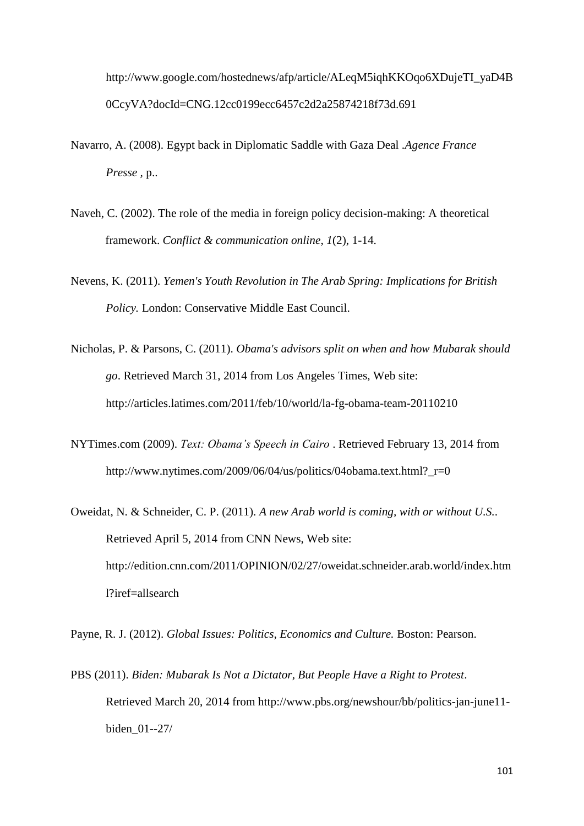http://www.google.com/hostednews/afp/article/ALeqM5iqhKKOqo6XDujeTI\_yaD4B 0CcyVA?docId=CNG.12cc0199ecc6457c2d2a25874218f73d.691

- Navarro, A. (2008). Egypt back in Diplomatic Saddle with Gaza Deal .*Agence France Presse ,* p..
- Naveh, C. (2002). The role of the media in foreign policy decision-making: A theoretical framework. *Conflict & communication online*, *1*(2), 1-14.
- Nevens, K. (2011). *Yemen's Youth Revolution in The Arab Spring: Implications for British Policy.* London: Conservative Middle East Council.
- Nicholas, P. & Parsons, C. (2011). *Obama's advisors split on when and how Mubarak should go*. Retrieved March 31, 2014 from Los Angeles Times, Web site: http://articles.latimes.com/2011/feb/10/world/la-fg-obama-team-20110210
- NYTimes.com (2009). *Text: Obama's Speech in Cairo* . Retrieved February 13, 2014 from http://www.nytimes.com/2009/06/04/us/politics/04obama.text.html?\_r=0
- Oweidat, N. & Schneider, C. P. (2011). *A new Arab world is coming, with or without U.S.*. Retrieved April 5, 2014 from CNN News, Web site: http://edition.cnn.com/2011/OPINION/02/27/oweidat.schneider.arab.world/index.htm l?iref=allsearch

Payne, R. J. (2012). *Global Issues: Politics, Economics and Culture.* Boston: Pearson.

PBS (2011). *Biden: Mubarak Is Not a Dictator, But People Have a Right to Protest*. Retrieved March 20, 2014 from http://www.pbs.org/newshour/bb/politics-jan-june11 biden\_01--27/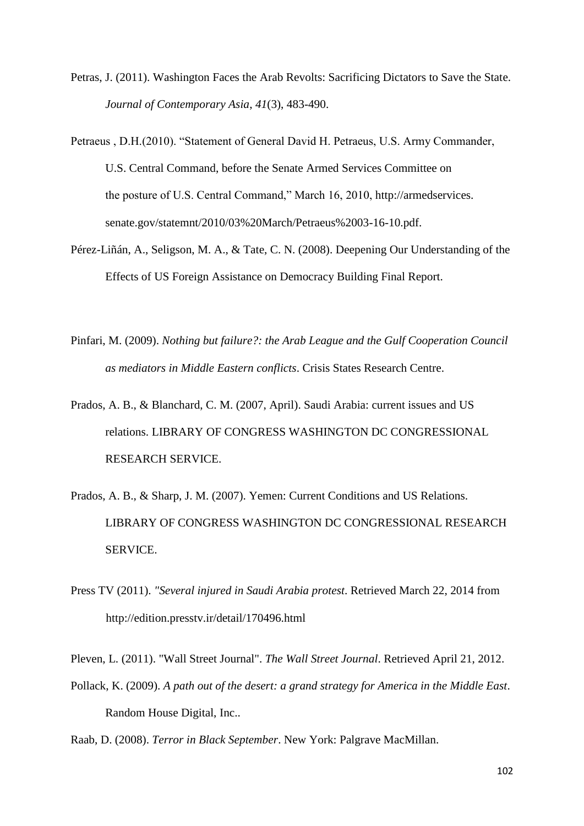- Petras, J. (2011). Washington Faces the Arab Revolts: Sacrificing Dictators to Save the State. *Journal of Contemporary Asia*, *41*(3), 483-490.
- Petraeus , D.H.(2010). "Statement of General David H. Petraeus, U.S. Army Commander, U.S. Central Command, before the Senate Armed Services Committee on the posture of U.S. Central Command," March 16, 2010, http://armedservices. senate.gov/statemnt/2010/03%20March/Petraeus%2003-16-10.pdf.
- Pérez-Liñán, A., Seligson, M. A., & Tate, C. N. (2008). Deepening Our Understanding of the Effects of US Foreign Assistance on Democracy Building Final Report.
- Pinfari, M. (2009). *Nothing but failure?: the Arab League and the Gulf Cooperation Council as mediators in Middle Eastern conflicts*. Crisis States Research Centre.
- Prados, A. B., & Blanchard, C. M. (2007, April). Saudi Arabia: current issues and US relations. LIBRARY OF CONGRESS WASHINGTON DC CONGRESSIONAL RESEARCH SERVICE.
- Prados, A. B., & Sharp, J. M. (2007). Yemen: Current Conditions and US Relations. LIBRARY OF CONGRESS WASHINGTON DC CONGRESSIONAL RESEARCH SERVICE.
- Press TV (2011). *"Several injured in Saudi Arabia protest*. Retrieved March 22, 2014 from http://edition.presstv.ir/detail/170496.html

Pleven, L. (2011). ["Wall Street Journal".](http://online.wsj.com/article/SB10001424052970203441704577068670488306242.html) *The Wall Street Journal*. Retrieved April 21, 2012.

Pollack, K. (2009). *A path out of the desert: a grand strategy for America in the Middle East*. Random House Digital, Inc..

Raab, D. (2008). *Terror in Black September*. New York: Palgrave MacMillan.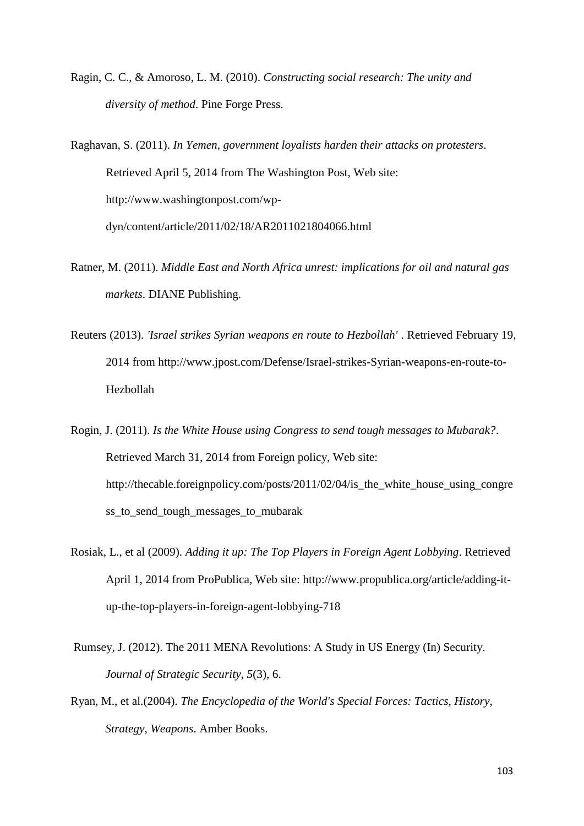Ragin, C. C., & Amoroso, L. M. (2010). *Constructing social research: The unity and diversity of method*. Pine Forge Press.

Raghavan, S. (2011). *In Yemen, government loyalists harden their attacks on protesters*. Retrieved April 5, 2014 from The Washington Post, Web site: http://www.washingtonpost.com/wpdyn/content/article/2011/02/18/AR2011021804066.html

- Ratner, M. (2011). *Middle East and North Africa unrest: implications for oil and natural gas markets*. DIANE Publishing.
- Reuters (2013). *'Israel strikes Syrian weapons en route to Hezbollah'* . Retrieved February 19, 2014 from http://www.jpost.com/Defense/Israel-strikes-Syrian-weapons-en-route-to-Hezbollah
- Rogin, J. (2011). *Is the White House using Congress to send tough messages to Mubarak?*. Retrieved March 31, 2014 from Foreign policy, Web site: http://thecable.foreignpolicy.com/posts/2011/02/04/is\_the\_white\_house\_using\_congre ss\_to\_send\_tough\_messages\_to\_mubarak
- Rosiak, L., et al (2009). *Adding it up: The Top Players in Foreign Agent Lobbying*. Retrieved April 1, 2014 from ProPublica, Web site: http://www.propublica.org/article/adding-itup-the-top-players-in-foreign-agent-lobbying-718
- Rumsey, J. (2012). The 2011 MENA Revolutions: A Study in US Energy (In) Security. *Journal of Strategic Security*, *5*(3), 6.
- Ryan, M., et al.(2004). *The Encyclopedia of the World's Special Forces: Tactics, History, Strategy, Weapons*. Amber Books.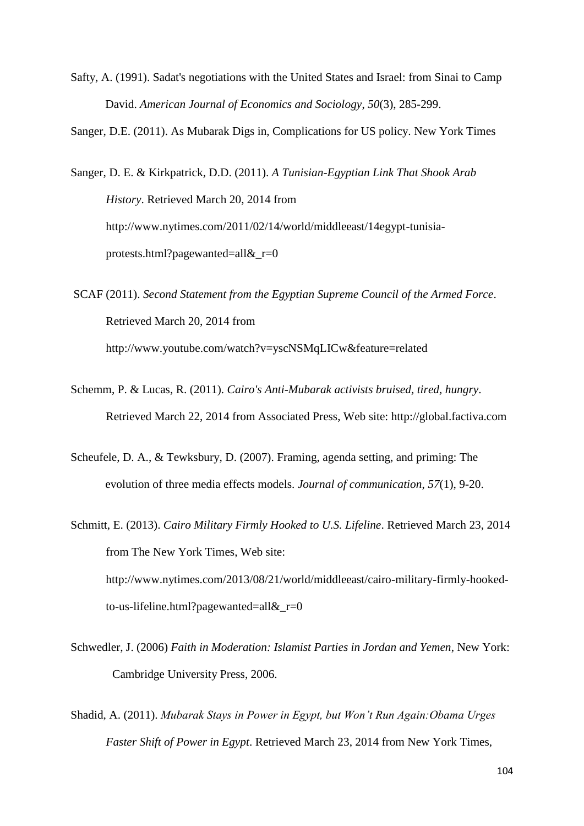Safty, A. (1991). Sadat's negotiations with the United States and Israel: from Sinai to Camp David. *American Journal of Economics and Sociology*, *50*(3), 285-299.

Sanger, D.E. (2011). As Mubarak Digs in, Complications for US policy. New York Times

Sanger, D. E. & Kirkpatrick, D.D. (2011). *A Tunisian-Egyptian Link That Shook Arab History*. Retrieved March 20, 2014 from http://www.nytimes.com/2011/02/14/world/middleeast/14egypt-tunisiaprotests.html?pagewanted=all $&r=0$ 

SCAF (2011). *Second Statement from the Egyptian Supreme Council of the Armed Force*. Retrieved March 20, 2014 from http://www.youtube.com/watch?v=yscNSMqLICw&feature=related

- Schemm, P. & Lucas, R. (2011). *Cairo's Anti-Mubarak activists bruised, tired, hungry*. Retrieved March 22, 2014 from Associated Press, Web site: http://global.factiva.com
- Scheufele, D. A., & Tewksbury, D. (2007). Framing, agenda setting, and priming: The evolution of three media effects models. *Journal of communication*, *57*(1), 9-20.
- Schmitt, E. (2013). *Cairo Military Firmly Hooked to U.S. Lifeline*. Retrieved March 23, 2014 from The New York Times, Web site: http://www.nytimes.com/2013/08/21/world/middleeast/cairo-military-firmly-hookedto-us-lifeline.html?pagewanted=all&\_r=0
- Schwedler, J. (2006) *Faith in Moderation: Islamist Parties in Jordan and Yemen*, New York: Cambridge University Press, 2006.
- Shadid, A. (2011). *Mubarak Stays in Power in Egypt, but Won't Run Again:Obama Urges Faster Shift of Power in Egypt*. Retrieved March 23, 2014 from New York Times,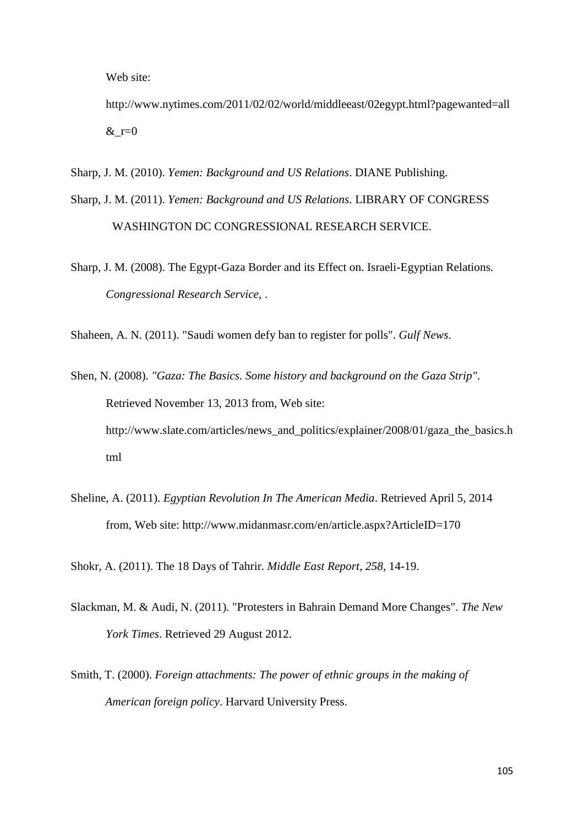Web site:

http://www.nytimes.com/2011/02/02/world/middleeast/02egypt.html?pagewanted=all  $&\text{r}=0$ 

Sharp, J. M. (2010). *Yemen: Background and US Relations*. DIANE Publishing.

Sharp, J. M. (2011). *Yemen: Background and US Relations*. LIBRARY OF CONGRESS WASHINGTON DC CONGRESSIONAL RESEARCH SERVICE.

Sharp, J. M. (2008). The Egypt-Gaza Border and its Effect on. Israeli-Egyptian Relations*. Congressional Research Service,* .

Shaheen, A. N. (2011). ["Saudi women defy ban to register for polls".](http://gulfnews.com/news/gulf/saudi-arabia/saudi-women-defy-ban-to-register-for-polls-1.799161) *[Gulf News](http://en.wikipedia.org/wiki/Gulf_News)*.

Shen, N. (2008). *"Gaza: The Basics. Some history and background on the Gaza Strip"*. Retrieved November 13, 2013 from, Web site: [http://www.slate.com/articles/news\\_and\\_politics/explainer/2008/01/gaza\\_the\\_basics.h](http://www.slate.com/articles/news_and_politics/explainer/2008/01/gaza_the_basics.html) [tml](http://www.slate.com/articles/news_and_politics/explainer/2008/01/gaza_the_basics.html)

Sheline, A. (2011). *Egyptian Revolution In The American Media*. Retrieved April 5, 2014 from, Web site: http://www.midanmasr.com/en/article.aspx?ArticleID=170

Shokr, A. (2011). The 18 Days of Tahrir. *Middle East Report*, *258*, 14-19.

- Slackman, M. & Audi, N. (2011). ["Protesters in Bahrain Demand More Changes".](http://www.nytimes.com/2011/02/26/world/middleeast/26bahrain.html?_r=1) *The New York Times*. Retrieved 29 August 2012.
- Smith, T. (2000). *Foreign attachments: The power of ethnic groups in the making of American foreign policy*. Harvard University Press.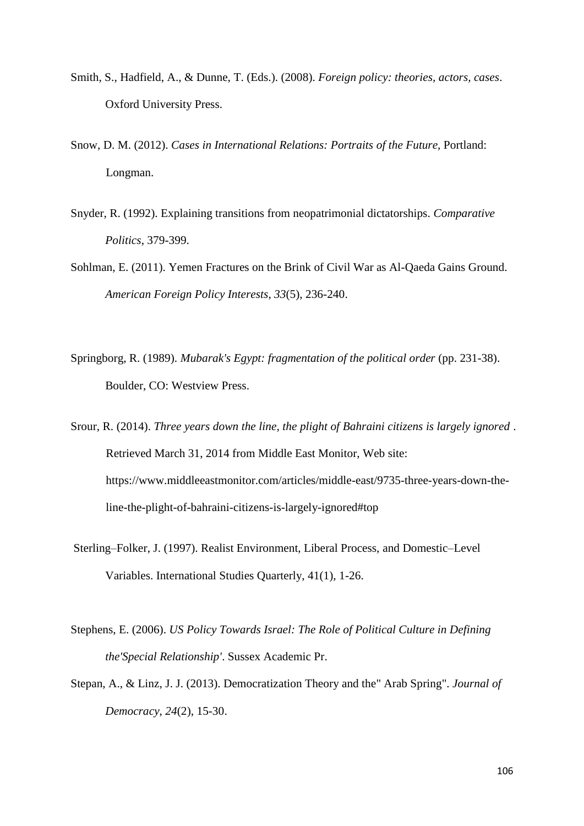- Smith, S., Hadfield, A., & Dunne, T. (Eds.). (2008). *Foreign policy: theories, actors, cases*. Oxford University Press.
- Snow, D. M. (2012). *Cases in International Relations: Portraits of the Future,* Portland: Longman.
- Snyder, R. (1992). Explaining transitions from neopatrimonial dictatorships. *Comparative Politics*, 379-399.
- Sohlman, E. (2011). Yemen Fractures on the Brink of Civil War as Al-Qaeda Gains Ground. *American Foreign Policy Interests*, *33*(5), 236-240.
- Springborg, R. (1989). *Mubarak's Egypt: fragmentation of the political order* (pp. 231-38). Boulder, CO: Westview Press.
- Srour, R. (2014). *Three years down the line, the plight of Bahraini citizens is largely ignored* . Retrieved March 31, 2014 from Middle East Monitor, Web site: https://www.middleeastmonitor.com/articles/middle-east/9735-three-years-down-theline-the-plight-of-bahraini-citizens-is-largely-ignored#top
- Sterling–Folker, J. (1997). Realist Environment, Liberal Process, and Domestic–Level Variables. International Studies Quarterly, 41(1), 1-26.
- Stephens, E. (2006). *US Policy Towards Israel: The Role of Political Culture in Defining the'Special Relationship'*. Sussex Academic Pr.
- Stepan, A., & Linz, J. J. (2013). Democratization Theory and the" Arab Spring". *Journal of Democracy*, *24*(2), 15-30.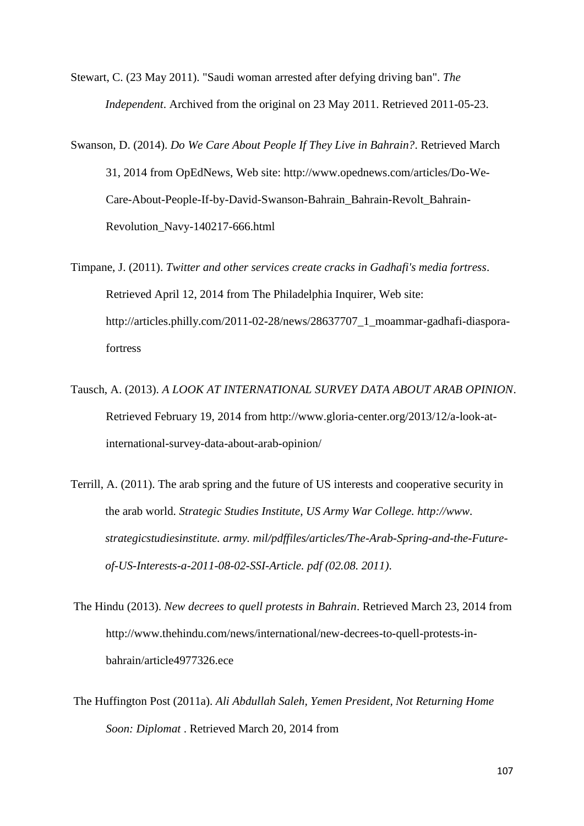Stewart, C. (23 May 2011). ["Saudi woman arrested after defying driving ban".](http://www.independent.co.uk/news/world/middle-east/saudi-woman-arrested-after-defying-driving-ban-2287817.html) *[The](http://en.wikipedia.org/wiki/The_Independent)  [Independent](http://en.wikipedia.org/wiki/The_Independent)*. [Archived](http://www.webcitation.org/5yu3n9CvL) from the original on 23 May 2011. Retrieved 2011-05-23.

Swanson, D. (2014). *Do We Care About People If They Live in Bahrain?*. Retrieved March 31, 2014 from OpEdNews, Web site: http://www.opednews.com/articles/Do-We-Care-About-People-If-by-David-Swanson-Bahrain\_Bahrain-Revolt\_Bahrain-Revolution\_Navy-140217-666.html

Timpane, J. (2011). *Twitter and other services create cracks in Gadhafi's media fortress*. Retrieved April 12, 2014 from The Philadelphia Inquirer, Web site: http://articles.philly.com/2011-02-28/news/28637707\_1\_moammar-gadhafi-diasporafortress

- Tausch, A. (2013). *A LOOK AT INTERNATIONAL SURVEY DATA ABOUT ARAB OPINION*. Retrieved February 19, 2014 from http://www.gloria-center.org/2013/12/a-look-atinternational-survey-data-about-arab-opinion/
- Terrill, A. (2011). The arab spring and the future of US interests and cooperative security in the arab world. *Strategic Studies Institute, US Army War College. http://www. strategicstudiesinstitute. army. mil/pdffiles/articles/The-Arab-Spring-and-the-Futureof-US-Interests-a-2011-08-02-SSI-Article. pdf (02.08. 2011)*.
- The Hindu (2013). *New decrees to quell protests in Bahrain*. Retrieved March 23, 2014 from http://www.thehindu.com/news/international/new-decrees-to-quell-protests-inbahrain/article4977326.ece
- The Huffington Post (2011a). *Ali Abdullah Saleh, Yemen President, Not Returning Home Soon: Diplomat* . Retrieved March 20, 2014 from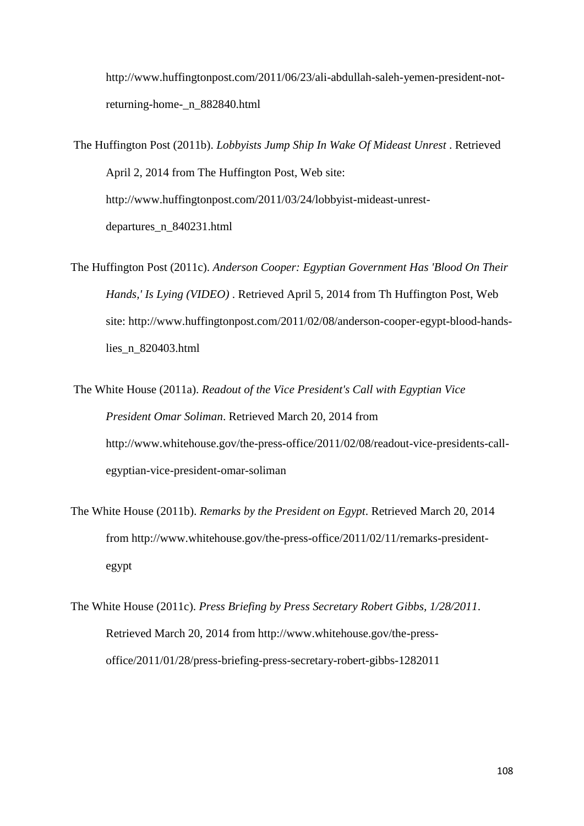http://www.huffingtonpost.com/2011/06/23/ali-abdullah-saleh-yemen-president-notreturning-home-\_n\_882840.html

The Huffington Post (2011b). *Lobbyists Jump Ship In Wake Of Mideast Unrest* . Retrieved April 2, 2014 from The Huffington Post, Web site: http://www.huffingtonpost.com/2011/03/24/lobbyist-mideast-unrestdepartures\_n\_840231.html

The Huffington Post (2011c). *Anderson Cooper: Egyptian Government Has 'Blood On Their Hands,' Is Lying (VIDEO)* . Retrieved April 5, 2014 from Th Huffington Post, Web site: http://www.huffingtonpost.com/2011/02/08/anderson-cooper-egypt-blood-handslies\_n\_820403.html

The White House (2011a). *Readout of the Vice President's Call with Egyptian Vice President Omar Soliman*. Retrieved March 20, 2014 from [http://www.whitehouse.gov/the-press-office/2011/02/08/readout-vice-presidents-call](http://www.whitehouse.gov/the-press-office/2011/02/08/readout-vice-presidents-call-egyptian-vice-president-omar-soliman)[egyptian-vice-president-omar-soliman](http://www.whitehouse.gov/the-press-office/2011/02/08/readout-vice-presidents-call-egyptian-vice-president-omar-soliman)

The White House (2011b). *Remarks by the President on Egypt*. Retrieved March 20, 2014 from http://www.whitehouse.gov/the-press-office/2011/02/11/remarks-presidentegypt

The White House (2011c). *Press Briefing by Press Secretary Robert Gibbs, 1/28/2011*. Retrieved March 20, 2014 from http://www.whitehouse.gov/the-pressoffice/2011/01/28/press-briefing-press-secretary-robert-gibbs-1282011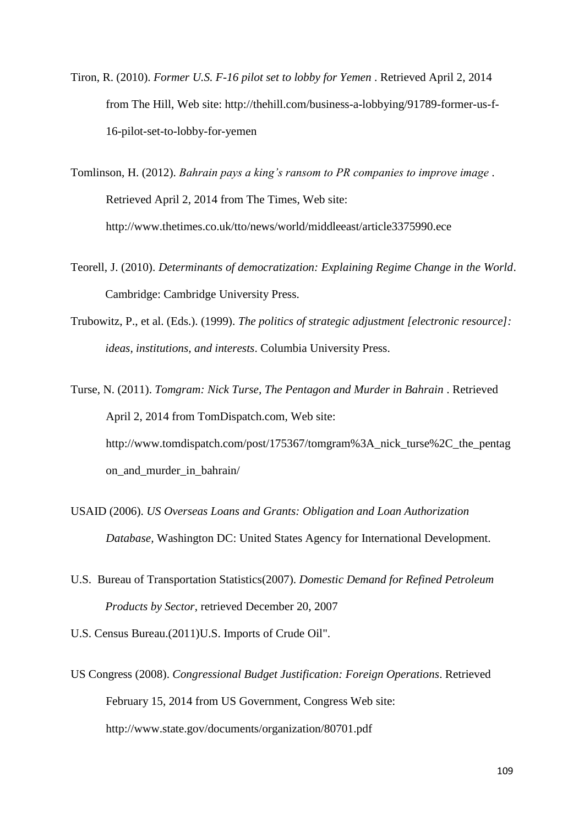- Tiron, R. (2010). *Former U.S. F-16 pilot set to lobby for Yemen* . Retrieved April 2, 2014 from The Hill, Web site: http://thehill.com/business-a-lobbying/91789-former-us-f-16-pilot-set-to-lobby-for-yemen
- Tomlinson, H. (2012). *Bahrain pays a king's ransom to PR companies to improve image* . Retrieved April 2, 2014 from The Times, Web site: http://www.thetimes.co.uk/tto/news/world/middleeast/article3375990.ece
- Teorell, J. (2010). *Determinants of democratization: Explaining Regime Change in the World*. Cambridge: Cambridge University Press.
- Trubowitz, P., et al. (Eds.). (1999). *The politics of strategic adjustment [electronic resource]: ideas, institutions, and interests*. Columbia University Press.

Turse, N. (2011). *Tomgram: Nick Turse, The Pentagon and Murder in Bahrain* . Retrieved April 2, 2014 from TomDispatch.com, Web site: http://www.tomdispatch.com/post/175367/tomgram%3A\_nick\_turse%2C\_the\_pentag on\_and\_murder\_in\_bahrain/

- USAID (2006). *US Overseas Loans and Grants: Obligation and Loan Authorization Database,* Washington DC: United States Agency for International Development.
- U.S. [Bureau of Transportation Statistics\(](http://en.wikipedia.org/wiki/Bureau_of_Transportation_Statistics)2007). *[Domestic Demand for Refined Petroleum](http://www.bts.gov/publications/national_transportation_statistics/html/table_04_03.html)  [Products by Sector](http://www.bts.gov/publications/national_transportation_statistics/html/table_04_03.html)*, retrieved December 20, 2007
- U.S. Census Bureau.(2011[\)U.S. Imports of Crude Oil"](http://www.census.gov/foreign-trade/statistics/historical/petr.txt).
- US Congress (2008). *Congressional Budget Justification: Foreign Operations*. Retrieved February 15, 2014 from US Government, Congress Web site: http://www.state.gov/documents/organization/80701.pdf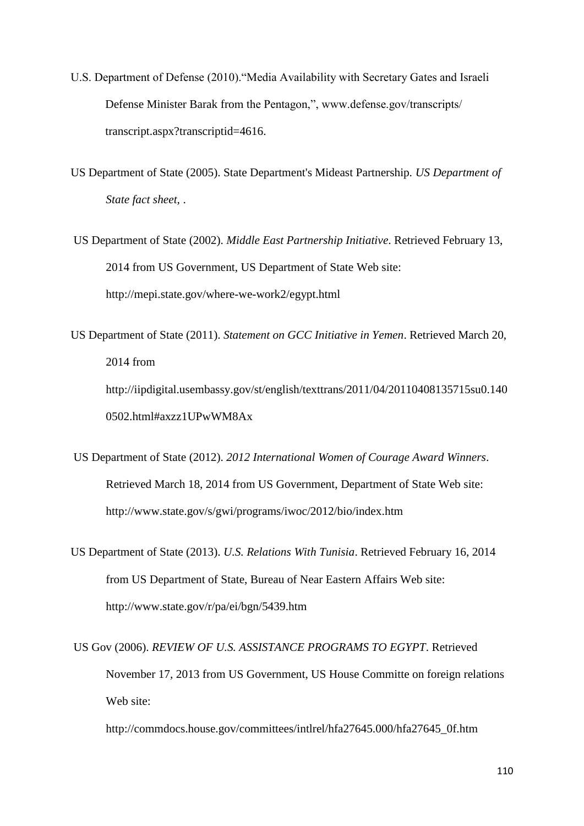- U.S. Department of Defense (2010)."Media Availability with Secretary Gates and Israeli Defense Minister Barak from the Pentagon,", www.defense.gov/transcripts/ transcript.aspx?transcriptid=4616.
- US Department of State (2005). State Department's Mideast Partnership*. US Department of State fact sheet,* .
- US Department of State (2002). *Middle East Partnership Initiative*. Retrieved February 13, 2014 from US Government, US Department of State Web site: http://mepi.state.gov/where-we-work2/egypt.html
- US Department of State (2011). *Statement on GCC Initiative in Yemen*. Retrieved March 20, 2014 from http://iipdigital.usembassy.gov/st/english/texttrans/2011/04/20110408135715su0.140 0502.html#axzz1UPwWM8Ax
- US Department of State (2012). *2012 International Women of Courage Award Winners*. Retrieved March 18, 2014 from US Government, Department of State Web site: http://www.state.gov/s/gwi/programs/iwoc/2012/bio/index.htm
- US Department of State (2013). *U.S. Relations With Tunisia*. Retrieved February 16, 2014 from US Department of State, Bureau of Near Eastern Affairs Web site: http://www.state.gov/r/pa/ei/bgn/5439.htm
- US Gov (2006). *REVIEW OF U.S. ASSISTANCE PROGRAMS TO EGYPT*. Retrieved November 17, 2013 from US Government, US House Committe on foreign relations Web site:

http://commdocs.house.gov/committees/intlrel/hfa27645.000/hfa27645\_0f.htm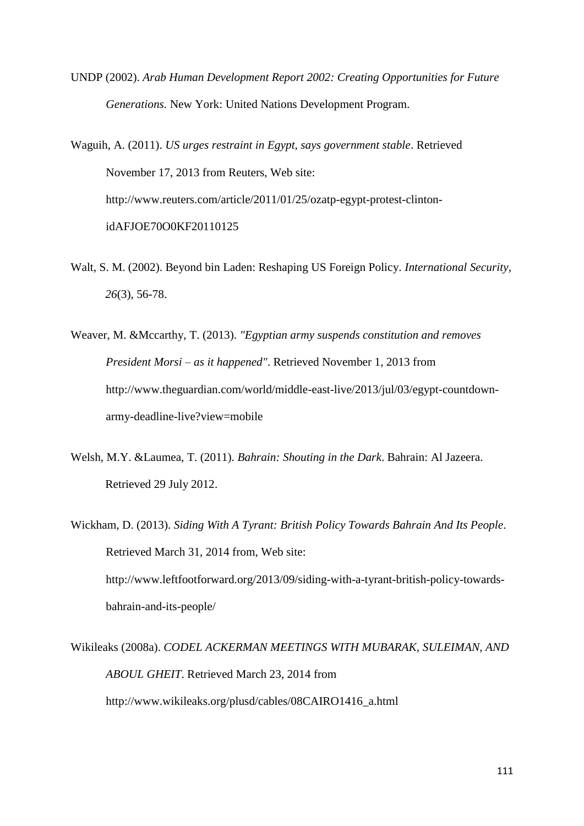UNDP (2002). *Arab Human Development Report 2002: Creating Opportunities for Future Generations.* New York: United Nations Development Program.

Waguih, A. (2011). *US urges restraint in Egypt, says government stable*. Retrieved November 17, 2013 from Reuters, Web site: [http://www.reuters.com/article/2011/01/25/ozatp-egypt-protest-clinton](http://www.reuters.com/article/2011/01/25/ozatp-egypt-protest-clinton-idAFJOE70O0KF20110125)[idAFJOE70O0KF20110125](http://www.reuters.com/article/2011/01/25/ozatp-egypt-protest-clinton-idAFJOE70O0KF20110125)

- Walt, S. M. (2002). Beyond bin Laden: Reshaping US Foreign Policy. *International Security*, *26*(3), 56-78.
- Weaver, M. &Mccarthy, T. (2013). *"Egyptian army suspends constitution and removes President Morsi – as it happened"*. Retrieved November 1, 2013 from http://www.theguardian.com/world/middle-east-live/2013/jul/03/egypt-countdownarmy-deadline-live?view=mobile
- Welsh, M.Y. &Laumea, T. (2011). *[Bahrain: Shouting in the Dark](http://www.aljazeera.com/programmes/2011/08/201184144547798162.html)*. Bahrain: Al Jazeera. Retrieved 29 July 2012.
- Wickham, D. (2013). *Siding With A Tyrant: British Policy Towards Bahrain And Its People*. Retrieved March 31, 2014 from, Web site: http://www.leftfootforward.org/2013/09/siding-with-a-tyrant-british-policy-towardsbahrain-and-its-people/

Wikileaks (2008a). *CODEL ACKERMAN MEETINGS WITH MUBARAK, SULEIMAN, AND ABOUL GHEIT*. Retrieved March 23, 2014 from [http://www.wikileaks.org/plusd/cables/08CAIRO1416\\_a.html](http://www.wikileaks.org/plusd/cables/08CAIRO1416_a.html)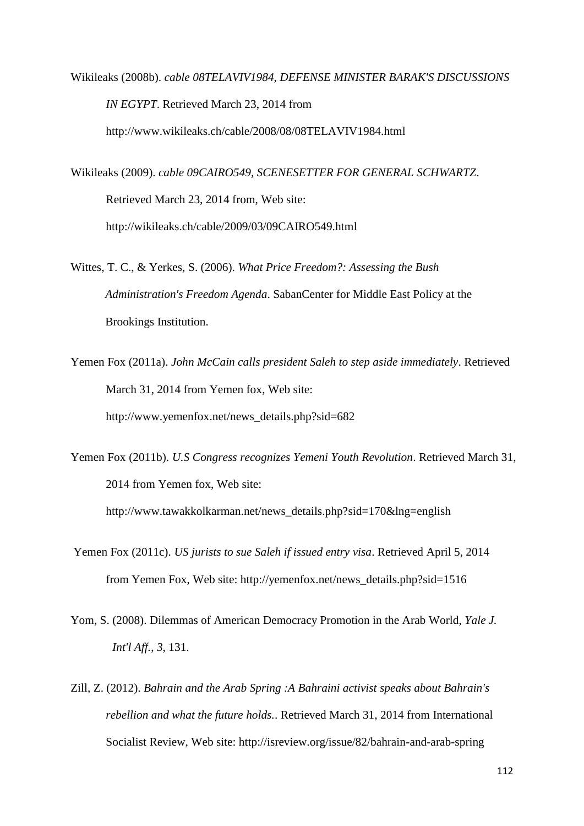Wikileaks (2008b). *cable 08TELAVIV1984, DEFENSE MINISTER BARAK'S DISCUSSIONS IN EGYPT*. Retrieved March 23, 2014 from http://www.wikileaks.ch/cable/2008/08/08TELAVIV1984.html

Wikileaks (2009). *cable 09CAIRO549, SCENESETTER FOR GENERAL SCHWARTZ*. Retrieved March 23, 2014 from, Web site: http://wikileaks.ch/cable/2009/03/09CAIRO549.html

Wittes, T. C., & Yerkes, S. (2006). *What Price Freedom?: Assessing the Bush Administration's Freedom Agenda*. SabanCenter for Middle East Policy at the Brookings Institution.

Yemen Fox (2011a). *John McCain calls president Saleh to step aside immediately*. Retrieved March 31, 2014 from Yemen fox, Web site: [http://www.yemenfox.net/news\\_details.php?sid=682](http://www.yemenfox.net/news_details.php?sid=682)

Yemen Fox (2011b). *U.S Congress recognizes Yemeni Youth Revolution*. Retrieved March 31, 2014 from Yemen fox, Web site: http://www.tawakkolkarman.net/news\_details.php?sid=170&lng=english

- Yemen Fox (2011c). *US jurists to sue Saleh if issued entry visa*. Retrieved April 5, 2014 from Yemen Fox, Web site: http://yemenfox.net/news\_details.php?sid=1516
- Yom, S. (2008). Dilemmas of American Democracy Promotion in the Arab World, *Yale J. Int'l Aff.*, *3*, 131.
- Zill, Z. (2012). *Bahrain and the Arab Spring :A Bahraini activist speaks about Bahrain's rebellion and what the future holds.*. Retrieved March 31, 2014 from International Socialist Review, Web site: http://isreview.org/issue/82/bahrain-and-arab-spring